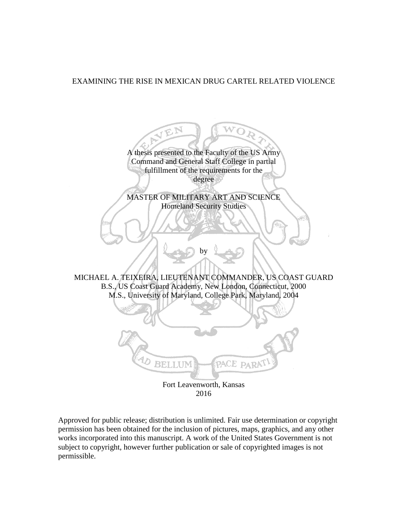# EXAMINING THE RISE IN MEXICAN DRUG CARTEL RELATED VIOLENCE

A thesis presented to the Faculty of the US Army Command and General Staff College in partial fulfillment of the requirements for the degree MASTER OF MILITARY ART AND SCIENCE Homeland Security Studies b٧ MICHAEL A. TEIXEIRA, LIEUTENANT COMMANDER, US COAST GUARD B.S., US Coast Guard Academy, New London, Connecticut, 2000 M.S., University of Maryland, College Park, Maryland, 2004 BELLUM PACE PARAT Fort Leavenworth, Kansas 2016

Approved for public release; distribution is unlimited. Fair use determination or copyright permission has been obtained for the inclusion of pictures, maps, graphics, and any other works incorporated into this manuscript. A work of the United States Government is not subject to copyright, however further publication or sale of copyrighted images is not permissible.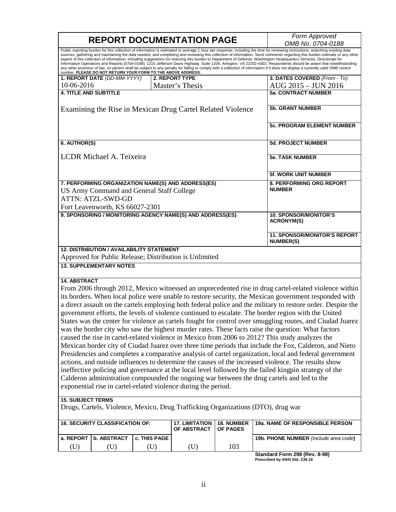|                                                                                                              |                     |                         | Form Approved          |                                                                                                                                                                                                                                                                                                                                                                                                                                                                                                                                                                                                                                                                                                                                                                                                                                                                                                   |  |
|--------------------------------------------------------------------------------------------------------------|---------------------|-------------------------|------------------------|---------------------------------------------------------------------------------------------------------------------------------------------------------------------------------------------------------------------------------------------------------------------------------------------------------------------------------------------------------------------------------------------------------------------------------------------------------------------------------------------------------------------------------------------------------------------------------------------------------------------------------------------------------------------------------------------------------------------------------------------------------------------------------------------------------------------------------------------------------------------------------------------------|--|
| <b>REPORT DOCUMENTATION PAGE</b>                                                                             |                     |                         |                        | OMB No. 0704-0188                                                                                                                                                                                                                                                                                                                                                                                                                                                                                                                                                                                                                                                                                                                                                                                                                                                                                 |  |
| number. PLEASE DO NOT RETURN YOUR FORM TO THE ABOVE ADDRESS.                                                 |                     |                         |                        | Public reporting burden for this collection of information is estimated to average 1 hour per response, including the time for reviewing instructions, searching existing data<br>sources, gathering and maintaining the data needed, and completing and reviewing this collection of information. Send comments regarding this burden estimate or any other<br>aspect of this collection of information, including suggestions for reducing this burden to Department of Defense, Washington Headquarters Services, Directorate for<br>Information Operations and Reports (0704-0188), 1215 Jefferson Davis Highway, Suite 1204, Arlington, VA 22202-4302. Respondents should be aware that notwithstanding<br>any other provision of law, no person shall be subject to any penalty for failing to comply with a collection of information if it does not display a currently valid OMB control |  |
| 1. REPORT DATE (DD-MM-YYYY)                                                                                  |                     | <b>2. REPORT TYPE</b>   |                        | 3. DATES COVERED (From - To)                                                                                                                                                                                                                                                                                                                                                                                                                                                                                                                                                                                                                                                                                                                                                                                                                                                                      |  |
| 10-06-2016                                                                                                   |                     | Master's Thesis         |                        | AUG 2015 - JUN 2016                                                                                                                                                                                                                                                                                                                                                                                                                                                                                                                                                                                                                                                                                                                                                                                                                                                                               |  |
| <b>4. TITLE AND SUBTITLE</b>                                                                                 |                     |                         |                        | <b>5a. CONTRACT NUMBER</b>                                                                                                                                                                                                                                                                                                                                                                                                                                                                                                                                                                                                                                                                                                                                                                                                                                                                        |  |
|                                                                                                              |                     |                         |                        |                                                                                                                                                                                                                                                                                                                                                                                                                                                                                                                                                                                                                                                                                                                                                                                                                                                                                                   |  |
| Examining the Rise in Mexican Drug Cartel Related Violence                                                   |                     | <b>5b. GRANT NUMBER</b> |                        |                                                                                                                                                                                                                                                                                                                                                                                                                                                                                                                                                                                                                                                                                                                                                                                                                                                                                                   |  |
|                                                                                                              |                     |                         |                        | <b>5c. PROGRAM ELEMENT NUMBER</b>                                                                                                                                                                                                                                                                                                                                                                                                                                                                                                                                                                                                                                                                                                                                                                                                                                                                 |  |
| 6. AUTHOR(S)                                                                                                 |                     |                         |                        | <b>5d. PROJECT NUMBER</b>                                                                                                                                                                                                                                                                                                                                                                                                                                                                                                                                                                                                                                                                                                                                                                                                                                                                         |  |
| LCDR Michael A. Teixeira                                                                                     |                     |                         | <b>5e. TASK NUMBER</b> |                                                                                                                                                                                                                                                                                                                                                                                                                                                                                                                                                                                                                                                                                                                                                                                                                                                                                                   |  |
|                                                                                                              |                     |                         |                        | <b>5f. WORK UNIT NUMBER</b>                                                                                                                                                                                                                                                                                                                                                                                                                                                                                                                                                                                                                                                                                                                                                                                                                                                                       |  |
| 7. PERFORMING ORGANIZATION NAME(S) AND ADDRESS(ES)                                                           |                     |                         |                        | <b>8. PERFORMING ORG REPORT</b>                                                                                                                                                                                                                                                                                                                                                                                                                                                                                                                                                                                                                                                                                                                                                                                                                                                                   |  |
| US Army Command and General Staff College                                                                    |                     |                         |                        | <b>NUMBER</b>                                                                                                                                                                                                                                                                                                                                                                                                                                                                                                                                                                                                                                                                                                                                                                                                                                                                                     |  |
| <b>ATTN: ATZL-SWD-GD</b>                                                                                     |                     |                         |                        |                                                                                                                                                                                                                                                                                                                                                                                                                                                                                                                                                                                                                                                                                                                                                                                                                                                                                                   |  |
| Fort Leavenworth, KS 66027-2301                                                                              |                     |                         |                        |                                                                                                                                                                                                                                                                                                                                                                                                                                                                                                                                                                                                                                                                                                                                                                                                                                                                                                   |  |
| 9. SPONSORING / MONITORING AGENCY NAME(S) AND ADDRESS(ES)                                                    |                     |                         |                        | <b>10. SPONSOR/MONITOR'S</b>                                                                                                                                                                                                                                                                                                                                                                                                                                                                                                                                                                                                                                                                                                                                                                                                                                                                      |  |
|                                                                                                              |                     |                         |                        | <b>ACRONYM(S)</b>                                                                                                                                                                                                                                                                                                                                                                                                                                                                                                                                                                                                                                                                                                                                                                                                                                                                                 |  |
|                                                                                                              |                     |                         |                        | <b>11. SPONSOR/MONITOR'S REPORT</b><br><b>NUMBER(S)</b>                                                                                                                                                                                                                                                                                                                                                                                                                                                                                                                                                                                                                                                                                                                                                                                                                                           |  |
| <b>12. DISTRIBUTION / AVAILABILITY STATEMENT</b>                                                             |                     |                         |                        |                                                                                                                                                                                                                                                                                                                                                                                                                                                                                                                                                                                                                                                                                                                                                                                                                                                                                                   |  |
| Approved for Public Release; Distribution is Unlimited                                                       |                     |                         |                        |                                                                                                                                                                                                                                                                                                                                                                                                                                                                                                                                                                                                                                                                                                                                                                                                                                                                                                   |  |
| <b>13. SUPPLEMENTARY NOTES</b>                                                                               |                     |                         |                        |                                                                                                                                                                                                                                                                                                                                                                                                                                                                                                                                                                                                                                                                                                                                                                                                                                                                                                   |  |
|                                                                                                              |                     |                         |                        |                                                                                                                                                                                                                                                                                                                                                                                                                                                                                                                                                                                                                                                                                                                                                                                                                                                                                                   |  |
| <b>14. ABSTRACT</b>                                                                                          |                     |                         |                        |                                                                                                                                                                                                                                                                                                                                                                                                                                                                                                                                                                                                                                                                                                                                                                                                                                                                                                   |  |
|                                                                                                              |                     |                         |                        | From 2006 through 2012, Mexico witnessed an unprecedented rise in drug cartel-related violence within                                                                                                                                                                                                                                                                                                                                                                                                                                                                                                                                                                                                                                                                                                                                                                                             |  |
|                                                                                                              |                     |                         |                        | its borders. When local police were unable to restore security, the Mexican government responded with                                                                                                                                                                                                                                                                                                                                                                                                                                                                                                                                                                                                                                                                                                                                                                                             |  |
| a direct assault on the cartels employing both federal police and the military to restore order. Despite the |                     |                         |                        |                                                                                                                                                                                                                                                                                                                                                                                                                                                                                                                                                                                                                                                                                                                                                                                                                                                                                                   |  |
|                                                                                                              |                     |                         |                        | government efforts, the levels of violence continued to escalate. The border region with the United                                                                                                                                                                                                                                                                                                                                                                                                                                                                                                                                                                                                                                                                                                                                                                                               |  |
|                                                                                                              |                     |                         |                        | States was the center for violence as cartels fought for control over smuggling routes, and Ciudad Juarez                                                                                                                                                                                                                                                                                                                                                                                                                                                                                                                                                                                                                                                                                                                                                                                         |  |
| was the border city who saw the highest murder rates. These facts raise the question: What factors           |                     |                         |                        |                                                                                                                                                                                                                                                                                                                                                                                                                                                                                                                                                                                                                                                                                                                                                                                                                                                                                                   |  |
|                                                                                                              |                     |                         |                        |                                                                                                                                                                                                                                                                                                                                                                                                                                                                                                                                                                                                                                                                                                                                                                                                                                                                                                   |  |
| caused the rise in cartel-related violence in Mexico from 2006 to 2012? This study analyzes the              |                     |                         |                        |                                                                                                                                                                                                                                                                                                                                                                                                                                                                                                                                                                                                                                                                                                                                                                                                                                                                                                   |  |
|                                                                                                              |                     |                         |                        | Mexican border city of Ciudad Juarez over three time periods that include the Fox, Calderon, and Nieto                                                                                                                                                                                                                                                                                                                                                                                                                                                                                                                                                                                                                                                                                                                                                                                            |  |
|                                                                                                              |                     |                         |                        | Presidencies and completes a comparative analysis of cartel organization, local and federal government                                                                                                                                                                                                                                                                                                                                                                                                                                                                                                                                                                                                                                                                                                                                                                                            |  |
|                                                                                                              |                     |                         |                        | actions, and outside influences to determine the causes of the increased violence. The results show                                                                                                                                                                                                                                                                                                                                                                                                                                                                                                                                                                                                                                                                                                                                                                                               |  |
|                                                                                                              |                     |                         |                        | ineffective policing and governance at the local level followed by the failed kingpin strategy of the                                                                                                                                                                                                                                                                                                                                                                                                                                                                                                                                                                                                                                                                                                                                                                                             |  |
| Calderon administration compounded the ongoing war between the drug cartels and led to the                   |                     |                         |                        |                                                                                                                                                                                                                                                                                                                                                                                                                                                                                                                                                                                                                                                                                                                                                                                                                                                                                                   |  |
| exponential rise in cartel-related violence during the period.                                               |                     |                         |                        |                                                                                                                                                                                                                                                                                                                                                                                                                                                                                                                                                                                                                                                                                                                                                                                                                                                                                                   |  |
|                                                                                                              |                     |                         |                        |                                                                                                                                                                                                                                                                                                                                                                                                                                                                                                                                                                                                                                                                                                                                                                                                                                                                                                   |  |
| <b>15. SUBJECT TERMS</b>                                                                                     |                     |                         |                        |                                                                                                                                                                                                                                                                                                                                                                                                                                                                                                                                                                                                                                                                                                                                                                                                                                                                                                   |  |
| Drugs, Cartels, Violence, Mexico, Drug Trafficking Organizations (DTO), drug war                             |                     |                         |                        |                                                                                                                                                                                                                                                                                                                                                                                                                                                                                                                                                                                                                                                                                                                                                                                                                                                                                                   |  |
| <b>16. SECURITY CLASSIFICATION OF:</b>                                                                       |                     | <b>17. LIMITATION</b>   | 18. NUMBER             | 19a. NAME OF RESPONSIBLE PERSON                                                                                                                                                                                                                                                                                                                                                                                                                                                                                                                                                                                                                                                                                                                                                                                                                                                                   |  |
|                                                                                                              |                     | OF ABSTRACT             | <b>OF PAGES</b>        |                                                                                                                                                                                                                                                                                                                                                                                                                                                                                                                                                                                                                                                                                                                                                                                                                                                                                                   |  |
| a. REPORT   b. ABSTRACT                                                                                      | <b>c. THIS PAGE</b> |                         |                        | 19b. PHONE NUMBER (include area code)                                                                                                                                                                                                                                                                                                                                                                                                                                                                                                                                                                                                                                                                                                                                                                                                                                                             |  |

**Standard Form 298 (Rev. 8-98) Prescribed by ANSI Std. Z39.18**

(U) (U) (U) (U) 103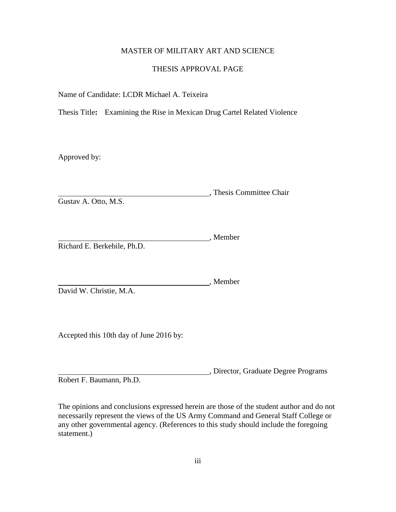# MASTER OF MILITARY ART AND SCIENCE

# THESIS APPROVAL PAGE

Name of Candidate: LCDR Michael A. Teixeira

Thesis Title**:** Examining the Rise in Mexican Drug Cartel Related Violence

Approved by:

, Thesis Committee Chair Gustav A. Otto, M.S.

, Member Richard E. Berkebile, Ph.D.

, Member David W. Christie, M.A.

Accepted this 10th day of June 2016 by:

, Director, Graduate Degree Programs Robert F. Baumann, Ph.D.

The opinions and conclusions expressed herein are those of the student author and do not necessarily represent the views of the US Army Command and General Staff College or any other governmental agency. (References to this study should include the foregoing statement.)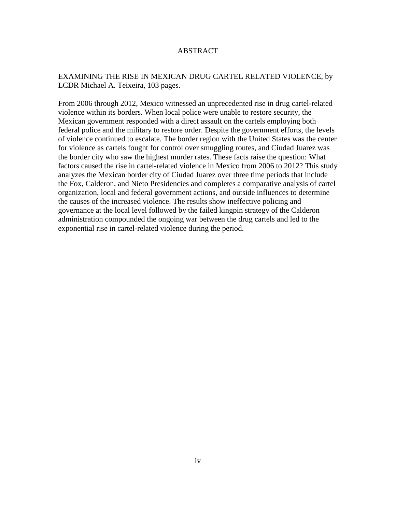# ABSTRACT

# EXAMINING THE RISE IN MEXICAN DRUG CARTEL RELATED VIOLENCE, by LCDR Michael A. Teixeira, 103 pages.

From 2006 through 2012, Mexico witnessed an unprecedented rise in drug cartel-related violence within its borders. When local police were unable to restore security, the Mexican government responded with a direct assault on the cartels employing both federal police and the military to restore order. Despite the government efforts, the levels of violence continued to escalate. The border region with the United States was the center for violence as cartels fought for control over smuggling routes, and Ciudad Juarez was the border city who saw the highest murder rates. These facts raise the question: What factors caused the rise in cartel-related violence in Mexico from 2006 to 2012? This study analyzes the Mexican border city of Ciudad Juarez over three time periods that include the Fox, Calderon, and Nieto Presidencies and completes a comparative analysis of cartel organization, local and federal government actions, and outside influences to determine the causes of the increased violence. The results show ineffective policing and governance at the local level followed by the failed kingpin strategy of the Calderon administration compounded the ongoing war between the drug cartels and led to the exponential rise in cartel-related violence during the period.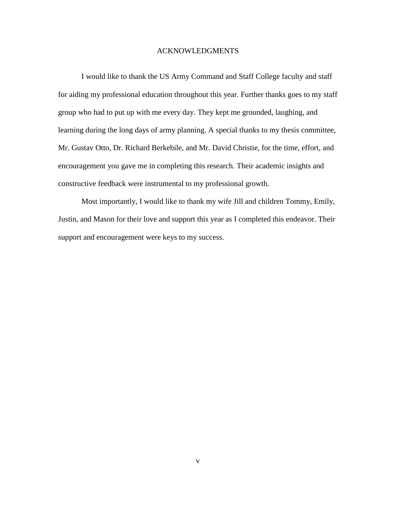# ACKNOWLEDGMENTS

I would like to thank the US Army Command and Staff College faculty and staff for aiding my professional education throughout this year. Further thanks goes to my staff group who had to put up with me every day. They kept me grounded, laughing, and learning during the long days of army planning. A special thanks to my thesis committee, Mr. Gustav Otto, Dr. Richard Berkebile, and Mr. David Christie, for the time, effort, and encouragement you gave me in completing this research. Their academic insights and constructive feedback were instrumental to my professional growth.

Most importantly, I would like to thank my wife Jill and children Tommy, Emily, Justin, and Mason for their love and support this year as I completed this endeavor. Their support and encouragement were keys to my success.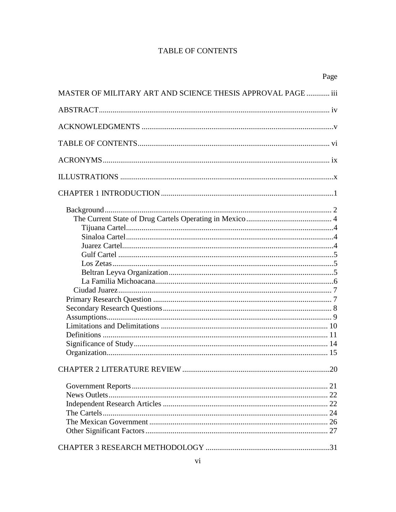# **TABLE OF CONTENTS**

|                                                                     | Page |
|---------------------------------------------------------------------|------|
| <b>MASTER OF MILITARY ART AND SCIENCE THESIS APPROVAL PAGE  iii</b> |      |
|                                                                     |      |
|                                                                     |      |
|                                                                     |      |
|                                                                     |      |
|                                                                     |      |
|                                                                     |      |
|                                                                     |      |
|                                                                     |      |
|                                                                     |      |
|                                                                     |      |
|                                                                     |      |
|                                                                     |      |
|                                                                     |      |
|                                                                     |      |
|                                                                     |      |
|                                                                     |      |
|                                                                     |      |
|                                                                     |      |
|                                                                     |      |
|                                                                     |      |
|                                                                     |      |
|                                                                     |      |
|                                                                     |      |
|                                                                     |      |
|                                                                     |      |
|                                                                     |      |
|                                                                     |      |
|                                                                     |      |
|                                                                     |      |
|                                                                     |      |
|                                                                     |      |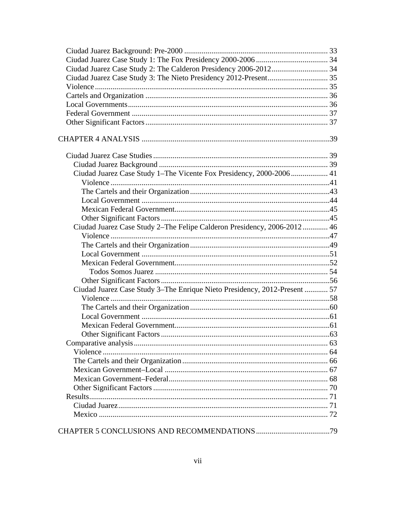| Ciudad Juarez Case Study 1-The Vicente Fox Presidency, 2000-2006 41       |  |
|---------------------------------------------------------------------------|--|
|                                                                           |  |
|                                                                           |  |
|                                                                           |  |
|                                                                           |  |
|                                                                           |  |
| Ciudad Juarez Case Study 2–The Felipe Calderon Presidency, 2006-2012 46   |  |
|                                                                           |  |
|                                                                           |  |
|                                                                           |  |
|                                                                           |  |
|                                                                           |  |
|                                                                           |  |
| Ciudad Juarez Case Study 3–The Enrique Nieto Presidency, 2012-Present  57 |  |
|                                                                           |  |
|                                                                           |  |
|                                                                           |  |
|                                                                           |  |
|                                                                           |  |
|                                                                           |  |
|                                                                           |  |
|                                                                           |  |
|                                                                           |  |
|                                                                           |  |
|                                                                           |  |
|                                                                           |  |
|                                                                           |  |
|                                                                           |  |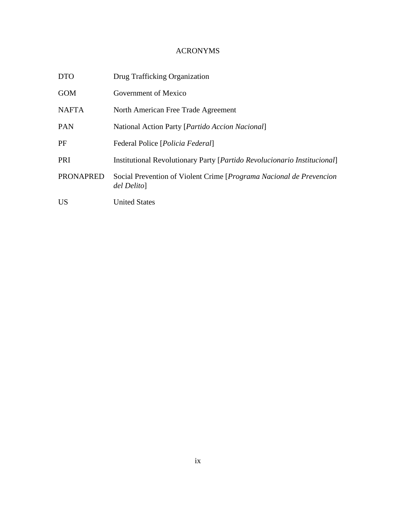# ACRONYMS

| <b>DTO</b>       | Drug Trafficking Organization                                                             |
|------------------|-------------------------------------------------------------------------------------------|
| <b>GOM</b>       | Government of Mexico                                                                      |
| <b>NAFTA</b>     | North American Free Trade Agreement                                                       |
| <b>PAN</b>       | National Action Party [ <i>Partido Accion Nacional</i> ]                                  |
| PF               | Federal Police [ <i>Policia Federal</i> ]                                                 |
| PRI              | <b>Institutional Revolutionary Party [Partido Revolucionario Institucional]</b>           |
| <b>PRONAPRED</b> | Social Prevention of Violent Crime [ <i>Programa Nacional de Prevencion</i><br>del Delito |
| <b>US</b>        | <b>United States</b>                                                                      |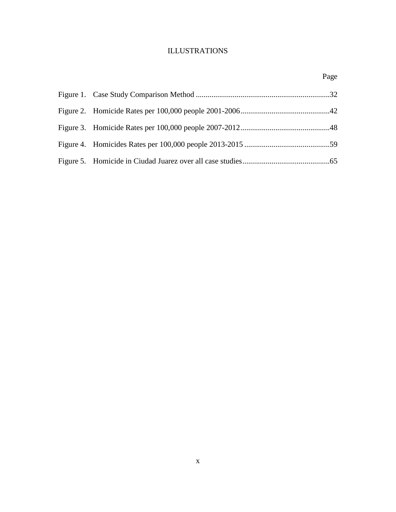# ILLUSTRATIONS

# Page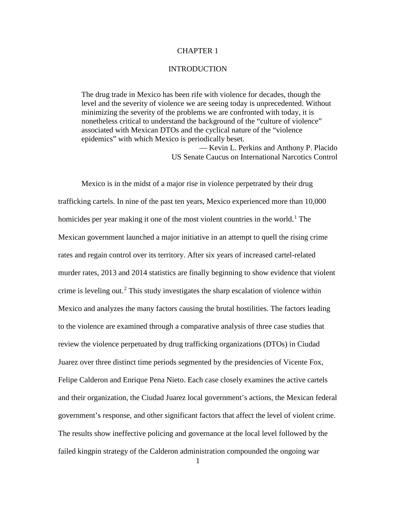# CHAPTER 1

#### **INTRODUCTION**

The drug trade in Mexico has been rife with violence for decades, though the level and the severity of violence we are seeing today is unprecedented. Without minimizing the severity of the problems we are confronted with today, it is nonetheless critical to understand the background of the "culture of violence" associated with Mexican DTOs and the cyclical nature of the "violence epidemics" with which Mexico is periodically beset. — Kevin L. Perkins and Anthony P. Placido US Senate Caucus on International Narcotics Control

Mexico is in the midst of a major rise in violence perpetrated by their drug trafficking cartels. In nine of the past ten years, Mexico experienced more than 10,000 homicides per year making it one of the most violent countries in the world.<sup>[1](#page-25-0)</sup> The Mexican government launched a major initiative in an attempt to quell the rising crime rates and regain control over its territory. After six years of increased cartel-related murder rates, 2013 and 2014 statistics are finally beginning to show evidence that violent crime is leveling out.<sup>[2](#page-25-1)</sup> This study investigates the sharp escalation of violence within Mexico and analyzes the many factors causing the brutal hostilities. The factors leading to the violence are examined through a comparative analysis of three case studies that review the violence perpetuated by drug trafficking organizations (DTOs) in Ciudad Juarez over three distinct time periods segmented by the presidencies of Vicente Fox, Felipe Calderon and Enrique Pena Nieto. Each case closely examines the active cartels and their organization, the Ciudad Juarez local government's actions, the Mexican federal government's response, and other significant factors that affect the level of violent crime. The results show ineffective policing and governance at the local level followed by the failed kingpin strategy of the Calderon administration compounded the ongoing war

1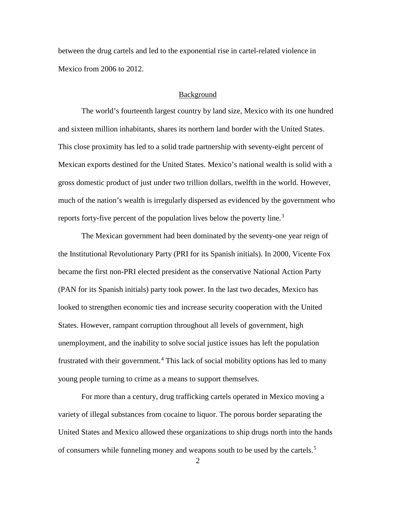between the drug cartels and led to the exponential rise in cartel-related violence in Mexico from 2006 to 2012.

#### Background

The world's fourteenth largest country by land size, Mexico with its one hundred and sixteen million inhabitants, shares its northern land border with the United States. This close proximity has led to a solid trade partnership with seventy-eight percent of Mexican exports destined for the United States. Mexico's national wealth is solid with a gross domestic product of just under two trillion dollars, twelfth in the world. However, much of the nation's wealth is irregularly dispersed as evidenced by the government who reports forty-five percent of the population lives below the poverty line.<sup>[3](#page-26-0)</sup>

The Mexican government had been dominated by the seventy-one year reign of the Institutional Revolutionary Party (PRI for its Spanish initials). In 2000, Vicente Fox became the first non-PRI elected president as the conservative National Action Party (PAN for its Spanish initials) party took power. In the last two decades, Mexico has looked to strengthen economic ties and increase security cooperation with the United States. However, rampant corruption throughout all levels of government, high unemployment, and the inability to solve social justice issues has left the population frustrated with their government.<sup>[4](#page-26-1)</sup> This lack of social mobility options has led to many young people turning to crime as a means to support themselves.

For more than a century, drug trafficking cartels operated in Mexico moving a variety of illegal substances from cocaine to liquor. The porous border separating the United States and Mexico allowed these organizations to ship drugs north into the hands of consumers while funneling money and weapons south to be used by the cartels.[5](#page-26-2)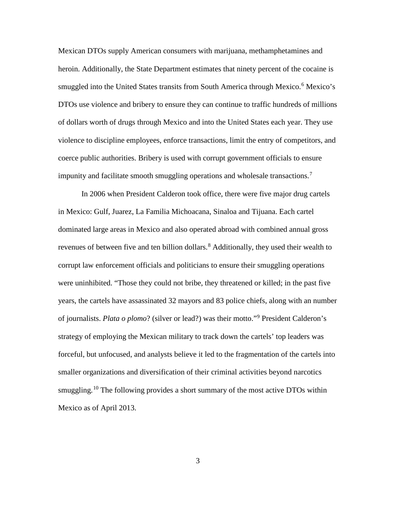Mexican DTOs supply American consumers with marijuana, methamphetamines and heroin. Additionally, the State Department estimates that ninety percent of the cocaine is smuggled into the United States transits from South America through Mexico.<sup>[6](#page-27-0)</sup> Mexico's DTOs use violence and bribery to ensure they can continue to traffic hundreds of millions of dollars worth of drugs through Mexico and into the United States each year. They use violence to discipline employees, enforce transactions, limit the entry of competitors, and coerce public authorities. Bribery is used with corrupt government officials to ensure impunity and facilitate smooth smuggling operations and wholesale transactions.[7](#page-27-1)

In 2006 when President Calderon took office, there were five major drug cartels in Mexico: Gulf, Juarez, La Familia Michoacana, Sinaloa and Tijuana. Each cartel dominated large areas in Mexico and also operated abroad with combined annual gross revenues of between five and ten billion dollars.<sup>[8](#page-27-2)</sup> Additionally, they used their wealth to corrupt law enforcement officials and politicians to ensure their smuggling operations were uninhibited. "Those they could not bribe, they threatened or killed; in the past five years, the cartels have assassinated 32 mayors and 83 police chiefs, along with an number of journalists. *Plata o plomo*? (silver or lead?) was their motto."[9](#page-27-3) President Calderon's strategy of employing the Mexican military to track down the cartels' top leaders was forceful, but unfocused, and analysts believe it led to the fragmentation of the cartels into smaller organizations and diversification of their criminal activities beyond narcotics smuggling.<sup>[10](#page-27-4)</sup> The following provides a short summary of the most active DTOs within Mexico as of April 2013.

3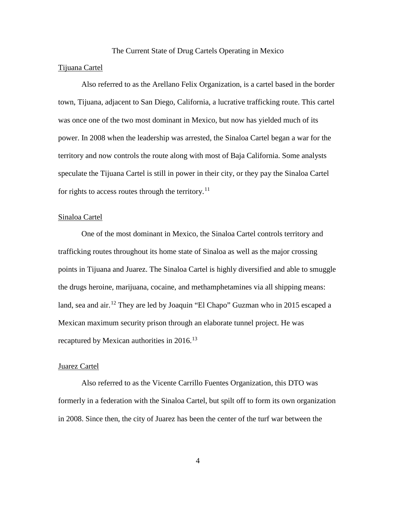#### The Current State of Drug Cartels Operating in Mexico

#### Tijuana Cartel

Also referred to as the Arellano Felix Organization, is a cartel based in the border town, Tijuana, adjacent to San Diego, California, a lucrative trafficking route. This cartel was once one of the two most dominant in Mexico, but now has yielded much of its power. In 2008 when the leadership was arrested, the Sinaloa Cartel began a war for the territory and now controls the route along with most of Baja California. Some analysts speculate the Tijuana Cartel is still in power in their city, or they pay the Sinaloa Cartel for rights to access routes through the territory.<sup>[11](#page-28-0)</sup>

#### Sinaloa Cartel

One of the most dominant in Mexico, the Sinaloa Cartel controls territory and trafficking routes throughout its home state of Sinaloa as well as the major crossing points in Tijuana and Juarez. The Sinaloa Cartel is highly diversified and able to smuggle the drugs heroine, marijuana, cocaine, and methamphetamines via all shipping means: land, sea and air.<sup>[12](#page-28-1)</sup> They are led by Joaquin "El Chapo" Guzman who in 2015 escaped a Mexican maximum security prison through an elaborate tunnel project. He was recaptured by Mexican authorities in 2016.<sup>[13](#page-28-2)</sup>

#### Juarez Cartel

Also referred to as the Vicente Carrillo Fuentes Organization, this DTO was formerly in a federation with the Sinaloa Cartel, but spilt off to form its own organization in 2008. Since then, the city of Juarez has been the center of the turf war between the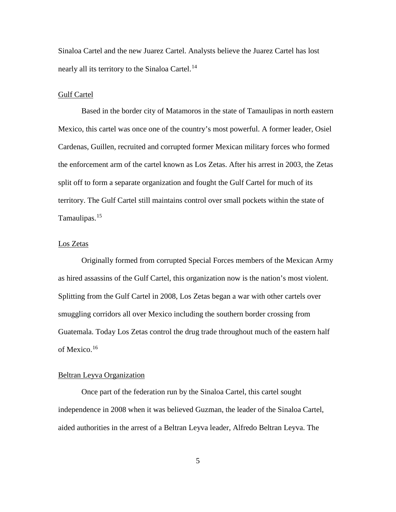Sinaloa Cartel and the new Juarez Cartel. Analysts believe the Juarez Cartel has lost nearly all its territory to the Sinaloa Cartel.<sup>[14](#page-29-0)</sup>

#### Gulf Cartel

Based in the border city of Matamoros in the state of Tamaulipas in north eastern Mexico, this cartel was once one of the country's most powerful. A former leader, Osiel Cardenas, Guillen, recruited and corrupted former Mexican military forces who formed the enforcement arm of the cartel known as Los Zetas. After his arrest in 2003, the Zetas split off to form a separate organization and fought the Gulf Cartel for much of its territory. The Gulf Cartel still maintains control over small pockets within the state of Tamaulipas.<sup>[15](#page-29-1)</sup>

# Los Zetas

Originally formed from corrupted Special Forces members of the Mexican Army as hired assassins of the Gulf Cartel, this organization now is the nation's most violent. Splitting from the Gulf Cartel in 2008, Los Zetas began a war with other cartels over smuggling corridors all over Mexico including the southern border crossing from Guatemala. Today Los Zetas control the drug trade throughout much of the eastern half of Mexico. [16](#page-29-2)

#### Beltran Leyva Organization

Once part of the federation run by the Sinaloa Cartel, this cartel sought independence in 2008 when it was believed Guzman, the leader of the Sinaloa Cartel, aided authorities in the arrest of a Beltran Leyva leader, Alfredo Beltran Leyva. The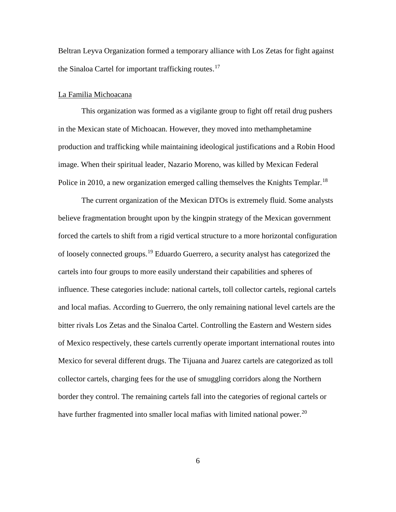Beltran Leyva Organization formed a temporary alliance with Los Zetas for fight against the Sinaloa Cartel for important trafficking routes.<sup>[17](#page-30-0)</sup>

#### La Familia Michoacana

This organization was formed as a vigilante group to fight off retail drug pushers in the Mexican state of Michoacan. However, they moved into methamphetamine production and trafficking while maintaining ideological justifications and a Robin Hood image. When their spiritual leader, Nazario Moreno, was killed by Mexican Federal Police in 2010, a new organization emerged calling themselves the Knights Templar.<sup>[18](#page-30-1)</sup>

The current organization of the Mexican DTOs is extremely fluid. Some analysts believe fragmentation brought upon by the kingpin strategy of the Mexican government forced the cartels to shift from a rigid vertical structure to a more horizontal configuration of loosely connected groups.<sup>[19](#page-30-2)</sup> Eduardo Guerrero, a security analyst has categorized the cartels into four groups to more easily understand their capabilities and spheres of influence. These categories include: national cartels, toll collector cartels, regional cartels and local mafias. According to Guerrero, the only remaining national level cartels are the bitter rivals Los Zetas and the Sinaloa Cartel. Controlling the Eastern and Western sides of Mexico respectively, these cartels currently operate important international routes into Mexico for several different drugs. The Tijuana and Juarez cartels are categorized as toll collector cartels, charging fees for the use of smuggling corridors along the Northern border they control. The remaining cartels fall into the categories of regional cartels or have further fragmented into smaller local mafias with limited national power.<sup>[20](#page-30-3)</sup>

6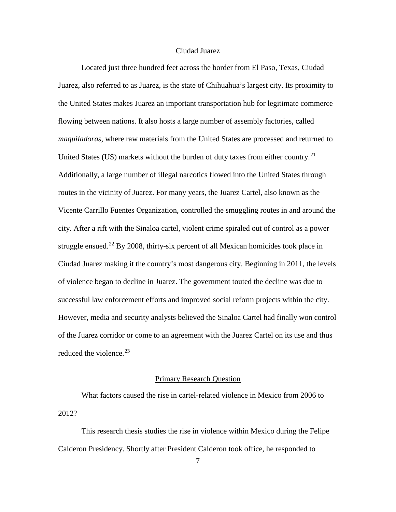# Ciudad Juarez

Located just three hundred feet across the border from El Paso, Texas, Ciudad Juarez, also referred to as Juarez, is the state of Chihuahua's largest city. Its proximity to the United States makes Juarez an important transportation hub for legitimate commerce flowing between nations. It also hosts a large number of assembly factories, called *maquiladoras*, where raw materials from the United States are processed and returned to United States (US) markets without the burden of duty taxes from either country.<sup>[21](#page-31-0)</sup> Additionally, a large number of illegal narcotics flowed into the United States through routes in the vicinity of Juarez. For many years, the Juarez Cartel, also known as the Vicente Carrillo Fuentes Organization, controlled the smuggling routes in and around the city. After a rift with the Sinaloa cartel, violent crime spiraled out of control as a power struggle ensued.<sup>[22](#page-31-1)</sup> By 2008, thirty-six percent of all Mexican homicides took place in Ciudad Juarez making it the country's most dangerous city. Beginning in 2011, the levels of violence began to decline in Juarez. The government touted the decline was due to successful law enforcement efforts and improved social reform projects within the city. However, media and security analysts believed the Sinaloa Cartel had finally won control of the Juarez corridor or come to an agreement with the Juarez Cartel on its use and thus reduced the violence.  $23$ 

# Primary Research Question

What factors caused the rise in cartel-related violence in Mexico from 2006 to 2012?

This research thesis studies the rise in violence within Mexico during the Felipe Calderon Presidency. Shortly after President Calderon took office, he responded to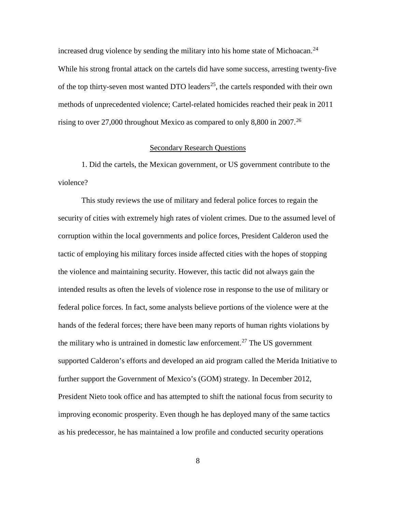increased drug violence by sending the military into his home state of Michoacan.<sup>[24](#page-32-0)</sup> While his strong frontal attack on the cartels did have some success, arresting twenty-five of the top thirty-seven most wanted DTO leaders<sup>25</sup>, the cartels responded with their own methods of unprecedented violence; Cartel-related homicides reached their peak in 2011 rising to over 27,000 throughout Mexico as compared to only 8,800 in 2007.<sup>[26](#page-32-2)</sup>

#### Secondary Research Questions

1. Did the cartels, the Mexican government, or US government contribute to the violence?

This study reviews the use of military and federal police forces to regain the security of cities with extremely high rates of violent crimes. Due to the assumed level of corruption within the local governments and police forces, President Calderon used the tactic of employing his military forces inside affected cities with the hopes of stopping the violence and maintaining security. However, this tactic did not always gain the intended results as often the levels of violence rose in response to the use of military or federal police forces. In fact, some analysts believe portions of the violence were at the hands of the federal forces; there have been many reports of human rights violations by the military who is untrained in domestic law enforcement.<sup>[27](#page-32-3)</sup> The US government supported Calderon's efforts and developed an aid program called the Merida Initiative to further support the Government of Mexico's (GOM) strategy. In December 2012, President Nieto took office and has attempted to shift the national focus from security to improving economic prosperity. Even though he has deployed many of the same tactics as his predecessor, he has maintained a low profile and conducted security operations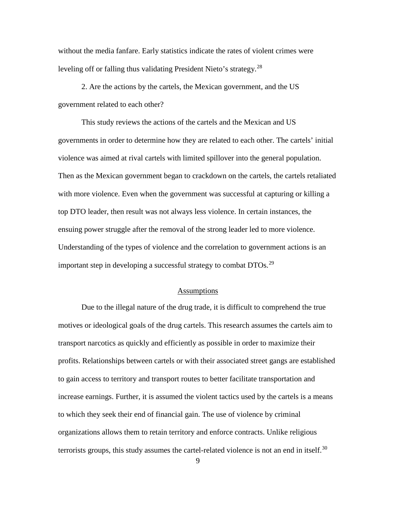without the media fanfare. Early statistics indicate the rates of violent crimes were leveling off or falling thus validating President Nieto's strategy.<sup>[28](#page-33-0)</sup>

2. Are the actions by the cartels, the Mexican government, and the US government related to each other?

This study reviews the actions of the cartels and the Mexican and US governments in order to determine how they are related to each other. The cartels' initial violence was aimed at rival cartels with limited spillover into the general population. Then as the Mexican government began to crackdown on the cartels, the cartels retaliated with more violence. Even when the government was successful at capturing or killing a top DTO leader, then result was not always less violence. In certain instances, the ensuing power struggle after the removal of the strong leader led to more violence. Understanding of the types of violence and the correlation to government actions is an important step in developing a successful strategy to combat  $DTOs<sup>29</sup>$  $DTOs<sup>29</sup>$  $DTOs<sup>29</sup>$ 

# **Assumptions**

Due to the illegal nature of the drug trade, it is difficult to comprehend the true motives or ideological goals of the drug cartels. This research assumes the cartels aim to transport narcotics as quickly and efficiently as possible in order to maximize their profits. Relationships between cartels or with their associated street gangs are established to gain access to territory and transport routes to better facilitate transportation and increase earnings. Further, it is assumed the violent tactics used by the cartels is a means to which they seek their end of financial gain. The use of violence by criminal organizations allows them to retain territory and enforce contracts. Unlike religious terrorists groups, this study assumes the cartel-related violence is not an end in itself.<sup>[30](#page-33-2)</sup>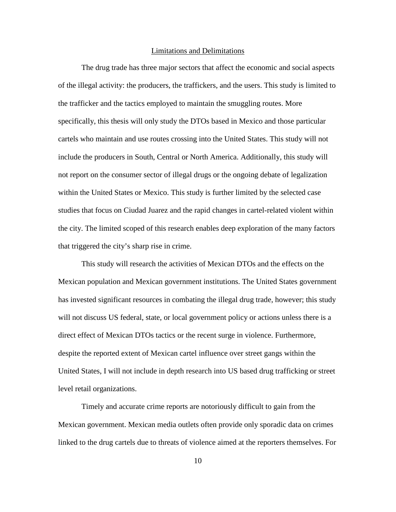#### Limitations and Delimitations

The drug trade has three major sectors that affect the economic and social aspects of the illegal activity: the producers, the traffickers, and the users. This study is limited to the trafficker and the tactics employed to maintain the smuggling routes. More specifically, this thesis will only study the DTOs based in Mexico and those particular cartels who maintain and use routes crossing into the United States. This study will not include the producers in South, Central or North America. Additionally, this study will not report on the consumer sector of illegal drugs or the ongoing debate of legalization within the United States or Mexico. This study is further limited by the selected case studies that focus on Ciudad Juarez and the rapid changes in cartel-related violent within the city. The limited scoped of this research enables deep exploration of the many factors that triggered the city's sharp rise in crime.

This study will research the activities of Mexican DTOs and the effects on the Mexican population and Mexican government institutions. The United States government has invested significant resources in combating the illegal drug trade, however; this study will not discuss US federal, state, or local government policy or actions unless there is a direct effect of Mexican DTOs tactics or the recent surge in violence. Furthermore, despite the reported extent of Mexican cartel influence over street gangs within the United States, I will not include in depth research into US based drug trafficking or street level retail organizations.

Timely and accurate crime reports are notoriously difficult to gain from the Mexican government. Mexican media outlets often provide only sporadic data on crimes linked to the drug cartels due to threats of violence aimed at the reporters themselves. For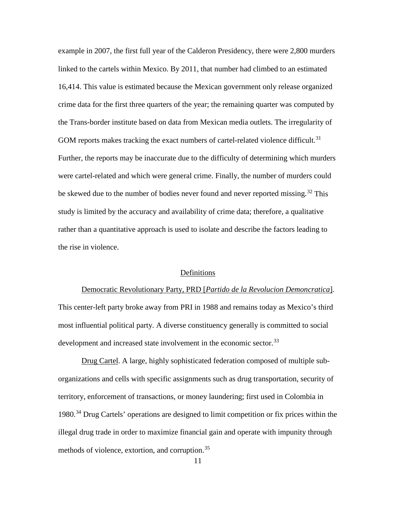example in 2007, the first full year of the Calderon Presidency, there were 2,800 murders linked to the cartels within Mexico. By 2011, that number had climbed to an estimated 16,414. This value is estimated because the Mexican government only release organized crime data for the first three quarters of the year; the remaining quarter was computed by the Trans-border institute based on data from Mexican media outlets. The irregularity of GOM reports makes tracking the exact numbers of cartel-related violence difficult.<sup>[31](#page-34-0)</sup> Further, the reports may be inaccurate due to the difficulty of determining which murders were cartel-related and which were general crime. Finally, the number of murders could be skewed due to the number of bodies never found and never reported missing.<sup>[32](#page-34-1)</sup> This study is limited by the accuracy and availability of crime data; therefore, a qualitative rather than a quantitative approach is used to isolate and describe the factors leading to the rise in violence.

#### Definitions

Democratic Revolutionary Party, PRD [*Partido de la Revolucion Demoncratica*]. This center-left party broke away from PRI in 1988 and remains today as Mexico's third most influential political party. A diverse constituency generally is committed to social development and increased state involvement in the economic sector.<sup>[33](#page-34-2)</sup>

Drug Cartel. A large, highly sophisticated federation composed of multiple suborganizations and cells with specific assignments such as drug transportation, security of territory, enforcement of transactions, or money laundering; first used in Colombia in 1980. [34](#page-34-3) Drug Cartels' operations are designed to limit competition or fix prices within the illegal drug trade in order to maximize financial gain and operate with impunity through methods of violence, extortion, and corruption.<sup>[35](#page-34-4)</sup>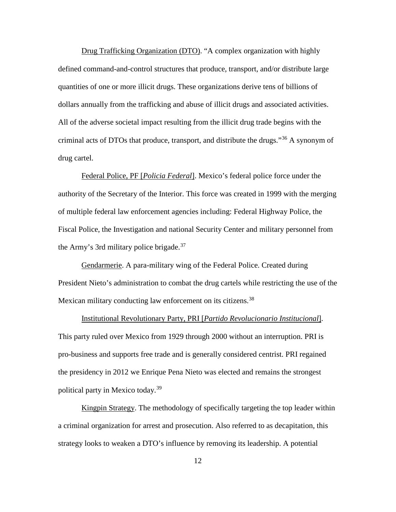Drug Trafficking Organization (DTO). "A complex organization with highly defined command-and-control structures that produce, transport, and/or distribute large quantities of one or more illicit drugs. These organizations derive tens of billions of dollars annually from the trafficking and abuse of illicit drugs and associated activities. All of the adverse societal impact resulting from the illicit drug trade begins with the criminal acts of DTOs that produce, transport, and distribute the drugs."[36](#page-35-0) A synonym of drug cartel.

Federal Police, PF [*Policia Federal*]. Mexico's federal police force under the authority of the Secretary of the Interior. This force was created in 1999 with the merging of multiple federal law enforcement agencies including: Federal Highway Police, the Fiscal Police, the Investigation and national Security Center and military personnel from the Army's 3rd military police brigade.<sup>[37](#page-35-1)</sup>

Gendarmerie. A para-military wing of the Federal Police. Created during President Nieto's administration to combat the drug cartels while restricting the use of the Mexican military conducting law enforcement on its citizens.<sup>[38](#page-35-2)</sup>

Institutional Revolutionary Party, PRI [*Partido Revolucionario Institucional*]. This party ruled over Mexico from 1929 through 2000 without an interruption. PRI is pro-business and supports free trade and is generally considered centrist. PRI regained the presidency in 2012 we Enrique Pena Nieto was elected and remains the strongest political party in Mexico today.<sup>[39](#page-35-3)</sup>

Kingpin Strategy. The methodology of specifically targeting the top leader within a criminal organization for arrest and prosecution. Also referred to as decapitation, this strategy looks to weaken a DTO's influence by removing its leadership. A potential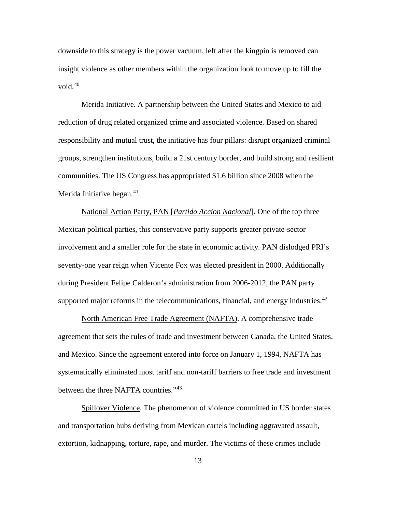downside to this strategy is the power vacuum, left after the kingpin is removed can insight violence as other members within the organization look to move up to fill the void. $40$ 

Merida Initiative. A partnership between the United States and Mexico to aid reduction of drug related organized crime and associated violence. Based on shared responsibility and mutual trust, the initiative has four pillars: disrupt organized criminal groups, strengthen institutions, build a 21st century border, and build strong and resilient communities. The US Congress has appropriated \$1.6 billion since 2008 when the Merida Initiative began. $41$ 

National Action Party, PAN [*Partido Accion Nacional*]. One of the top three Mexican political parties, this conservative party supports greater private-sector involvement and a smaller role for the state in economic activity. PAN dislodged PRI's seventy-one year reign when Vicente Fox was elected president in 2000. Additionally during President Felipe Calderon's administration from 2006-2012, the PAN party supported major reforms in the telecommunications, financial, and energy industries. $42$ 

North American Free Trade Agreement (NAFTA). A comprehensive trade agreement that sets the rules of trade and investment between Canada, the United States, and Mexico. Since the agreement entered into force on January 1, 1994, NAFTA has systematically eliminated most tariff and non-tariff barriers to free trade and investment between the three NAFTA countries."<sup>[43](#page-36-3)</sup>

Spillover Violence. The phenomenon of violence committed in US border states and transportation hubs deriving from Mexican cartels including aggravated assault, extortion, kidnapping, torture, rape, and murder. The victims of these crimes include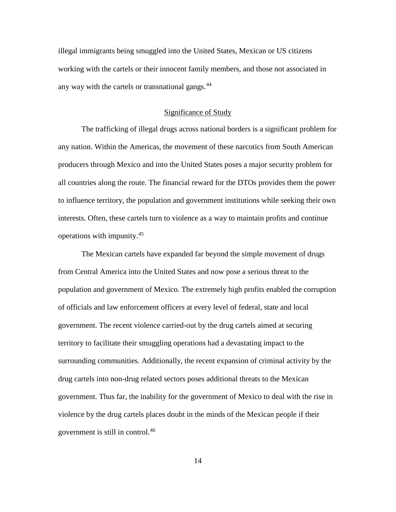illegal immigrants being smuggled into the United States, Mexican or US citizens working with the cartels or their innocent family members, and those not associated in any way with the cartels or transnational gangs.<sup>[44](#page-37-0)</sup>

#### Significance of Study

The trafficking of illegal drugs across national borders is a significant problem for any nation. Within the Americas, the movement of these narcotics from South American producers through Mexico and into the United States poses a major security problem for all countries along the route. The financial reward for the DTOs provides them the power to influence territory, the population and government institutions while seeking their own interests. Often, these cartels turn to violence as a way to maintain profits and continue operations with impunity.[45](#page-37-1)

The Mexican cartels have expanded far beyond the simple movement of drugs from Central America into the United States and now pose a serious threat to the population and government of Mexico. The extremely high profits enabled the corruption of officials and law enforcement officers at every level of federal, state and local government. The recent violence carried-out by the drug cartels aimed at securing territory to facilitate their smuggling operations had a devastating impact to the surrounding communities. Additionally, the recent expansion of criminal activity by the drug cartels into non-drug related sectors poses additional threats to the Mexican government. Thus far, the inability for the government of Mexico to deal with the rise in violence by the drug cartels places doubt in the minds of the Mexican people if their government is still in control.[46](#page-37-2)

14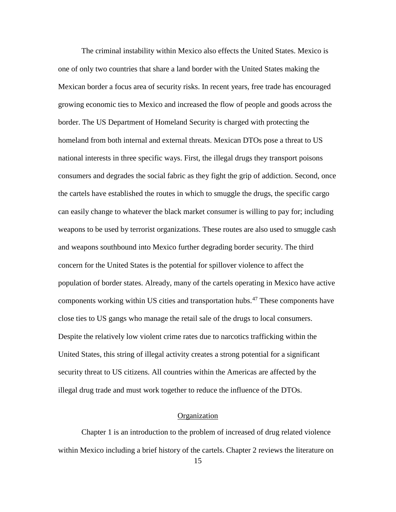The criminal instability within Mexico also effects the United States. Mexico is one of only two countries that share a land border with the United States making the Mexican border a focus area of security risks. In recent years, free trade has encouraged growing economic ties to Mexico and increased the flow of people and goods across the border. The US Department of Homeland Security is charged with protecting the homeland from both internal and external threats. Mexican DTOs pose a threat to US national interests in three specific ways. First, the illegal drugs they transport poisons consumers and degrades the social fabric as they fight the grip of addiction. Second, once the cartels have established the routes in which to smuggle the drugs, the specific cargo can easily change to whatever the black market consumer is willing to pay for; including weapons to be used by terrorist organizations. These routes are also used to smuggle cash and weapons southbound into Mexico further degrading border security. The third concern for the United States is the potential for spillover violence to affect the population of border states. Already, many of the cartels operating in Mexico have active components working within US cities and transportation hubs.<sup>[47](#page-38-0)</sup> These components have close ties to US gangs who manage the retail sale of the drugs to local consumers. Despite the relatively low violent crime rates due to narcotics trafficking within the United States, this string of illegal activity creates a strong potential for a significant security threat to US citizens. All countries within the Americas are affected by the illegal drug trade and must work together to reduce the influence of the DTOs.

#### Organization

Chapter 1 is an introduction to the problem of increased of drug related violence within Mexico including a brief history of the cartels. Chapter 2 reviews the literature on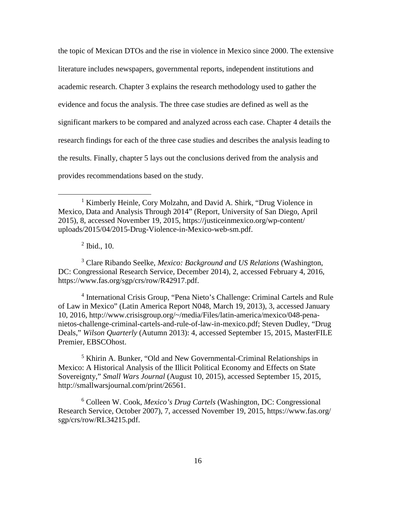the topic of Mexican DTOs and the rise in violence in Mexico since 2000. The extensive literature includes newspapers, governmental reports, independent institutions and academic research. Chapter 3 explains the research methodology used to gather the evidence and focus the analysis. The three case studies are defined as well as the significant markers to be compared and analyzed across each case. Chapter 4 details the research findings for each of the three case studies and describes the analysis leading to the results. Finally, chapter 5 lays out the conclusions derived from the analysis and provides recommendations based on the study.

 $<sup>2</sup>$  Ibid., 10.</sup>

 $\overline{a}$ 

<span id="page-25-1"></span><sup>3</sup> Clare Ribando Seelke, *Mexico: Background and US Relations* (Washington, DC: Congressional Research Service, December 2014), 2, accessed February 4, 2016, https://www.fas.org/sgp/crs/row/R42917.pdf.

<sup>4</sup> International Crisis Group, "Pena Nieto's Challenge: Criminal Cartels and Rule of Law in Mexico" (Latin America Report N048, March 19, 2013), 3, accessed January 10, 2016, http://www.crisisgroup.org/~/media/Files/latin-america/mexico/048-penanietos-challenge-criminal-cartels-and-rule-of-law-in-mexico.pdf; Steven Dudley, "Drug Deals," *Wilson Quarterly* (Autumn 2013): 4, accessed September 15, 2015, MasterFILE Premier, EBSCOhost.

<sup>5</sup> Khirin A. Bunker, "Old and New Governmental-Criminal Relationships in Mexico: A Historical Analysis of the Illicit Political Economy and Effects on State Sovereignty," *Small Wars Journal* (August 10, 2015), accessed September 15, 2015, http://smallwarsjournal.com/print/26561.

<sup>6</sup> Colleen W. Cook, *Mexico's Drug Cartels* (Washington, DC: Congressional Research Service, October 2007), 7, accessed November 19, 2015, https://www.fas.org/ sgp/crs/row/RL34215.pdf.

<span id="page-25-0"></span><sup>&</sup>lt;sup>1</sup> Kimberly Heinle, Cory Molzahn, and David A. Shirk, "Drug Violence in Mexico, Data and Analysis Through 2014" (Report, University of San Diego, April 2015), 8, accessed November 19, 2015, https://justiceinmexico.org/wp-content/ uploads/2015/04/2015-Drug-Violence-in-Mexico-web-sm.pdf.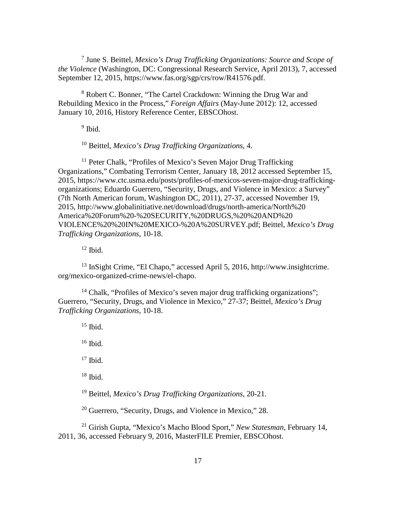<sup>7</sup> June S. Beittel, *Mexico's Drug Trafficking Organizations: Source and Scope of the Violence* (Washington, DC: Congressional Research Service, April 2013), 7, accessed September 12, 2015, https://www.fas.org/sgp/crs/row/R41576.pdf.

<sup>8</sup> Robert C. Bonner, "The Cartel Crackdown: Winning the Drug War and Rebuilding Mexico in the Process," *Foreign Affairs* (May-June 2012): 12, accessed January 10, 2016, History Reference Center, EBSCOhost.

 $9$  Ibid.

<sup>10</sup> Beittel, *Mexico's Drug Trafficking Organizations*, 4.

<sup>11</sup> Peter Chalk, "Profiles of Mexico's Seven Major Drug Trafficking Organizations," Combating Terrorism Center, January 18, 2012 accessed September 15, 2015, https://www.ctc.usma.edu/posts/profiles-of-mexicos-seven-major-drug-traffickingorganizations; Eduardo Guerrero, "Security, Drugs, and Violence in Mexico: a Survey" (7th North American forum, Washington DC, 2011), 27-37, accessed November 19, 2015, http://www.globalinitiative.net/download/drugs/north-america/North%20 America%20Forum%20-%20SECURITY,%20DRUGS,%20%20AND%20 VIOLENCE%20%20IN%20MEXICO-%20A%20SURVEY.pdf; Beittel, *Mexico's Drug Trafficking Organizations*, 10-18.

 $12$  Ibid.

<span id="page-26-0"></span><sup>13</sup> InSight Crime, "El Chapo," accessed April 5, 2016, http://www.insightcrime. org/mexico-organized-crime-news/el-chapo.

<span id="page-26-1"></span> $14$  Chalk, "Profiles of Mexico's seven major drug trafficking organizations"; Guerrero, "Security, Drugs, and Violence in Mexico," 27-37; Beittel, *Mexico's Drug Trafficking Organizations*, 10-18.

 $15$  Ibid.

 $16$  Ibid.

<span id="page-26-2"></span> $17$  Ibid.

 $18$  Ibid.

<sup>19</sup> Beittel, *Mexico's Drug Trafficking Organizations*, 20-21.

<sup>20</sup> Guerrero, "Security, Drugs, and Violence in Mexico," 28.

<sup>21</sup> Girish Gupta, "Mexico's Macho Blood Sport," *New Statesman*, February 14, 2011, 36, accessed February 9, 2016, MasterFILE Premier, EBSCOhost.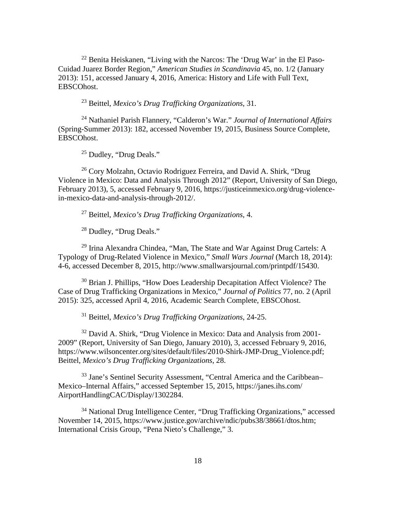<span id="page-27-1"></span> $^{22}$  Benita Heiskanen, "Living with the Narcos: The 'Drug War' in the El Paso-Cuidad Juarez Border Region," *American Studies in Scandinavia* 45, no. 1/2 (January 2013): 151, accessed January 4, 2016, America: History and Life with Full Text, EBSCOhost.

<sup>23</sup> Beittel, *Mexico's Drug Trafficking Organizations*, 31.

<span id="page-27-3"></span><span id="page-27-2"></span><sup>24</sup> Nathaniel Parish Flannery, "Calderon's War." *Journal of International Affairs* (Spring-Summer 2013): 182, accessed November 19, 2015, Business Source Complete, EBSCOhost.

<sup>25</sup> Dudley, "Drug Deals."

<span id="page-27-4"></span><sup>26</sup> Cory Molzahn, Octavio Rodriguez Ferreira, and David A. Shirk, "Drug Violence in Mexico: Data and Analysis Through 2012" (Report, University of San Diego, February 2013), 5, accessed February 9, 2016, https://justiceinmexico.org/drug-violencein-mexico-data-and-analysis-through-2012/.

<sup>27</sup> Beittel, *Mexico's Drug Trafficking Organizations*, 4.

<sup>28</sup> Dudley, "Drug Deals."

<sup>29</sup> Irina Alexandra Chindea, "Man, The State and War Against Drug Cartels: A Typology of Drug-Related Violence in Mexico," *Small Wars Journal* (March 18, 2014): 4-6, accessed December 8, 2015, http://www.smallwarsjournal.com/printpdf/15430.

<sup>30</sup> Brian J. Phillips, "How Does Leadership Decapitation Affect Violence? The Case of Drug Trafficking Organizations in Mexico," *Journal of Politics* 77, no. 2 (April 2015): 325, accessed April 4, 2016, Academic Search Complete, EBSCOhost.

<sup>31</sup> Beittel, *Mexico's Drug Trafficking Organizations*, 24-25.

<sup>32</sup> David A. Shirk, "Drug Violence in Mexico: Data and Analysis from 2001-2009" (Report, University of San Diego, January 2010), 3, accessed February 9, 2016, https://www.wilsoncenter.org/sites/default/files/2010-Shirk-JMP-Drug\_Violence.pdf; Beittel, *Mexico's Drug Trafficking Organizations*, 28.

<sup>33</sup> Jane's Sentinel Security Assessment, "Central America and the Caribbean– Mexico–Internal Affairs," accessed September 15, 2015, https://janes.ihs.com/ AirportHandlingCAC/Display/1302284.

<span id="page-27-0"></span><sup>34</sup> National Drug Intelligence Center, "Drug Trafficking Organizations," accessed November 14, 2015, https://www.justice.gov/archive/ndic/pubs38/38661/dtos.htm; International Crisis Group, "Pena Nieto's Challenge," 3.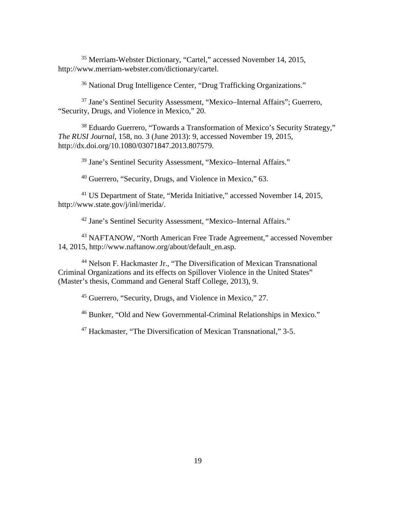<sup>35</sup> Merriam-Webster Dictionary, "Cartel," accessed November 14, 2015, http://www.merriam-webster.com/dictionary/cartel.

<sup>36</sup> National Drug Intelligence Center, "Drug Trafficking Organizations."

<sup>37</sup> Jane's Sentinel Security Assessment, "Mexico–Internal Affairs"; Guerrero, "Security, Drugs, and Violence in Mexico," 20.

<sup>38</sup> Eduardo Guerrero, "Towards a Transformation of Mexico's Security Strategy," *The RUSI Journal*, 158, no. 3 (June 2013): 9, accessed November 19, 2015, http://dx.doi.org/10.1080/03071847.2013.807579.

<sup>39</sup> Jane's Sentinel Security Assessment, "Mexico–Internal Affairs."

<sup>40</sup> Guerrero, "Security, Drugs, and Violence in Mexico," 63.

<span id="page-28-0"></span><sup>41</sup> US Department of State, "Merida Initiative," accessed November 14, 2015, http://www.state.gov/j/inl/merida/.

<sup>42</sup> Jane's Sentinel Security Assessment, "Mexico–Internal Affairs."

<sup>43</sup> NAFTANOW, "North American Free Trade Agreement," accessed November 14, 2015, http://www.naftanow.org/about/default\_en.asp.

<span id="page-28-2"></span><span id="page-28-1"></span><sup>44</sup> Nelson F. Hackmaster Jr., "The Diversification of Mexican Transnational Criminal Organizations and its effects on Spillover Violence in the United States" (Master's thesis, Command and General Staff College, 2013), 9.

<sup>45</sup> Guerrero, "Security, Drugs, and Violence in Mexico," 27.

<sup>46</sup> Bunker, "Old and New Governmental-Criminal Relationships in Mexico."

<sup>47</sup> Hackmaster, "The Diversification of Mexican Transnational," 3-5.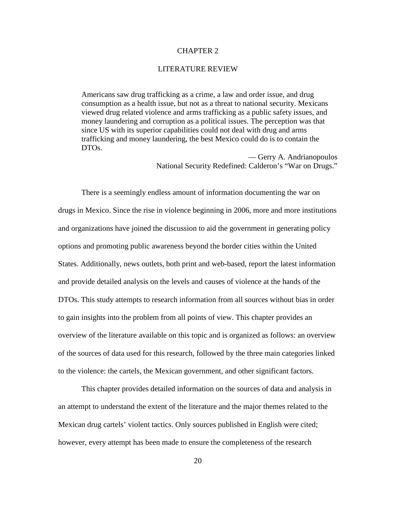# CHAPTER 2

#### LITERATURE REVIEW

Americans saw drug trafficking as a crime, a law and order issue, and drug consumption as a health issue, but not as a threat to national security. Mexicans viewed drug related violence and arms trafficking as a public safety issues, and money laundering and corruption as a political issues. The perception was that since US with its superior capabilities could not deal with drug and arms trafficking and money laundering, the best Mexico could do is to contain the DTOs.

> — Gerry A. Andrianopoulos National Security Redefined: Calderon's "War on Drugs."

There is a seemingly endless amount of information documenting the war on drugs in Mexico. Since the rise in violence beginning in 2006, more and more institutions and organizations have joined the discussion to aid the government in generating policy options and promoting public awareness beyond the border cities within the United States. Additionally, news outlets, both print and web-based, report the latest information and provide detailed analysis on the levels and causes of violence at the hands of the DTOs. This study attempts to research information from all sources without bias in order to gain insights into the problem from all points of view. This chapter provides an overview of the literature available on this topic and is organized as follows: an overview of the sources of data used for this research, followed by the three main categories linked to the violence: the cartels, the Mexican government, and other significant factors.

<span id="page-29-2"></span><span id="page-29-1"></span><span id="page-29-0"></span>This chapter provides detailed information on the sources of data and analysis in an attempt to understand the extent of the literature and the major themes related to the Mexican drug cartels' violent tactics. Only sources published in English were cited; however, every attempt has been made to ensure the completeness of the research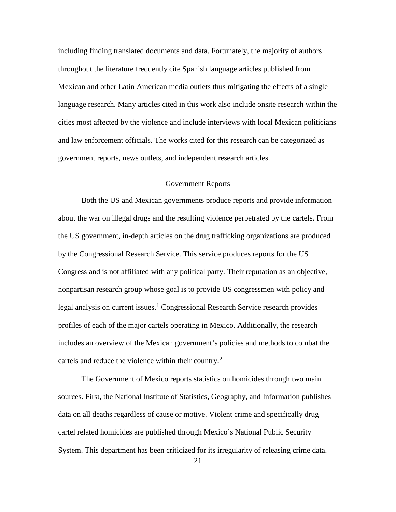including finding translated documents and data. Fortunately, the majority of authors throughout the literature frequently cite Spanish language articles published from Mexican and other Latin American media outlets thus mitigating the effects of a single language research. Many articles cited in this work also include onsite research within the cities most affected by the violence and include interviews with local Mexican politicians and law enforcement officials. The works cited for this research can be categorized as government reports, news outlets, and independent research articles.

# Government Reports

Both the US and Mexican governments produce reports and provide information about the war on illegal drugs and the resulting violence perpetrated by the cartels. From the US government, in-depth articles on the drug trafficking organizations are produced by the Congressional Research Service. This service produces reports for the US Congress and is not affiliated with any political party. Their reputation as an objective, nonpartisan research group whose goal is to provide US congressmen with policy and legal analysis on current issues.<sup>[1](#page-51-0)</sup> Congressional Research Service research provides profiles of each of the major cartels operating in Mexico. Additionally, the research includes an overview of the Mexican government's policies and methods to combat the cartels and reduce the violence within their country.<sup>[2](#page-51-1)</sup>

<span id="page-30-3"></span><span id="page-30-2"></span><span id="page-30-1"></span><span id="page-30-0"></span>The Government of Mexico reports statistics on homicides through two main sources. First, the National Institute of Statistics, Geography, and Information publishes data on all deaths regardless of cause or motive. Violent crime and specifically drug cartel related homicides are published through Mexico's National Public Security System. This department has been criticized for its irregularity of releasing crime data.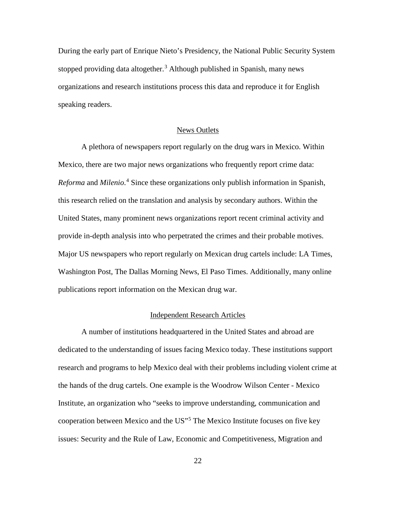<span id="page-31-1"></span>During the early part of Enrique Nieto's Presidency, the National Public Security System stopped providing data altogether.<sup>[3](#page-52-0)</sup> Although published in Spanish, many news organizations and research institutions process this data and reproduce it for English speaking readers.

#### News Outlets

<span id="page-31-2"></span>A plethora of newspapers report regularly on the drug wars in Mexico. Within Mexico, there are two major news organizations who frequently report crime data: *Reforma* and *Milenio*. [4](#page-52-1) Since these organizations only publish information in Spanish, this research relied on the translation and analysis by secondary authors. Within the United States, many prominent news organizations report recent criminal activity and provide in-depth analysis into who perpetrated the crimes and their probable motives. Major US newspapers who report regularly on Mexican drug cartels include: LA Times, Washington Post, The Dallas Morning News, El Paso Times. Additionally, many online publications report information on the Mexican drug war.

#### Independent Research Articles

<span id="page-31-0"></span>A number of institutions headquartered in the United States and abroad are dedicated to the understanding of issues facing Mexico today. These institutions support research and programs to help Mexico deal with their problems including violent crime at the hands of the drug cartels. One example is the Woodrow Wilson Center - Mexico Institute, an organization who "seeks to improve understanding, communication and cooperation between Mexico and the US"[5](#page-52-2) The Mexico Institute focuses on five key issues: Security and the Rule of Law, Economic and Competitiveness, Migration and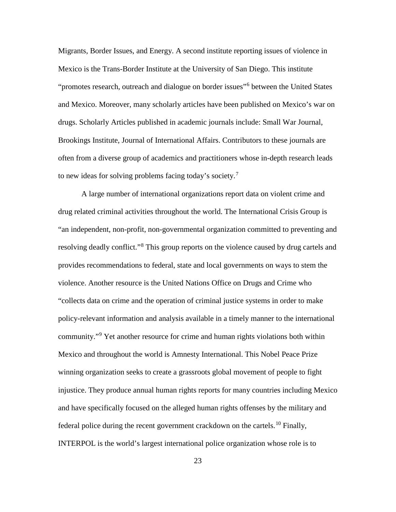<span id="page-32-0"></span>Migrants, Border Issues, and Energy. A second institute reporting issues of violence in Mexico is the Trans-Border Institute at the University of San Diego. This institute "promotes research, outreach and dialogue on border issues"[6](#page-53-0) between the United States and Mexico. Moreover, many scholarly articles have been published on Mexico's war on drugs. Scholarly Articles published in academic journals include: Small War Journal, Brookings Institute, Journal of International Affairs. Contributors to these journals are often from a diverse group of academics and practitioners whose in-depth research leads to new ideas for solving problems facing today's society.<sup>[7](#page-53-1)</sup>

<span id="page-32-3"></span><span id="page-32-2"></span><span id="page-32-1"></span>A large number of international organizations report data on violent crime and drug related criminal activities throughout the world. The International Crisis Group is "an independent, non-profit, non-governmental organization committed to preventing and resolving deadly conflict."<sup>[8](#page-53-2)</sup> This group reports on the violence caused by drug cartels and provides recommendations to federal, state and local governments on ways to stem the violence. Another resource is the United Nations Office on Drugs and Crime who "collects data on crime and the operation of criminal justice systems in order to make policy-relevant information and analysis available in a timely manner to the international community."[9](#page-53-3) Yet another resource for crime and human rights violations both within Mexico and throughout the world is Amnesty International. This Nobel Peace Prize winning organization seeks to create a grassroots global movement of people to fight injustice. They produce annual human rights reports for many countries including Mexico and have specifically focused on the alleged human rights offenses by the military and federal police during the recent government crackdown on the cartels.<sup>[10](#page-53-4)</sup> Finally, INTERPOL is the world's largest international police organization whose role is to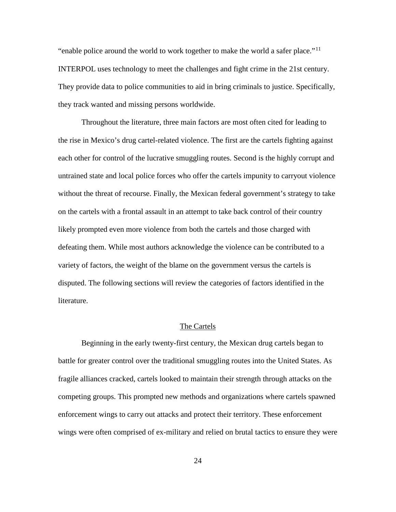"enable police around the world to work together to make the world a safer place."<sup>[11](#page-54-0)</sup> INTERPOL uses technology to meet the challenges and fight crime in the 21st century. They provide data to police communities to aid in bring criminals to justice. Specifically, they track wanted and missing persons worldwide.

<span id="page-33-0"></span>Throughout the literature, three main factors are most often cited for leading to the rise in Mexico's drug cartel-related violence. The first are the cartels fighting against each other for control of the lucrative smuggling routes. Second is the highly corrupt and untrained state and local police forces who offer the cartels impunity to carryout violence without the threat of recourse. Finally, the Mexican federal government's strategy to take on the cartels with a frontal assault in an attempt to take back control of their country likely prompted even more violence from both the cartels and those charged with defeating them. While most authors acknowledge the violence can be contributed to a variety of factors, the weight of the blame on the government versus the cartels is disputed. The following sections will review the categories of factors identified in the literature.

#### The Cartels

<span id="page-33-2"></span><span id="page-33-1"></span>Beginning in the early twenty-first century, the Mexican drug cartels began to battle for greater control over the traditional smuggling routes into the United States. As fragile alliances cracked, cartels looked to maintain their strength through attacks on the competing groups. This prompted new methods and organizations where cartels spawned enforcement wings to carry out attacks and protect their territory. These enforcement wings were often comprised of ex-military and relied on brutal tactics to ensure they were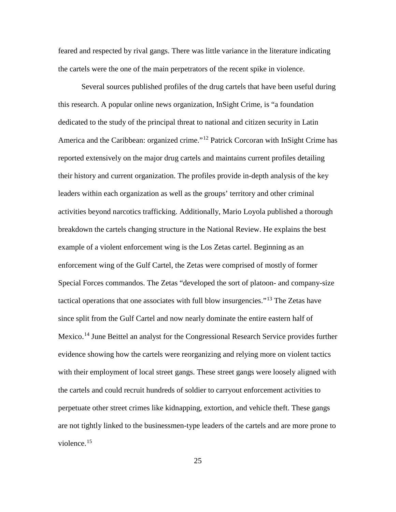<span id="page-34-4"></span>feared and respected by rival gangs. There was little variance in the literature indicating the cartels were the one of the main perpetrators of the recent spike in violence.

<span id="page-34-0"></span>Several sources published profiles of the drug cartels that have been useful during this research. A popular online news organization, InSight Crime, is "a foundation dedicated to the study of the principal threat to national and citizen security in Latin America and the Caribbean: organized crime."<sup>[12](#page-54-1)</sup> Patrick Corcoran with InSight Crime has reported extensively on the major drug cartels and maintains current profiles detailing their history and current organization. The profiles provide in-depth analysis of the key leaders within each organization as well as the groups' territory and other criminal activities beyond narcotics trafficking. Additionally, Mario Loyola published a thorough breakdown the cartels changing structure in the National Review. He explains the best example of a violent enforcement wing is the Los Zetas cartel. Beginning as an enforcement wing of the Gulf Cartel, the Zetas were comprised of mostly of former Special Forces commandos. The Zetas "developed the sort of platoon- and company-size tactical operations that one associates with full blow insurgencies."[13](#page-54-2) The Zetas have since split from the Gulf Cartel and now nearly dominate the entire eastern half of Mexico.<sup>[14](#page-54-3)</sup> June Beittel an analyst for the Congressional Research Service provides further evidence showing how the cartels were reorganizing and relying more on violent tactics with their employment of local street gangs. These street gangs were loosely aligned with the cartels and could recruit hundreds of soldier to carryout enforcement activities to perpetuate other street crimes like kidnapping, extortion, and vehicle theft. These gangs are not tightly linked to the businessmen-type leaders of the cartels and are more prone to violence. $15$ 

<span id="page-34-3"></span><span id="page-34-2"></span><span id="page-34-1"></span>25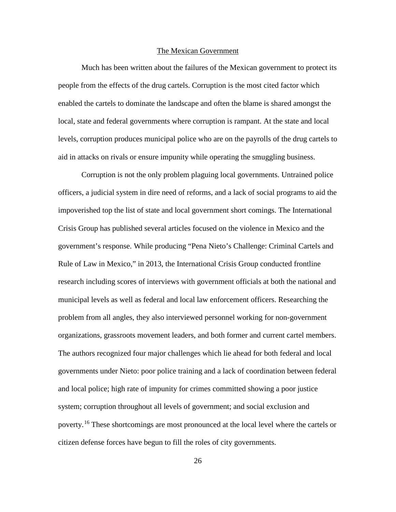#### The Mexican Government

<span id="page-35-1"></span><span id="page-35-0"></span>Much has been written about the failures of the Mexican government to protect its people from the effects of the drug cartels. Corruption is the most cited factor which enabled the cartels to dominate the landscape and often the blame is shared amongst the local, state and federal governments where corruption is rampant. At the state and local levels, corruption produces municipal police who are on the payrolls of the drug cartels to aid in attacks on rivals or ensure impunity while operating the smuggling business.

<span id="page-35-3"></span><span id="page-35-2"></span>Corruption is not the only problem plaguing local governments. Untrained police officers, a judicial system in dire need of reforms, and a lack of social programs to aid the impoverished top the list of state and local government short comings. The International Crisis Group has published several articles focused on the violence in Mexico and the government's response. While producing "Pena Nieto's Challenge: Criminal Cartels and Rule of Law in Mexico," in 2013, the International Crisis Group conducted frontline research including scores of interviews with government officials at both the national and municipal levels as well as federal and local law enforcement officers. Researching the problem from all angles, they also interviewed personnel working for non-government organizations, grassroots movement leaders, and both former and current cartel members. The authors recognized four major challenges which lie ahead for both federal and local governments under Nieto: poor police training and a lack of coordination between federal and local police; high rate of impunity for crimes committed showing a poor justice system; corruption throughout all levels of government; and social exclusion and poverty.<sup>[16](#page-55-0)</sup> These shortcomings are most pronounced at the local level where the cartels or citizen defense forces have begun to fill the roles of city governments.

26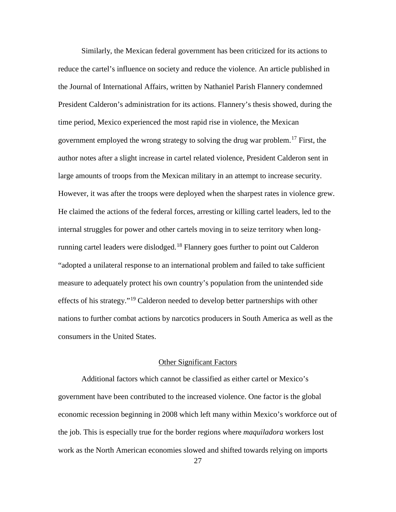Similarly, the Mexican federal government has been criticized for its actions to reduce the cartel's influence on society and reduce the violence. An article published in the Journal of International Affairs, written by Nathaniel Parish Flannery condemned President Calderon's administration for its actions. Flannery's thesis showed, during the time period, Mexico experienced the most rapid rise in violence, the Mexican government employed the wrong strategy to solving the drug war problem.[17](#page-56-0) First, the author notes after a slight increase in cartel related violence, President Calderon sent in large amounts of troops from the Mexican military in an attempt to increase security. However, it was after the troops were deployed when the sharpest rates in violence grew. He claimed the actions of the federal forces, arresting or killing cartel leaders, led to the internal struggles for power and other cartels moving in to seize territory when long-running cartel leaders were dislodged.<sup>[18](#page-56-1)</sup> Flannery goes further to point out Calderon "adopted a unilateral response to an international problem and failed to take sufficient measure to adequately protect his own country's population from the unintended side effects of his strategy."<sup>[19](#page-56-2)</sup> Calderon needed to develop better partnerships with other nations to further combat actions by narcotics producers in South America as well as the consumers in the United States.

## Other Significant Factors

Additional factors which cannot be classified as either cartel or Mexico's government have been contributed to the increased violence. One factor is the global economic recession beginning in 2008 which left many within Mexico's workforce out of the job. This is especially true for the border regions where *maquiladora* workers lost work as the North American economies slowed and shifted towards relying on imports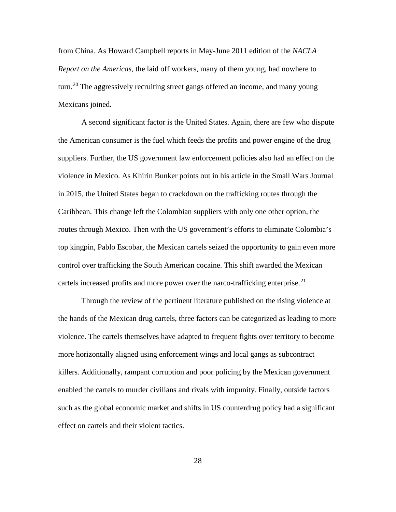from China. As Howard Campbell reports in May-June 2011 edition of the *NACLA Report on the Americas*, the laid off workers, many of them young, had nowhere to turn.<sup>[20](#page-57-0)</sup> The aggressively recruiting street gangs offered an income, and many young Mexicans joined.

A second significant factor is the United States. Again, there are few who dispute the American consumer is the fuel which feeds the profits and power engine of the drug suppliers. Further, the US government law enforcement policies also had an effect on the violence in Mexico. As Khirin Bunker points out in his article in the Small Wars Journal in 2015, the United States began to crackdown on the trafficking routes through the Caribbean. This change left the Colombian suppliers with only one other option, the routes through Mexico. Then with the US government's efforts to eliminate Colombia's top kingpin, Pablo Escobar, the Mexican cartels seized the opportunity to gain even more control over trafficking the South American cocaine. This shift awarded the Mexican cartels increased profits and more power over the narco-trafficking enterprise.<sup>[21](#page-57-1)</sup>

Through the review of the pertinent literature published on the rising violence at the hands of the Mexican drug cartels, three factors can be categorized as leading to more violence. The cartels themselves have adapted to frequent fights over territory to become more horizontally aligned using enforcement wings and local gangs as subcontract killers. Additionally, rampant corruption and poor policing by the Mexican government enabled the cartels to murder civilians and rivals with impunity. Finally, outside factors such as the global economic market and shifts in US counterdrug policy had a significant effect on cartels and their violent tactics.

28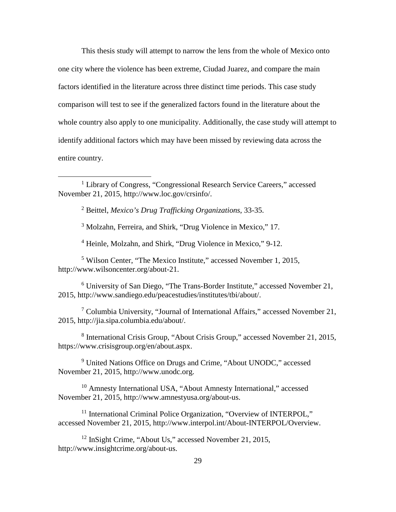This thesis study will attempt to narrow the lens from the whole of Mexico onto one city where the violence has been extreme, Ciudad Juarez, and compare the main factors identified in the literature across three distinct time periods. This case study comparison will test to see if the generalized factors found in the literature about the whole country also apply to one municipality. Additionally, the case study will attempt to identify additional factors which may have been missed by reviewing data across the entire country.

<sup>2</sup> Beittel, *Mexico's Drug Trafficking Organizations*, 33-35.

 $\overline{a}$ 

<sup>3</sup> Molzahn, Ferreira, and Shirk, "Drug Violence in Mexico," 17.

<sup>4</sup> Heinle, Molzahn, and Shirk, "Drug Violence in Mexico," 9-12.

<sup>5</sup> Wilson Center, "The Mexico Institute," accessed November 1, 2015, http://www.wilsoncenter.org/about-21.

<sup>6</sup> University of San Diego, "The Trans-Border Institute," accessed November 21, 2015, http://www.sandiego.edu/peacestudies/institutes/tbi/about/.

<sup>7</sup> Columbia University, "Journal of International Affairs," accessed November 21, 2015, http://jia.sipa.columbia.edu/about/.

<sup>8</sup> International Crisis Group, "About Crisis Group," accessed November 21, 2015, https://www.crisisgroup.org/en/about.aspx.

<sup>9</sup> United Nations Office on Drugs and Crime, "About UNODC," accessed November 21, 2015, http://www.unodc.org.

<sup>10</sup> Amnesty International USA, "About Amnesty International," accessed November 21, 2015, http://www.amnestyusa.org/about-us.

<sup>11</sup> International Criminal Police Organization, "Overview of INTERPOL," accessed November 21, 2015, http://www.interpol.int/About-INTERPOL/Overview.

<sup>12</sup> InSight Crime, "About Us," accessed November 21, 2015, http://www.insightcrime.org/about-us.

<sup>1</sup> Library of Congress, "Congressional Research Service Careers," accessed November 21, 2015, http://www.loc.gov/crsinfo/.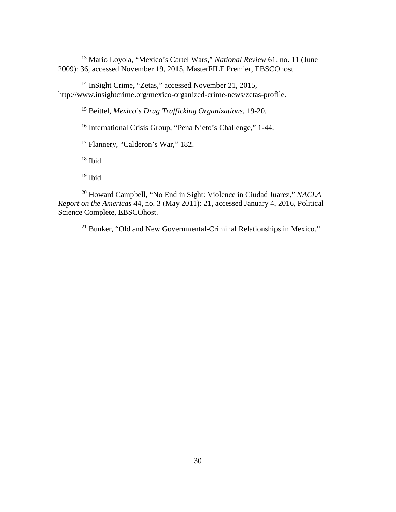<sup>13</sup> Mario Loyola, "Mexico's Cartel Wars," *National Review* 61, no. 11 (June 2009): 36, accessed November 19, 2015, MasterFILE Premier, EBSCOhost.

<sup>14</sup> InSight Crime, "Zetas," accessed November 21, 2015, http://www.insightcrime.org/mexico-organized-crime-news/zetas-profile.

<sup>15</sup> Beittel, *Mexico's Drug Trafficking Organizations*, 19-20.

<sup>16</sup> International Crisis Group, "Pena Nieto's Challenge," 1-44.

<sup>17</sup> Flannery, "Calderon's War," 182.

 $18$  Ibid.

 $19$  Ibid.

<sup>20</sup> Howard Campbell, "No End in Sight: Violence in Ciudad Juarez," *NACLA Report on the Americas* 44, no. 3 (May 2011): 21, accessed January 4, 2016, Political Science Complete, EBSCOhost.

<sup>21</sup> Bunker, "Old and New Governmental-Criminal Relationships in Mexico."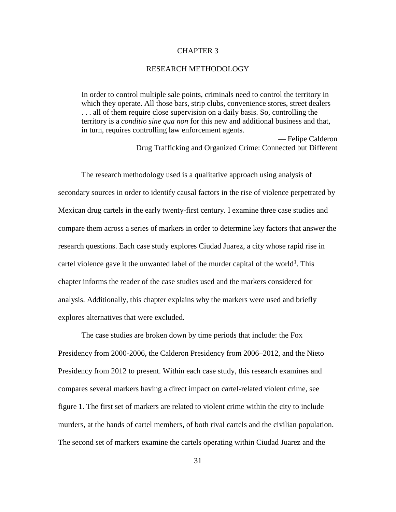## CHAPTER 3

### RESEARCH METHODOLOGY

In order to control multiple sale points, criminals need to control the territory in which they operate. All those bars, strip clubs, convenience stores, street dealers . . . all of them require close supervision on a daily basis. So, controlling the territory is a *conditio sine qua non* for this new and additional business and that, in turn, requires controlling law enforcement agents.

> — Felipe Calderon Drug Trafficking and Organized Crime: Connected but Different

The research methodology used is a qualitative approach using analysis of secondary sources in order to identify causal factors in the rise of violence perpetrated by Mexican drug cartels in the early twenty-first century. I examine three case studies and compare them across a series of markers in order to determine key factors that answer the research questions. Each case study explores Ciudad Juarez, a city whose rapid rise in cartel violence gave it the unwanted label of the murder capital of the world<sup>[1](#page-47-0)</sup>. This chapter informs the reader of the case studies used and the markers considered for analysis. Additionally, this chapter explains why the markers were used and briefly explores alternatives that were excluded.

The case studies are broken down by time periods that include: the Fox Presidency from 2000-2006, the Calderon Presidency from 2006–2012, and the Nieto Presidency from 2012 to present. Within each case study, this research examines and compares several markers having a direct impact on cartel-related violent crime, see figure 1. The first set of markers are related to violent crime within the city to include murders, at the hands of cartel members, of both rival cartels and the civilian population. The second set of markers examine the cartels operating within Ciudad Juarez and the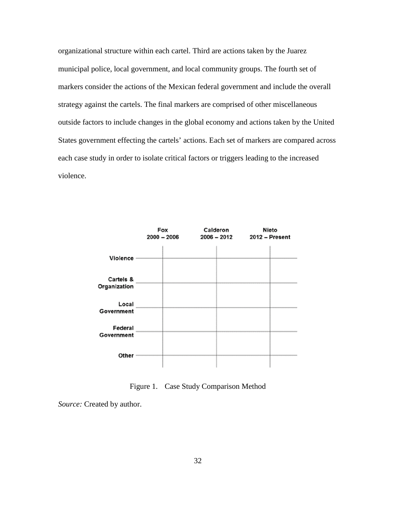organizational structure within each cartel. Third are actions taken by the Juarez municipal police, local government, and local community groups. The fourth set of markers consider the actions of the Mexican federal government and include the overall strategy against the cartels. The final markers are comprised of other miscellaneous outside factors to include changes in the global economy and actions taken by the United States government effecting the cartels' actions. Each set of markers are compared across each case study in order to isolate critical factors or triggers leading to the increased violence.



Figure 1. Case Study Comparison Method

*Source:* Created by author.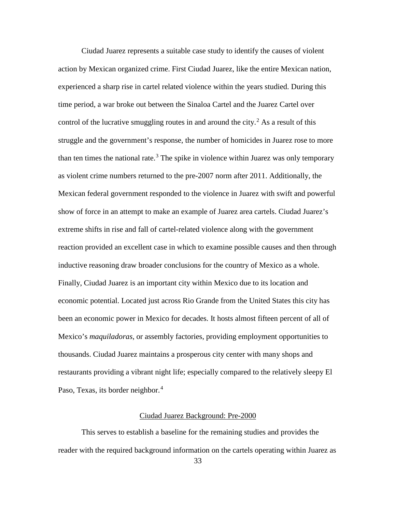Ciudad Juarez represents a suitable case study to identify the causes of violent action by Mexican organized crime. First Ciudad Juarez, like the entire Mexican nation, experienced a sharp rise in cartel related violence within the years studied. During this time period, a war broke out between the Sinaloa Cartel and the Juarez Cartel over control of the lucrative smuggling routes in and around the city.<sup>[2](#page-47-1)</sup> As a result of this struggle and the government's response, the number of homicides in Juarez rose to more than ten times the national rate.<sup>[3](#page-47-2)</sup> The spike in violence within Juarez was only temporary as violent crime numbers returned to the pre-2007 norm after 2011. Additionally, the Mexican federal government responded to the violence in Juarez with swift and powerful show of force in an attempt to make an example of Juarez area cartels. Ciudad Juarez's extreme shifts in rise and fall of cartel-related violence along with the government reaction provided an excellent case in which to examine possible causes and then through inductive reasoning draw broader conclusions for the country of Mexico as a whole. Finally, Ciudad Juarez is an important city within Mexico due to its location and economic potential. Located just across Rio Grande from the United States this city has been an economic power in Mexico for decades. It hosts almost fifteen percent of all of Mexico's *maquiladoras*, or assembly factories, providing employment opportunities to thousands. Ciudad Juarez maintains a prosperous city center with many shops and restaurants providing a vibrant night life; especially compared to the relatively sleepy El Paso, Texas, its border neighbor.<sup>[4](#page-47-3)</sup>

## Ciudad Juarez Background: Pre-2000

This serves to establish a baseline for the remaining studies and provides the reader with the required background information on the cartels operating within Juarez as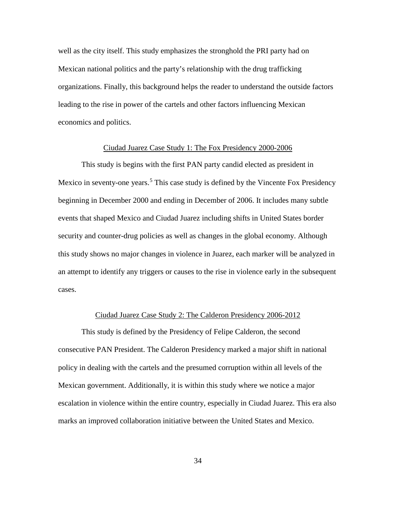well as the city itself. This study emphasizes the stronghold the PRI party had on Mexican national politics and the party's relationship with the drug trafficking organizations. Finally, this background helps the reader to understand the outside factors leading to the rise in power of the cartels and other factors influencing Mexican economics and politics.

## Ciudad Juarez Case Study 1: The Fox Presidency 2000-2006

This study is begins with the first PAN party candid elected as president in Mexico in seventy-one years.<sup>[5](#page-47-4)</sup> This case study is defined by the Vincente Fox Presidency beginning in December 2000 and ending in December of 2006. It includes many subtle events that shaped Mexico and Ciudad Juarez including shifts in United States border security and counter-drug policies as well as changes in the global economy. Although this study shows no major changes in violence in Juarez, each marker will be analyzed in an attempt to identify any triggers or causes to the rise in violence early in the subsequent cases.

### Ciudad Juarez Case Study 2: The Calderon Presidency 2006-2012

This study is defined by the Presidency of Felipe Calderon, the second consecutive PAN President. The Calderon Presidency marked a major shift in national policy in dealing with the cartels and the presumed corruption within all levels of the Mexican government. Additionally, it is within this study where we notice a major escalation in violence within the entire country, especially in Ciudad Juarez. This era also marks an improved collaboration initiative between the United States and Mexico.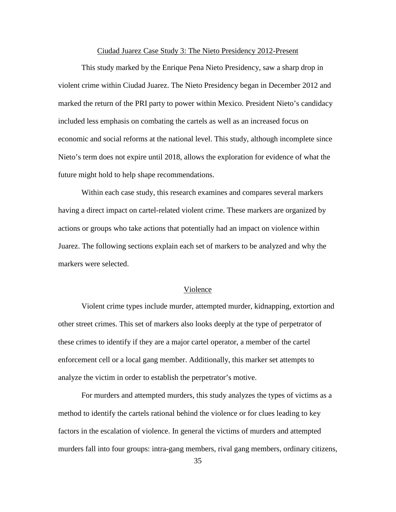## Ciudad Juarez Case Study 3: The Nieto Presidency 2012-Present

This study marked by the Enrique Pena Nieto Presidency, saw a sharp drop in violent crime within Ciudad Juarez. The Nieto Presidency began in December 2012 and marked the return of the PRI party to power within Mexico. President Nieto's candidacy included less emphasis on combating the cartels as well as an increased focus on economic and social reforms at the national level. This study, although incomplete since Nieto's term does not expire until 2018, allows the exploration for evidence of what the future might hold to help shape recommendations.

Within each case study, this research examines and compares several markers having a direct impact on cartel-related violent crime. These markers are organized by actions or groups who take actions that potentially had an impact on violence within Juarez. The following sections explain each set of markers to be analyzed and why the markers were selected.

## Violence

Violent crime types include murder, attempted murder, kidnapping, extortion and other street crimes. This set of markers also looks deeply at the type of perpetrator of these crimes to identify if they are a major cartel operator, a member of the cartel enforcement cell or a local gang member. Additionally, this marker set attempts to analyze the victim in order to establish the perpetrator's motive.

For murders and attempted murders, this study analyzes the types of victims as a method to identify the cartels rational behind the violence or for clues leading to key factors in the escalation of violence. In general the victims of murders and attempted murders fall into four groups: intra-gang members, rival gang members, ordinary citizens,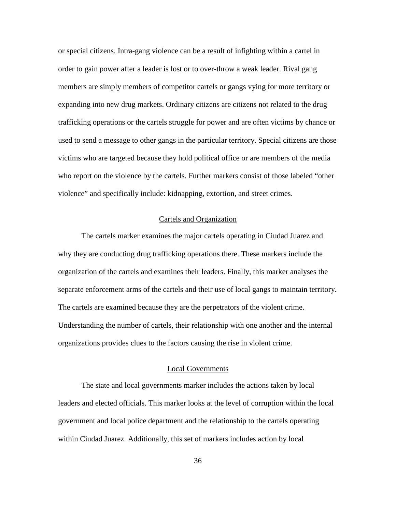or special citizens. Intra-gang violence can be a result of infighting within a cartel in order to gain power after a leader is lost or to over-throw a weak leader. Rival gang members are simply members of competitor cartels or gangs vying for more territory or expanding into new drug markets. Ordinary citizens are citizens not related to the drug trafficking operations or the cartels struggle for power and are often victims by chance or used to send a message to other gangs in the particular territory. Special citizens are those victims who are targeted because they hold political office or are members of the media who report on the violence by the cartels. Further markers consist of those labeled "other violence" and specifically include: kidnapping, extortion, and street crimes.

### Cartels and Organization

The cartels marker examines the major cartels operating in Ciudad Juarez and why they are conducting drug trafficking operations there. These markers include the organization of the cartels and examines their leaders. Finally, this marker analyses the separate enforcement arms of the cartels and their use of local gangs to maintain territory. The cartels are examined because they are the perpetrators of the violent crime. Understanding the number of cartels, their relationship with one another and the internal organizations provides clues to the factors causing the rise in violent crime.

## Local Governments

The state and local governments marker includes the actions taken by local leaders and elected officials. This marker looks at the level of corruption within the local government and local police department and the relationship to the cartels operating within Ciudad Juarez. Additionally, this set of markers includes action by local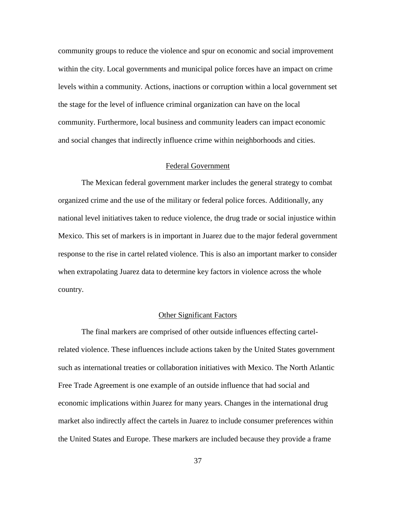community groups to reduce the violence and spur on economic and social improvement within the city. Local governments and municipal police forces have an impact on crime levels within a community. Actions, inactions or corruption within a local government set the stage for the level of influence criminal organization can have on the local community. Furthermore, local business and community leaders can impact economic and social changes that indirectly influence crime within neighborhoods and cities.

# Federal Government

The Mexican federal government marker includes the general strategy to combat organized crime and the use of the military or federal police forces. Additionally, any national level initiatives taken to reduce violence, the drug trade or social injustice within Mexico. This set of markers is in important in Juarez due to the major federal government response to the rise in cartel related violence. This is also an important marker to consider when extrapolating Juarez data to determine key factors in violence across the whole country.

## Other Significant Factors

The final markers are comprised of other outside influences effecting cartelrelated violence. These influences include actions taken by the United States government such as international treaties or collaboration initiatives with Mexico. The North Atlantic Free Trade Agreement is one example of an outside influence that had social and economic implications within Juarez for many years. Changes in the international drug market also indirectly affect the cartels in Juarez to include consumer preferences within the United States and Europe. These markers are included because they provide a frame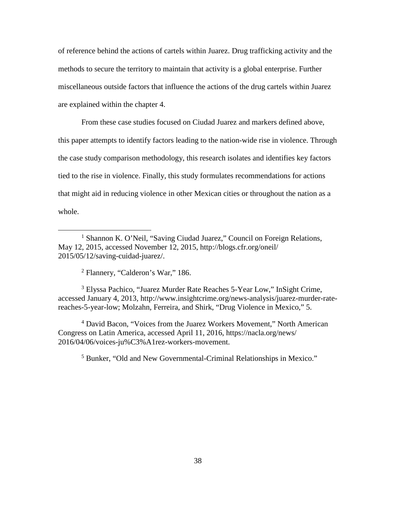of reference behind the actions of cartels within Juarez. Drug trafficking activity and the methods to secure the territory to maintain that activity is a global enterprise. Further miscellaneous outside factors that influence the actions of the drug cartels within Juarez are explained within the chapter 4.

From these case studies focused on Ciudad Juarez and markers defined above, this paper attempts to identify factors leading to the nation-wide rise in violence. Through the case study comparison methodology, this research isolates and identifies key factors tied to the rise in violence. Finally, this study formulates recommendations for actions that might aid in reducing violence in other Mexican cities or throughout the nation as a whole.

<sup>2</sup> Flannery, "Calderon's War," 186.

 $\overline{a}$ 

<span id="page-47-2"></span><span id="page-47-1"></span><sup>3</sup> Elyssa Pachico, "Juarez Murder Rate Reaches 5-Year Low," InSight Crime, accessed January 4, 2013, http://www.insightcrime.org/news-analysis/juarez-murder-ratereaches-5-year-low; Molzahn, Ferreira, and Shirk, "Drug Violence in Mexico," 5.

<span id="page-47-4"></span><span id="page-47-3"></span><sup>4</sup> David Bacon, "Voices from the Juarez Workers Movement," North American Congress on Latin America, accessed April 11, 2016, https://nacla.org/news/ 2016/04/06/voices-ju%C3%A1rez-workers-movement.

<sup>5</sup> Bunker, "Old and New Governmental-Criminal Relationships in Mexico."

<span id="page-47-0"></span><sup>&</sup>lt;sup>1</sup> Shannon K. O'Neil, "Saving Ciudad Juarez," Council on Foreign Relations, May 12, 2015, accessed November 12, 2015, http://blogs.cfr.org/oneil/ 2015/05/12/saving-cuidad-juarez/.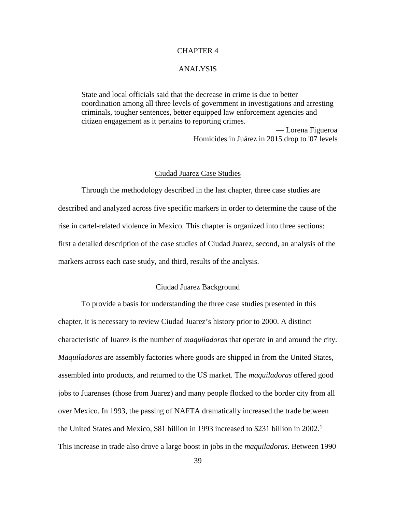## CHAPTER 4

### ANALYSIS

State and local officials said that the decrease in crime is due to better coordination among all three levels of government in investigations and arresting criminals, tougher sentences, better equipped law enforcement agencies and citizen engagement as it pertains to reporting crimes.

> — Lorena Figueroa Homicides in Juárez in 2015 drop to '07 levels

#### Ciudad Juarez Case Studies

Through the methodology described in the last chapter, three case studies are described and analyzed across five specific markers in order to determine the cause of the rise in cartel-related violence in Mexico. This chapter is organized into three sections: first a detailed description of the case studies of Ciudad Juarez, second, an analysis of the markers across each case study, and third, results of the analysis.

# Ciudad Juarez Background

To provide a basis for understanding the three case studies presented in this chapter, it is necessary to review Ciudad Juarez's history prior to 2000. A distinct characteristic of Juarez is the number of *maquiladoras* that operate in and around the city. *Maquiladoras* are assembly factories where goods are shipped in from the United States, assembled into products, and returned to the US market. The *maquiladoras* offered good jobs to Juarenses (those from Juarez) and many people flocked to the border city from all over Mexico. In 1993, the passing of NAFTA dramatically increased the trade between the United States and Mexico, \$8[1](#page-101-0) billion in 1993 increased to \$231 billion in 2002.<sup>1</sup> This increase in trade also drove a large boost in jobs in the *maquiladoras*. Between 1990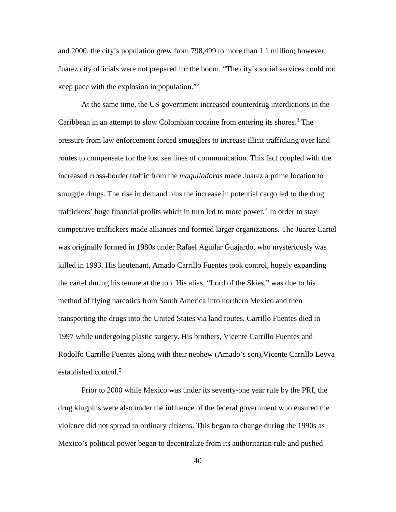and 2000, the city's population grew from 798,499 to more than 1.1 million; however, Juarez city officials were not prepared for the boom. "The city's social services could not keep pace with the explosion in population."[2](#page-102-0)

At the same time, the US government increased counterdrug interdictions in the Caribbean in an attempt to slow Colombian cocaine from entering its shores.[3](#page-102-1) The pressure from law enforcement forced smugglers to increase illicit trafficking over land routes to compensate for the lost sea lines of communication. This fact coupled with the increased cross-border traffic from the *maquiladoras* made Juarez a prime location to smuggle drugs. The rise in demand plus the increase in potential cargo led to the drug traffickers' huge financial profits which in turn led to more power.<sup>[4](#page-102-2)</sup> In order to stay competitive traffickers made alliances and formed larger organizations. The Juarez Cartel was originally formed in 1980s under Rafael Aguilar Guajardo, who mysteriously was killed in 1993. His lieutenant, Amado Carrillo Fuentes took control, hugely expanding the cartel during his tenure at the top. His alias, "Lord of the Skies," was due to his method of flying narcotics from South America into northern Mexico and then transporting the drugs into the United States via land routes. Carrillo Fuentes died in 1997 while undergoing plastic surgery. His brothers, Vicente Carrillo Fuentes and Rodolfo Carrillo Fuentes along with their nephew (Amado's son),Vicente Carrillo Leyva established control.<sup>[5](#page-102-3)</sup>

Prior to 2000 while Mexico was under its seventy-one year rule by the PRI, the drug kingpins were also under the influence of the federal government who ensured the violence did not spread to ordinary citizens. This began to change during the 1990s as Mexico's political power began to decentralize from its authoritarian rule and pushed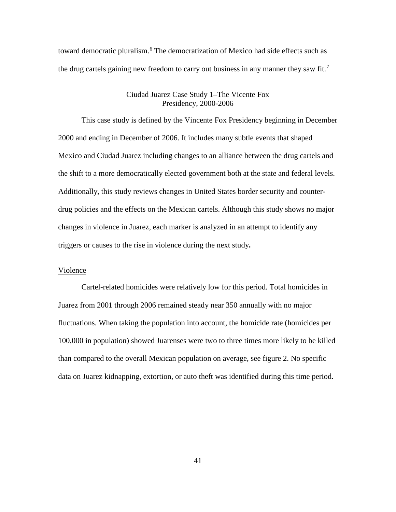toward democratic pluralism.<sup>[6](#page-102-4)</sup> The democratization of Mexico had side effects such as the drug cartels gaining new freedom to carry out business in any manner they saw fit.<sup>[7](#page-102-5)</sup>

## Ciudad Juarez Case Study 1–The Vicente Fox Presidency, 2000-2006

This case study is defined by the Vincente Fox Presidency beginning in December 2000 and ending in December of 2006. It includes many subtle events that shaped Mexico and Ciudad Juarez including changes to an alliance between the drug cartels and the shift to a more democratically elected government both at the state and federal levels. Additionally, this study reviews changes in United States border security and counterdrug policies and the effects on the Mexican cartels. Although this study shows no major changes in violence in Juarez, each marker is analyzed in an attempt to identify any triggers or causes to the rise in violence during the next study**.**

## Violence

Cartel-related homicides were relatively low for this period. Total homicides in Juarez from 2001 through 2006 remained steady near 350 annually with no major fluctuations. When taking the population into account, the homicide rate (homicides per 100,000 in population) showed Juarenses were two to three times more likely to be killed than compared to the overall Mexican population on average, see figure 2. No specific data on Juarez kidnapping, extortion, or auto theft was identified during this time period.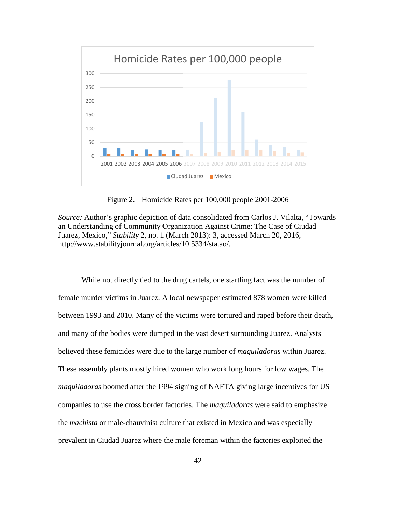

Figure 2. Homicide Rates per 100,000 people 2001-2006

*Source:* Author's graphic depiction of data consolidated from Carlos J. Vilalta, "Towards an Understanding of Community Organization Against Crime: The Case of Ciudad Juarez, Mexico," *Stability* 2, no. 1 (March 2013): 3, accessed March 20, 2016, http://www.stabilityjournal.org/articles/10.5334/sta.ao/.

While not directly tied to the drug cartels, one startling fact was the number of female murder victims in Juarez. A local newspaper estimated 878 women were killed between 1993 and 2010. Many of the victims were tortured and raped before their death, and many of the bodies were dumped in the vast desert surrounding Juarez. Analysts believed these femicides were due to the large number of *maquiladoras* within Juarez. These assembly plants mostly hired women who work long hours for low wages. The *maquiladoras* boomed after the 1994 signing of NAFTA giving large incentives for US companies to use the cross border factories. The *maquiladoras* were said to emphasize the *machista* or male-chauvinist culture that existed in Mexico and was especially prevalent in Ciudad Juarez where the male foreman within the factories exploited the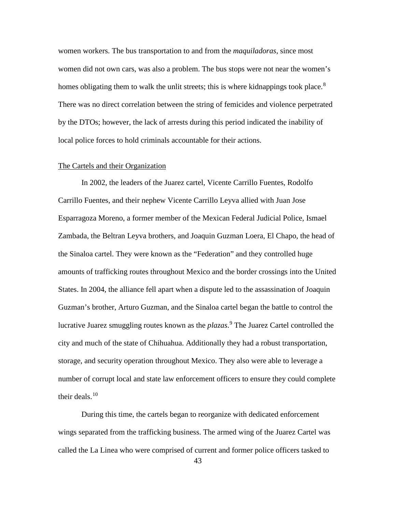women workers. The bus transportation to and from the *maquiladoras*, since most women did not own cars, was also a problem. The bus stops were not near the women's homes obligating them to walk the unlit streets; this is where kidnappings took place.<sup>[8](#page-102-6)</sup> There was no direct correlation between the string of femicides and violence perpetrated by the DTOs; however, the lack of arrests during this period indicated the inability of local police forces to hold criminals accountable for their actions.

#### The Cartels and their Organization

In 2002, the leaders of the Juarez cartel, Vicente Carrillo Fuentes, Rodolfo Carrillo Fuentes, and their nephew Vicente Carrillo Leyva allied with Juan Jose Esparragoza Moreno, a former member of the Mexican Federal Judicial Police, Ismael Zambada, the Beltran Leyva brothers, and Joaquin Guzman Loera, El Chapo, the head of the Sinaloa cartel. They were known as the "Federation" and they controlled huge amounts of trafficking routes throughout Mexico and the border crossings into the United States. In 2004, the alliance fell apart when a dispute led to the assassination of Joaquin Guzman's brother, Arturo Guzman, and the Sinaloa cartel began the battle to control the lucrative Juarez smuggling routes known as the *plazas*. [9](#page-102-7) The Juarez Cartel controlled the city and much of the state of Chihuahua. Additionally they had a robust transportation, storage, and security operation throughout Mexico. They also were able to leverage a number of corrupt local and state law enforcement officers to ensure they could complete their deals. $10<sup>10</sup>$  $10<sup>10</sup>$ 

During this time, the cartels began to reorganize with dedicated enforcement wings separated from the trafficking business. The armed wing of the Juarez Cartel was called the La Linea who were comprised of current and former police officers tasked to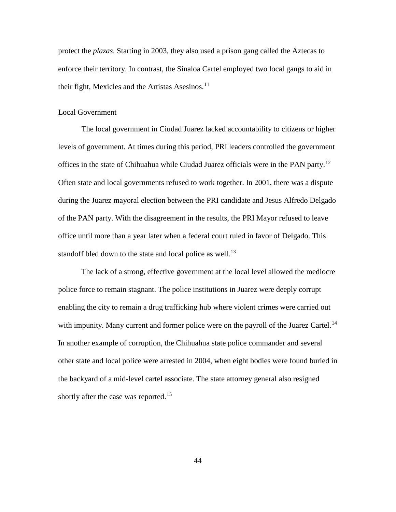protect the *plazas*. Starting in 2003, they also used a prison gang called the Aztecas to enforce their territory. In contrast, the Sinaloa Cartel employed two local gangs to aid in their fight, Mexicles and the Artistas Asesinos. $<sup>11</sup>$  $<sup>11</sup>$  $<sup>11</sup>$ </sup>

### Local Government

The local government in Ciudad Juarez lacked accountability to citizens or higher levels of government. At times during this period, PRI leaders controlled the government offices in the state of Chihuahua while Ciudad Juarez officials were in the PAN party.<sup>[12](#page-102-10)</sup> Often state and local governments refused to work together. In 2001, there was a dispute during the Juarez mayoral election between the PRI candidate and Jesus Alfredo Delgado of the PAN party. With the disagreement in the results, the PRI Mayor refused to leave office until more than a year later when a federal court ruled in favor of Delgado. This standoff bled down to the state and local police as well.<sup>[13](#page-102-11)</sup>

The lack of a strong, effective government at the local level allowed the mediocre police force to remain stagnant. The police institutions in Juarez were deeply corrupt enabling the city to remain a drug trafficking hub where violent crimes were carried out with impunity. Many current and former police were on the payroll of the Juarez Cartel.<sup>[14](#page-102-12)</sup> In another example of corruption, the Chihuahua state police commander and several other state and local police were arrested in 2004, when eight bodies were found buried in the backyard of a mid-level cartel associate. The state attorney general also resigned shortly after the case was reported.<sup>[15](#page-102-13)</sup>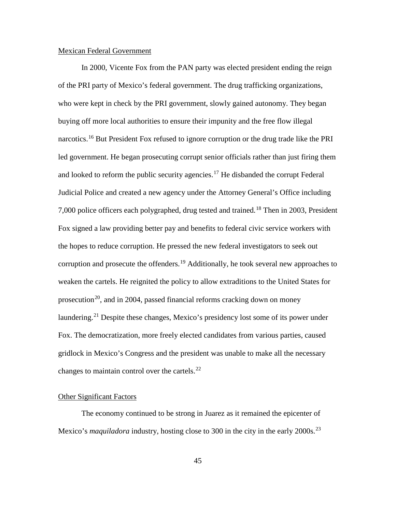### Mexican Federal Government

In 2000, Vicente Fox from the PAN party was elected president ending the reign of the PRI party of Mexico's federal government. The drug trafficking organizations, who were kept in check by the PRI government, slowly gained autonomy. They began buying off more local authorities to ensure their impunity and the free flow illegal narcotics.[16](#page-102-14) But President Fox refused to ignore corruption or the drug trade like the PRI led government. He began prosecuting corrupt senior officials rather than just firing them and looked to reform the public security agencies.<sup>[17](#page-102-15)</sup> He disbanded the corrupt Federal Judicial Police and created a new agency under the Attorney General's Office including 7,000 police officers each polygraphed, drug tested and trained.<sup>[18](#page-102-16)</sup> Then in 2003, President Fox signed a law providing better pay and benefits to federal civic service workers with the hopes to reduce corruption. He pressed the new federal investigators to seek out corruption and prosecute the offenders.<sup>[19](#page-102-17)</sup> Additionally, he took several new approaches to weaken the cartels. He reignited the policy to allow extraditions to the United States for prosecution<sup>20</sup>, and in 2004, passed financial reforms cracking down on money laundering.<sup>[21](#page-102-19)</sup> Despite these changes, Mexico's presidency lost some of its power under Fox. The democratization, more freely elected candidates from various parties, caused gridlock in Mexico's Congress and the president was unable to make all the necessary changes to maintain control over the cartels. $^{22}$  $^{22}$  $^{22}$ 

## Other Significant Factors

The economy continued to be strong in Juarez as it remained the epicenter of Mexico's *maquiladora* industry, hosting close to 300 in the city in the early 2000s.<sup>[23](#page-102-21)</sup>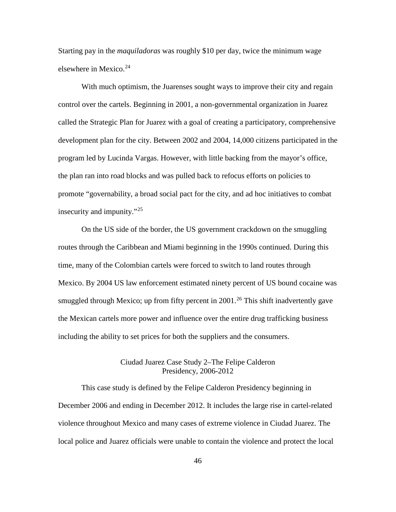Starting pay in the *maquiladoras* was roughly \$10 per day, twice the minimum wage elsewhere in Mexico. $24$ 

With much optimism, the Juarenses sought ways to improve their city and regain control over the cartels. Beginning in 2001, a non-governmental organization in Juarez called the Strategic Plan for Juarez with a goal of creating a participatory, comprehensive development plan for the city. Between 2002 and 2004, 14,000 citizens participated in the program led by Lucinda Vargas. However, with little backing from the mayor's office, the plan ran into road blocks and was pulled back to refocus efforts on policies to promote "governability, a broad social pact for the city, and ad hoc initiatives to combat insecurity and impunity."[25](#page-102-23)

On the US side of the border, the US government crackdown on the smuggling routes through the Caribbean and Miami beginning in the 1990s continued. During this time, many of the Colombian cartels were forced to switch to land routes through Mexico. By 2004 US law enforcement estimated ninety percent of US bound cocaine was smuggled through Mexico; up from fifty percent in  $2001<sup>26</sup>$  $2001<sup>26</sup>$  $2001<sup>26</sup>$  This shift inadvertently gave the Mexican cartels more power and influence over the entire drug trafficking business including the ability to set prices for both the suppliers and the consumers.

# Ciudad Juarez Case Study 2–The Felipe Calderon Presidency, 2006-2012

This case study is defined by the Felipe Calderon Presidency beginning in December 2006 and ending in December 2012. It includes the large rise in cartel-related violence throughout Mexico and many cases of extreme violence in Ciudad Juarez. The local police and Juarez officials were unable to contain the violence and protect the local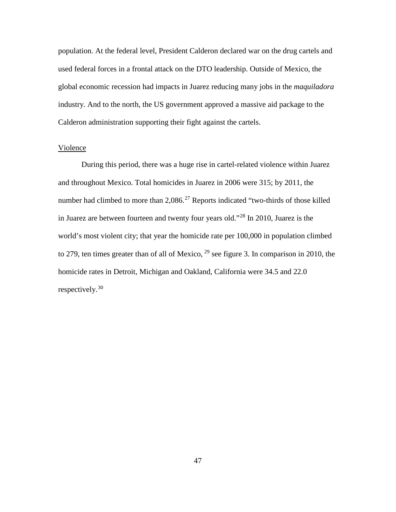population. At the federal level, President Calderon declared war on the drug cartels and used federal forces in a frontal attack on the DTO leadership. Outside of Mexico, the global economic recession had impacts in Juarez reducing many jobs in the *maquiladora*  industry. And to the north, the US government approved a massive aid package to the Calderon administration supporting their fight against the cartels.

## <span id="page-56-0"></span>Violence

<span id="page-56-2"></span><span id="page-56-1"></span>During this period, there was a huge rise in cartel-related violence within Juarez and throughout Mexico. Total homicides in Juarez in 2006 were 315; by 2011, the number had climbed to more than  $2,086$ .<sup>[27](#page-102-25)</sup> Reports indicated "two-thirds of those killed in Juarez are between fourteen and twenty four years old."[28](#page-102-26) In 2010, Juarez is the world's most violent city; that year the homicide rate per 100,000 in population climbed to 279, ten times greater than of all of Mexico,  $^{29}$  $^{29}$  $^{29}$  see figure 3. In comparison in 2010, the homicide rates in Detroit, Michigan and Oakland, California were 34.5 and 22.0 respectively.[30](#page-102-13)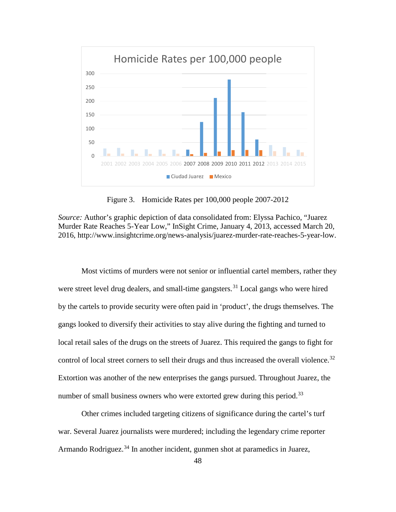

Figure 3. Homicide Rates per 100,000 people 2007-2012

<span id="page-57-1"></span><span id="page-57-0"></span>*Source:* Author's graphic depiction of data consolidated from: Elyssa Pachico, "Juarez Murder Rate Reaches 5-Year Low," InSight Crime, January 4, 2013, accessed March 20, 2016, http://www.insightcrime.org/news-analysis/juarez-murder-rate-reaches-5-year-low.

Most victims of murders were not senior or influential cartel members, rather they were street level drug dealers, and small-time gangsters.<sup>[31](#page-102-14)</sup> Local gangs who were hired by the cartels to provide security were often paid in 'product', the drugs themselves. The gangs looked to diversify their activities to stay alive during the fighting and turned to local retail sales of the drugs on the streets of Juarez. This required the gangs to fight for control of local street corners to sell their drugs and thus increased the overall violence.<sup>[32](#page-102-15)</sup> Extortion was another of the new enterprises the gangs pursued. Throughout Juarez, the number of small business owners who were extorted grew during this period.<sup>[33](#page-102-16)</sup>

Other crimes included targeting citizens of significance during the cartel's turf war. Several Juarez journalists were murdered; including the legendary crime reporter Armando Rodriguez. $34$  In another incident, gunmen shot at paramedics in Juarez,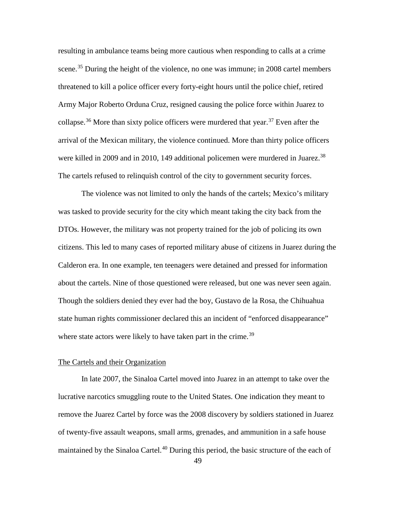resulting in ambulance teams being more cautious when responding to calls at a crime scene.<sup>[35](#page-102-18)</sup> During the height of the violence, no one was immune; in 2008 cartel members threatened to kill a police officer every forty-eight hours until the police chief, retired Army Major Roberto Orduna Cruz, resigned causing the police force within Juarez to collapse.<sup>[36](#page-102-19)</sup> More than sixty police officers were murdered that year.<sup>[37](#page-102-20)</sup> Even after the arrival of the Mexican military, the violence continued. More than thirty police officers were killed in 2009 and in 2010, 149 additional policemen were murdered in Juarez.<sup>[38](#page-102-28)</sup> The cartels refused to relinquish control of the city to government security forces.

The violence was not limited to only the hands of the cartels; Mexico's military was tasked to provide security for the city which meant taking the city back from the DTOs. However, the military was not property trained for the job of policing its own citizens. This led to many cases of reported military abuse of citizens in Juarez during the Calderon era. In one example, ten teenagers were detained and pressed for information about the cartels. Nine of those questioned were released, but one was never seen again. Though the soldiers denied they ever had the boy, Gustavo de la Rosa, the Chihuahua state human rights commissioner declared this an incident of "enforced disappearance" where state actors were likely to have taken part in the crime.<sup>[39](#page-102-29)</sup>

### The Cartels and their Organization

In late 2007, the Sinaloa Cartel moved into Juarez in an attempt to take over the lucrative narcotics smuggling route to the United States. One indication they meant to remove the Juarez Cartel by force was the 2008 discovery by soldiers stationed in Juarez of twenty-five assault weapons, small arms, grenades, and ammunition in a safe house maintained by the Sinaloa Cartel.<sup>[40](#page-102-23)</sup> During this period, the basic structure of the each of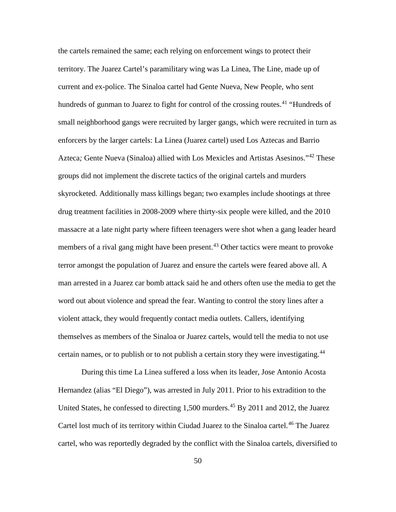the cartels remained the same; each relying on enforcement wings to protect their territory. The Juarez Cartel's paramilitary wing was La Linea, The Line, made up of current and ex-police. The Sinaloa cartel had Gente Nueva, New People, who sent hundreds of gunman to Juarez to fight for control of the crossing routes.<sup>[41](#page-102-30)</sup> "Hundreds of small neighborhood gangs were recruited by larger gangs, which were recruited in turn as enforcers by the larger cartels: La Linea (Juarez cartel) used Los Aztecas and Barrio Azteca*;* Gente Nueva (Sinaloa) allied with Los Mexicles and Artistas Asesinos."[42](#page-102-31) These groups did not implement the discrete tactics of the original cartels and murders skyrocketed. Additionally mass killings began; two examples include shootings at three drug treatment facilities in 2008-2009 where thirty-six people were killed, and the 2010 massacre at a late night party where fifteen teenagers were shot when a gang leader heard members of a rival gang might have been present.<sup>[43](#page-102-32)</sup> Other tactics were meant to provoke terror amongst the population of Juarez and ensure the cartels were feared above all. A man arrested in a Juarez car bomb attack said he and others often use the media to get the word out about violence and spread the fear. Wanting to control the story lines after a violent attack, they would frequently contact media outlets. Callers, identifying themselves as members of the Sinaloa or Juarez cartels, would tell the media to not use certain names, or to publish or to not publish a certain story they were investigating.<sup>[44](#page-102-33)</sup>

During this time La Linea suffered a loss when its leader, Jose Antonio Acosta Hernandez (alias "El Diego"), was arrested in July 2011. Prior to his extradition to the United States, he confessed to directing  $1,500$  murders.<sup>[45](#page-102-34)</sup> By 2011 and 2012, the Juarez Cartel lost much of its territory within Ciudad Juarez to the Sinaloa cartel.<sup>[46](#page-102-35)</sup> The Juarez cartel, who was reportedly degraded by the conflict with the Sinaloa cartels, diversified to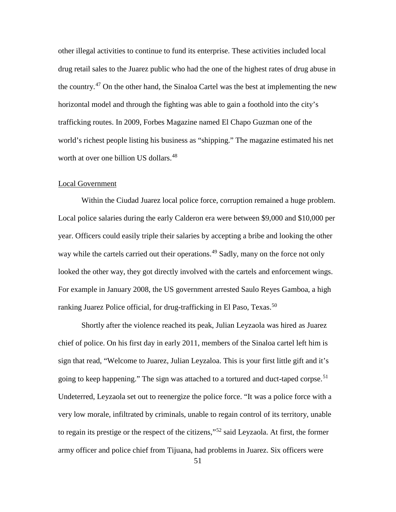other illegal activities to continue to fund its enterprise. These activities included local drug retail sales to the Juarez public who had the one of the highest rates of drug abuse in the country.[47](#page-102-36) On the other hand, the Sinaloa Cartel was the best at implementing the new horizontal model and through the fighting was able to gain a foothold into the city's trafficking routes. In 2009, Forbes Magazine named El Chapo Guzman one of the world's richest people listing his business as "shipping." The magazine estimated his net worth at over one billion US dollars.<sup>[48](#page-102-37)</sup>

### Local Government

Within the Ciudad Juarez local police force, corruption remained a huge problem. Local police salaries during the early Calderon era were between \$9,000 and \$10,000 per year. Officers could easily triple their salaries by accepting a bribe and looking the other way while the cartels carried out their operations.<sup>[49](#page-102-38)</sup> Sadly, many on the force not only looked the other way, they got directly involved with the cartels and enforcement wings. For example in January 2008, the US government arrested Saulo Reyes Gamboa, a high ranking Juarez Police official, for drug-trafficking in El Paso, Texas.<sup>[50](#page-102-39)</sup>

Shortly after the violence reached its peak, Julian Leyzaola was hired as Juarez chief of police. On his first day in early 2011, members of the Sinaloa cartel left him is sign that read, "Welcome to Juarez, Julian Leyzaloa. This is your first little gift and it's going to keep happening." The sign was attached to a tortured and duct-taped corpse.<sup>[51](#page-102-14)</sup> Undeterred, Leyzaola set out to reenergize the police force. "It was a police force with a very low morale, infiltrated by criminals, unable to regain control of its territory, unable to regain its prestige or the respect of the citizens,"<sup>[52](#page-102-0)</sup> said Leyzaola. At first, the former army officer and police chief from Tijuana, had problems in Juarez. Six officers were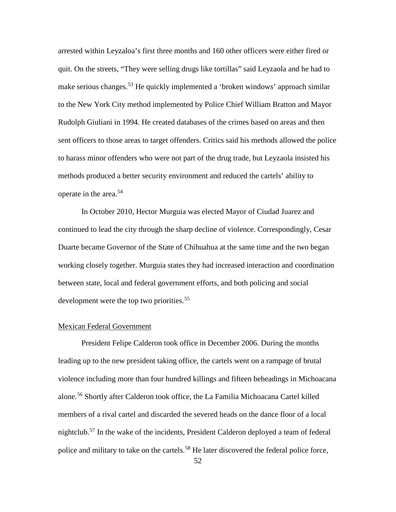arrested within Leyzaloa's first three months and 160 other officers were either fired or quit. On the streets, "They were selling drugs like tortillas" said Leyzaola and he had to make serious changes.<sup>[53](#page-102-40)</sup> He quickly implemented a 'broken windows' approach similar to the New York City method implemented by Police Chief William Bratton and Mayor Rudolph Giuliani in 1994. He created databases of the crimes based on areas and then sent officers to those areas to target offenders. Critics said his methods allowed the police to harass minor offenders who were not part of the drug trade, but Leyzaola insisted his methods produced a better security environment and reduced the cartels' ability to operate in the area.<sup>[54](#page-102-41)</sup>

In October 2010, Hector Murguia was elected Mayor of Ciudad Juarez and continued to lead the city through the sharp decline of violence. Correspondingly, Cesar Duarte became Governor of the State of Chihuahua at the same time and the two began working closely together. Murguia states they had increased interaction and coordination between state, local and federal government efforts, and both policing and social development were the top two priorities.<sup>[55](#page-102-42)</sup>

#### Mexican Federal Government

President Felipe Calderon took office in December 2006. During the months leading up to the new president taking office, the cartels went on a rampage of brutal violence including more than four hundred killings and fifteen beheadings in Michoacana alone.[56](#page-102-43) Shortly after Calderon took office, the La Familia Michoacana Cartel killed members of a rival cartel and discarded the severed heads on the dance floor of a local nightclub.<sup>[57](#page-102-44)</sup> In the wake of the incidents, President Calderon deployed a team of federal police and military to take on the cartels.<sup>[58](#page-102-45)</sup> He later discovered the federal police force,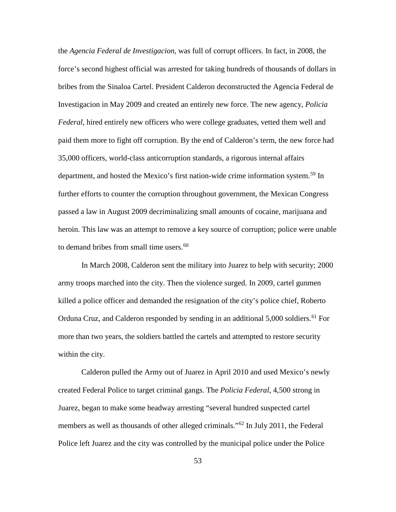the *Agencia Federal de Investigacion*, was full of corrupt officers. In fact, in 2008, the force's second highest official was arrested for taking hundreds of thousands of dollars in bribes from the Sinaloa Cartel. President Calderon deconstructed the Agencia Federal de Investigacion in May 2009 and created an entirely new force. The new agency, *Policia Federal*, hired entirely new officers who were college graduates, vetted them well and paid them more to fight off corruption. By the end of Calderon's term, the new force had 35,000 officers, world-class anticorruption standards, a rigorous internal affairs department, and hosted the Mexico's first nation-wide crime information system.<sup>[59](#page-102-46)</sup> In further efforts to counter the corruption throughout government, the Mexican Congress passed a law in August 2009 decriminalizing small amounts of cocaine, marijuana and heroin. This law was an attempt to remove a key source of corruption; police were unable to demand bribes from small time users.<sup>[60](#page-102-47)</sup>

In March 2008, Calderon sent the military into Juarez to help with security; 2000 army troops marched into the city. Then the violence surged. In 2009, cartel gunmen killed a police officer and demanded the resignation of the city's police chief, Roberto Orduna Cruz, and Calderon responded by sending in an additional 5,000 soldiers.<sup>[61](#page-102-48)</sup> For more than two years, the soldiers battled the cartels and attempted to restore security within the city.

Calderon pulled the Army out of Juarez in April 2010 and used Mexico's newly created Federal Police to target criminal gangs. The *Policia Federal*, 4,500 strong in Juarez, began to make some headway arresting "several hundred suspected cartel members as well as thousands of other alleged criminals."[62](#page-102-49) In July 2011, the Federal Police left Juarez and the city was controlled by the municipal police under the Police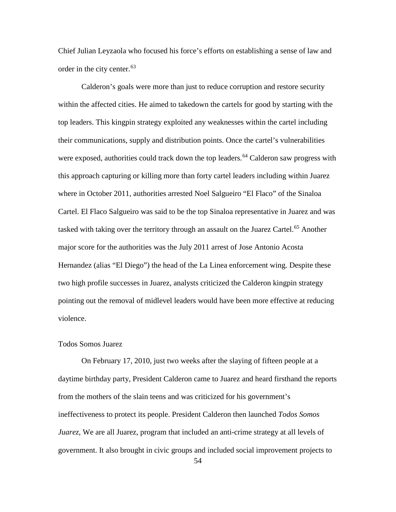Chief Julian Leyzaola who focused his force's efforts on establishing a sense of law and order in the city center.<sup>[63](#page-102-50)</sup>

Calderon's goals were more than just to reduce corruption and restore security within the affected cities. He aimed to takedown the cartels for good by starting with the top leaders. This kingpin strategy exploited any weaknesses within the cartel including their communications, supply and distribution points. Once the cartel's vulnerabilities were exposed, authorities could track down the top leaders.<sup>[64](#page-102-51)</sup> Calderon saw progress with this approach capturing or killing more than forty cartel leaders including within Juarez where in October 2011, authorities arrested Noel Salgueiro "El Flaco" of the Sinaloa Cartel. El Flaco Salgueiro was said to be the top Sinaloa representative in Juarez and was tasked with taking over the territory through an assault on the Juarez Cartel.<sup>[65](#page-102-52)</sup> Another major score for the authorities was the July 2011 arrest of Jose Antonio Acosta Hernandez (alias "El Diego") the head of the La Linea enforcement wing. Despite these two high profile successes in Juarez, analysts criticized the Calderon kingpin strategy pointing out the removal of midlevel leaders would have been more effective at reducing violence.

## Todos Somos Juarez

On February 17, 2010, just two weeks after the slaying of fifteen people at a daytime birthday party, President Calderon came to Juarez and heard firsthand the reports from the mothers of the slain teens and was criticized for his government's ineffectiveness to protect its people. President Calderon then launched *Todos Somos Juarez,* We are all Juarez, program that included an anti-crime strategy at all levels of government. It also brought in civic groups and included social improvement projects to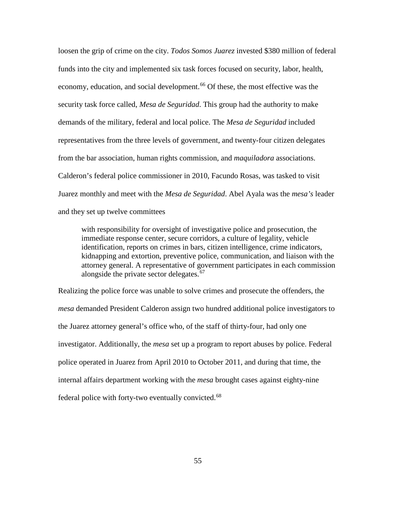loosen the grip of crime on the city. *Todos Somos Juarez* invested \$380 million of federal funds into the city and implemented six task forces focused on security, labor, health, economy, education, and social development.<sup>[66](#page-102-53)</sup> Of these, the most effective was the security task force called, *Mesa de Seguridad*. This group had the authority to make demands of the military, federal and local police. The *Mesa de Seguridad* included representatives from the three levels of government, and twenty-four citizen delegates from the bar association, human rights commission, and *maquiladora* associations. Calderon's federal police commissioner in 2010, Facundo Rosas, was tasked to visit Juarez monthly and meet with the *Mesa de Seguridad*. Abel Ayala was the *mesa's* leader and they set up twelve committees

with responsibility for oversight of investigative police and prosecution, the immediate response center, secure corridors, a culture of legality, vehicle identification, reports on crimes in bars, citizen intelligence, crime indicators, kidnapping and extortion, preventive police, communication, and liaison with the attorney general. A representative of government participates in each commission alongside the private sector delegates.<sup>[67](#page-102-54)</sup>

Realizing the police force was unable to solve crimes and prosecute the offenders, the *mesa* demanded President Calderon assign two hundred additional police investigators to the Juarez attorney general's office who, of the staff of thirty-four, had only one investigator. Additionally, the *mesa* set up a program to report abuses by police. Federal police operated in Juarez from April 2010 to October 2011, and during that time, the internal affairs department working with the *mesa* brought cases against eighty-nine federal police with forty-two eventually convicted.<sup>[68](#page-102-55)</sup>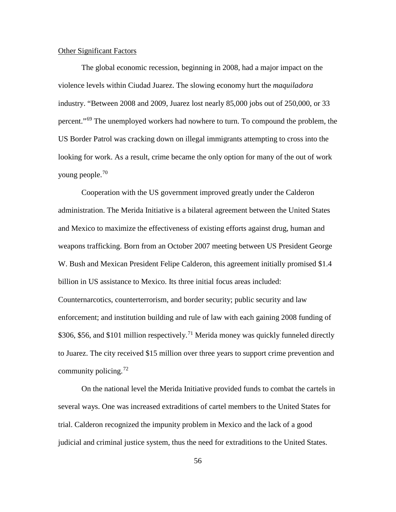### Other Significant Factors

The global economic recession, beginning in 2008, had a major impact on the violence levels within Ciudad Juarez. The slowing economy hurt the *maquiladora*  industry. "Between 2008 and 2009, Juarez lost nearly 85,000 jobs out of 250,000, or 33 percent."[69](#page-102-56) The unemployed workers had nowhere to turn. To compound the problem, the US Border Patrol was cracking down on illegal immigrants attempting to cross into the looking for work. As a result, crime became the only option for many of the out of work young people.[70](#page-102-14)

Cooperation with the US government improved greatly under the Calderon administration. The Merida Initiative is a bilateral agreement between the United States and Mexico to maximize the effectiveness of existing efforts against drug, human and weapons trafficking. Born from an October 2007 meeting between US President George W. Bush and Mexican President Felipe Calderon, this agreement initially promised \$1.4 billion in US assistance to Mexico. Its three initial focus areas included: Counternarcotics, counterterrorism, and border security; public security and law enforcement; and institution building and rule of law with each gaining 2008 funding of \$306, \$56, and \$101 million respectively.<sup>[71](#page-102-15)</sup> Merida money was quickly funneled directly to Juarez. The city received \$15 million over three years to support crime prevention and community policing.<sup>[72](#page-102-57)</sup>

On the national level the Merida Initiative provided funds to combat the cartels in several ways. One was increased extraditions of cartel members to the United States for trial. Calderon recognized the impunity problem in Mexico and the lack of a good judicial and criminal justice system, thus the need for extraditions to the United States.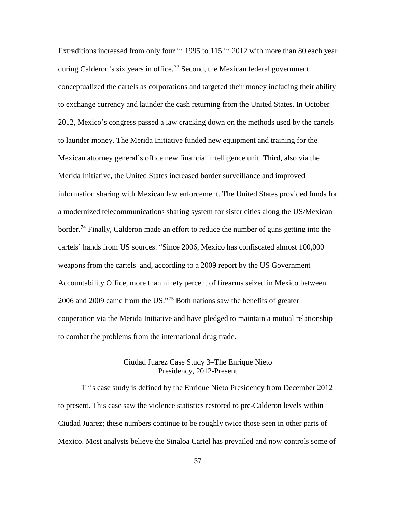Extraditions increased from only four in 1995 to 115 in 2012 with more than 80 each year during Calderon's six years in office.<sup>[73](#page-102-58)</sup> Second, the Mexican federal government conceptualized the cartels as corporations and targeted their money including their ability to exchange currency and launder the cash returning from the United States. In October 2012, Mexico's congress passed a law cracking down on the methods used by the cartels to launder money. The Merida Initiative funded new equipment and training for the Mexican attorney general's office new financial intelligence unit. Third, also via the Merida Initiative, the United States increased border surveillance and improved information sharing with Mexican law enforcement. The United States provided funds for a modernized telecommunications sharing system for sister cities along the US/Mexican border.<sup>[74](#page-102-59)</sup> Finally, Calderon made an effort to reduce the number of guns getting into the cartels' hands from US sources. "Since 2006, Mexico has confiscated almost 100,000 weapons from the cartels–and, according to a 2009 report by the US Government Accountability Office, more than ninety percent of firearms seized in Mexico between 2006 and 2009 came from the US."<sup>[75](#page-102-4)</sup> Both nations saw the benefits of greater cooperation via the Merida Initiative and have pledged to maintain a mutual relationship to combat the problems from the international drug trade.

# Ciudad Juarez Case Study 3–The Enrique Nieto Presidency, 2012-Present

This case study is defined by the Enrique Nieto Presidency from December 2012 to present. This case saw the violence statistics restored to pre-Calderon levels within Ciudad Juarez; these numbers continue to be roughly twice those seen in other parts of Mexico. Most analysts believe the Sinaloa Cartel has prevailed and now controls some of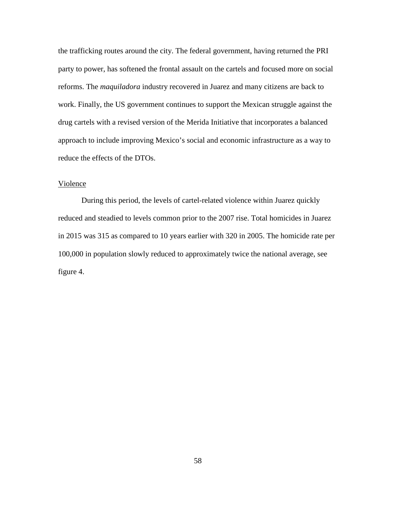the trafficking routes around the city. The federal government, having returned the PRI party to power, has softened the frontal assault on the cartels and focused more on social reforms. The *maquiladora* industry recovered in Juarez and many citizens are back to work. Finally, the US government continues to support the Mexican struggle against the drug cartels with a revised version of the Merida Initiative that incorporates a balanced approach to include improving Mexico's social and economic infrastructure as a way to reduce the effects of the DTOs.

### Violence

During this period, the levels of cartel-related violence within Juarez quickly reduced and steadied to levels common prior to the 2007 rise. Total homicides in Juarez in 2015 was 315 as compared to 10 years earlier with 320 in 2005. The homicide rate per 100,000 in population slowly reduced to approximately twice the national average, see figure 4.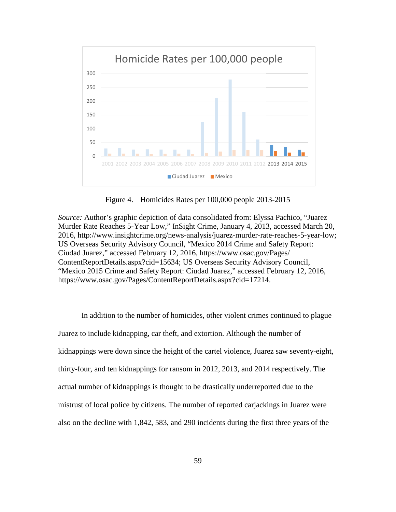

Figure 4. Homicides Rates per 100,000 people 2013-2015

*Source:* Author's graphic depiction of data consolidated from: Elyssa Pachico, "Juarez" Murder Rate Reaches 5-Year Low," InSight Crime, January 4, 2013, accessed March 20, 2016, http://www.insightcrime.org/news-analysis/juarez-murder-rate-reaches-5-year-low; US Overseas Security Advisory Council, "Mexico 2014 Crime and Safety Report: Ciudad Juarez," accessed February 12, 2016, https://www.osac.gov/Pages/ ContentReportDetails.aspx?cid=15634; US Overseas Security Advisory Council, "Mexico 2015 Crime and Safety Report: Ciudad Juarez," accessed February 12, 2016, https://www.osac.gov/Pages/ContentReportDetails.aspx?cid=17214.

In addition to the number of homicides, other violent crimes continued to plague Juarez to include kidnapping, car theft, and extortion. Although the number of kidnappings were down since the height of the cartel violence, Juarez saw seventy-eight, thirty-four, and ten kidnappings for ransom in 2012, 2013, and 2014 respectively. The actual number of kidnappings is thought to be drastically underreported due to the mistrust of local police by citizens. The number of reported carjackings in Juarez were also on the decline with 1,842, 583, and 290 incidents during the first three years of the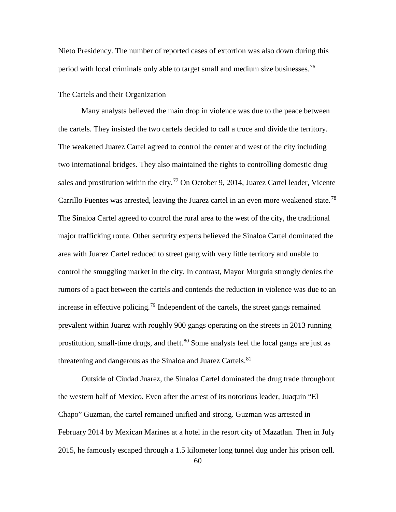Nieto Presidency. The number of reported cases of extortion was also down during this period with local criminals only able to target small and medium size businesses.<sup>[76](#page-102-60)</sup>

## The Cartels and their Organization

Many analysts believed the main drop in violence was due to the peace between the cartels. They insisted the two cartels decided to call a truce and divide the territory. The weakened Juarez Cartel agreed to control the center and west of the city including two international bridges. They also maintained the rights to controlling domestic drug sales and prostitution within the city.<sup>[77](#page-102-61)</sup> On October 9, 2014, Juarez Cartel leader, Vicente Carrillo Fuentes was arrested, leaving the Juarez cartel in an even more weakened state.<sup>[78](#page-102-62)</sup> The Sinaloa Cartel agreed to control the rural area to the west of the city, the traditional major trafficking route. Other security experts believed the Sinaloa Cartel dominated the area with Juarez Cartel reduced to street gang with very little territory and unable to control the smuggling market in the city. In contrast, Mayor Murguia strongly denies the rumors of a pact between the cartels and contends the reduction in violence was due to an increase in effective policing.[79](#page-102-63) Independent of the cartels, the street gangs remained prevalent within Juarez with roughly 900 gangs operating on the streets in 2013 running prostitution, small-time drugs, and theft.  $80$  Some analysts feel the local gangs are just as threatening and dangerous as the Sinaloa and Juarez Cartels.<sup>[81](#page-102-65)</sup>

Outside of Ciudad Juarez, the Sinaloa Cartel dominated the drug trade throughout the western half of Mexico. Even after the arrest of its notorious leader, Juaquin "El Chapo" Guzman, the cartel remained unified and strong. Guzman was arrested in February 2014 by Mexican Marines at a hotel in the resort city of Mazatlan. Then in July 2015, he famously escaped through a 1.5 kilometer long tunnel dug under his prison cell.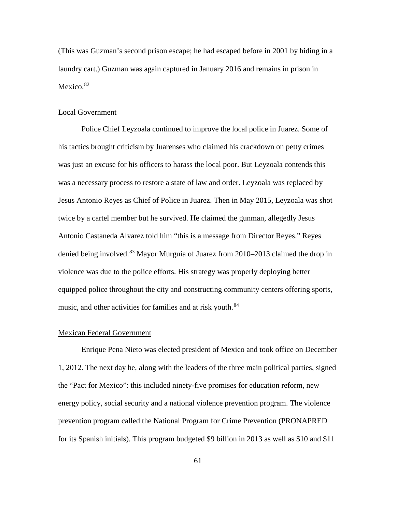(This was Guzman's second prison escape; he had escaped before in 2001 by hiding in a laundry cart.) Guzman was again captured in January 2016 and remains in prison in Mexico.<sup>[82](#page-102-66)</sup>

#### Local Government

Police Chief Leyzoala continued to improve the local police in Juarez. Some of his tactics brought criticism by Juarenses who claimed his crackdown on petty crimes was just an excuse for his officers to harass the local poor. But Leyzoala contends this was a necessary process to restore a state of law and order. Leyzoala was replaced by Jesus Antonio Reyes as Chief of Police in Juarez. Then in May 2015, Leyzoala was shot twice by a cartel member but he survived. He claimed the gunman, allegedly Jesus Antonio Castaneda Alvarez told him "this is a message from Director Reyes." Reyes denied being involved.<sup>[83](#page-102-67)</sup> Mayor Murguia of Juarez from 2010–2013 claimed the drop in violence was due to the police efforts. His strategy was properly deploying better equipped police throughout the city and constructing community centers offering sports, music, and other activities for families and at risk youth.<sup>[84](#page-102-68)</sup>

#### Mexican Federal Government

Enrique Pena Nieto was elected president of Mexico and took office on December 1, 2012. The next day he, along with the leaders of the three main political parties, signed the "Pact for Mexico": this included ninety-five promises for education reform, new energy policy, social security and a national violence prevention program. The violence prevention program called the National Program for Crime Prevention (PRONAPRED for its Spanish initials). This program budgeted \$9 billion in 2013 as well as \$10 and \$11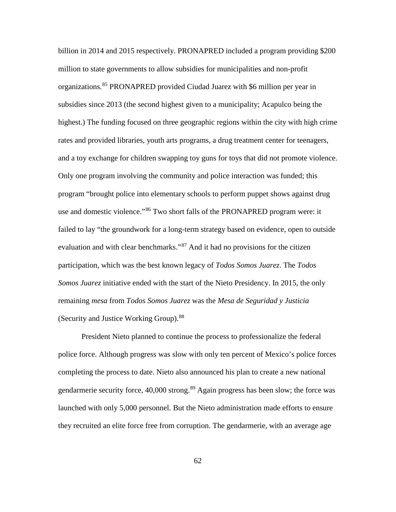billion in 2014 and 2015 respectively. PRONAPRED included a program providing \$200 million to state governments to allow subsidies for municipalities and non-profit organizations.[85](#page-102-69) PRONAPRED provided Ciudad Juarez with \$6 million per year in subsidies since 2013 (the second highest given to a municipality; Acapulco being the highest.) The funding focused on three geographic regions within the city with high crime rates and provided libraries, youth arts programs, a drug treatment center for teenagers, and a toy exchange for children swapping toy guns for toys that did not promote violence. Only one program involving the community and police interaction was funded; this program "brought police into elementary schools to perform puppet shows against drug use and domestic violence."[86](#page-102-70) Two short falls of the PRONAPRED program were: it failed to lay "the groundwork for a long-term strategy based on evidence, open to outside evaluation and with clear benchmarks."[87](#page-102-71) And it had no provisions for the citizen participation, which was the best known legacy of *Todos Somos Juarez*. The *Todos Somos Juarez* initiative ended with the start of the Nieto Presidency. In 2015, the only remaining *mesa* from *Todos Somos Juarez* was the *Mesa de Seguridad y Justicia* (Security and Justice Working Group).[88](#page-102-72)

President Nieto planned to continue the process to professionalize the federal police force. Although progress was slow with only ten percent of Mexico's police forces completing the process to date. Nieto also announced his plan to create a new national gendarmerie security force, 40,000 strong.<sup>[89](#page-102-73)</sup> Again progress has been slow; the force was launched with only 5,000 personnel. But the Nieto administration made efforts to ensure they recruited an elite force free from corruption. The gendarmerie, with an average age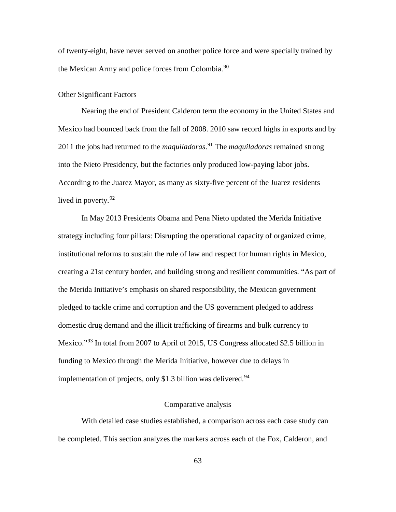of twenty-eight, have never served on another police force and were specially trained by the Mexican Army and police forces from Colombia.<sup>[90](#page-102-0)</sup>

# Other Significant Factors

Nearing the end of President Calderon term the economy in the United States and Mexico had bounced back from the fall of 2008. 2010 saw record highs in exports and by 2011 the jobs had returned to the *maquiladoras*. [91](#page-102-1) The *maquiladoras* remained strong into the Nieto Presidency, but the factories only produced low-paying labor jobs. According to the Juarez Mayor, as many as sixty-five percent of the Juarez residents lived in poverty.  $92$ 

In May 2013 Presidents Obama and Pena Nieto updated the Merida Initiative strategy including four pillars: Disrupting the operational capacity of organized crime, institutional reforms to sustain the rule of law and respect for human rights in Mexico, creating a 21st century border, and building strong and resilient communities. "As part of the Merida Initiative's emphasis on shared responsibility, the Mexican government pledged to tackle crime and corruption and the US government pledged to address domestic drug demand and the illicit trafficking of firearms and bulk currency to Mexico."<sup>[93](#page-102-3)</sup> In total from 2007 to April of 2015, US Congress allocated \$2.5 billion in funding to Mexico through the Merida Initiative, however due to delays in implementation of projects, only \$1.3 billion was delivered. $94$ 

### Comparative analysis

With detailed case studies established, a comparison across each case study can be completed. This section analyzes the markers across each of the Fox, Calderon, and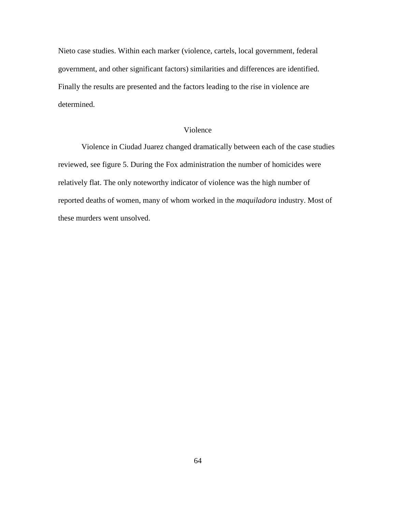Nieto case studies. Within each marker (violence, cartels, local government, federal government, and other significant factors) similarities and differences are identified. Finally the results are presented and the factors leading to the rise in violence are determined.

# Violence

Violence in Ciudad Juarez changed dramatically between each of the case studies reviewed, see figure 5. During the Fox administration the number of homicides were relatively flat. The only noteworthy indicator of violence was the high number of reported deaths of women, many of whom worked in the *maquiladora* industry. Most of these murders went unsolved.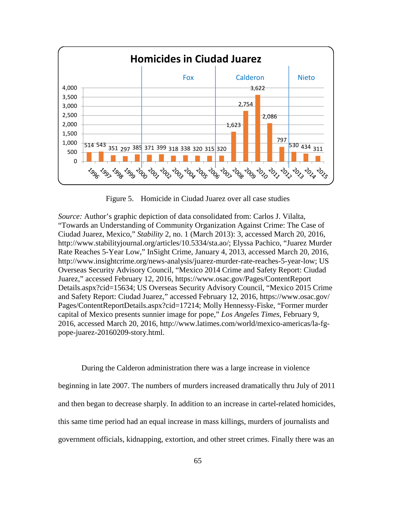

Figure 5. Homicide in Ciudad Juarez over all case studies

*Source:* Author's graphic depiction of data consolidated from: Carlos J. Vilalta, "Towards an Understanding of Community Organization Against Crime: The Case of Ciudad Juarez, Mexico," *Stability* 2, no. 1 (March 2013): 3, accessed March 20, 2016, http://www.stabilityjournal.org/articles/10.5334/sta.ao/; Elyssa Pachico, "Juarez Murder Rate Reaches 5-Year Low," InSight Crime, January 4, 2013, accessed March 20, 2016, http://www.insightcrime.org/news-analysis/juarez-murder-rate-reaches-5-year-low; US Overseas Security Advisory Council, "Mexico 2014 Crime and Safety Report: Ciudad Juarez," accessed February 12, 2016, https://www.osac.gov/Pages/ContentReport Details.aspx?cid=15634; US Overseas Security Advisory Council, "Mexico 2015 Crime and Safety Report: Ciudad Juarez," accessed February 12, 2016, https://www.osac.gov/ Pages/ContentReportDetails.aspx?cid=17214; Molly Hennessy-Fiske, "Former murder capital of Mexico presents sunnier image for pope," *Los Angeles Times*, February 9, 2016, accessed March 20, 2016, http://www.latimes.com/world/mexico-americas/la-fgpope-juarez-20160209-story.html.

During the Calderon administration there was a large increase in violence beginning in late 2007. The numbers of murders increased dramatically thru July of 2011 and then began to decrease sharply. In addition to an increase in cartel-related homicides, this same time period had an equal increase in mass killings, murders of journalists and government officials, kidnapping, extortion, and other street crimes. Finally there was an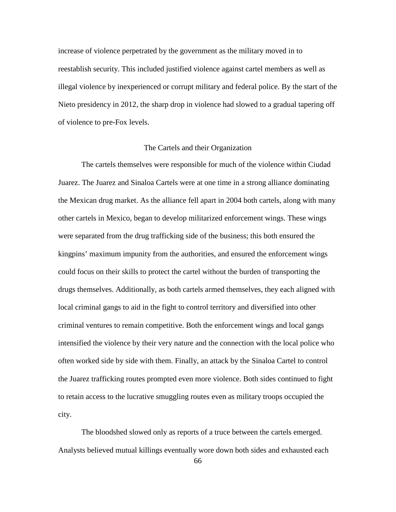increase of violence perpetrated by the government as the military moved in to reestablish security. This included justified violence against cartel members as well as illegal violence by inexperienced or corrupt military and federal police. By the start of the Nieto presidency in 2012, the sharp drop in violence had slowed to a gradual tapering off of violence to pre-Fox levels.

# The Cartels and their Organization

The cartels themselves were responsible for much of the violence within Ciudad Juarez. The Juarez and Sinaloa Cartels were at one time in a strong alliance dominating the Mexican drug market. As the alliance fell apart in 2004 both cartels, along with many other cartels in Mexico, began to develop militarized enforcement wings. These wings were separated from the drug trafficking side of the business; this both ensured the kingpins' maximum impunity from the authorities, and ensured the enforcement wings could focus on their skills to protect the cartel without the burden of transporting the drugs themselves. Additionally, as both cartels armed themselves, they each aligned with local criminal gangs to aid in the fight to control territory and diversified into other criminal ventures to remain competitive. Both the enforcement wings and local gangs intensified the violence by their very nature and the connection with the local police who often worked side by side with them. Finally, an attack by the Sinaloa Cartel to control the Juarez trafficking routes prompted even more violence. Both sides continued to fight to retain access to the lucrative smuggling routes even as military troops occupied the city.

The bloodshed slowed only as reports of a truce between the cartels emerged. Analysts believed mutual killings eventually wore down both sides and exhausted each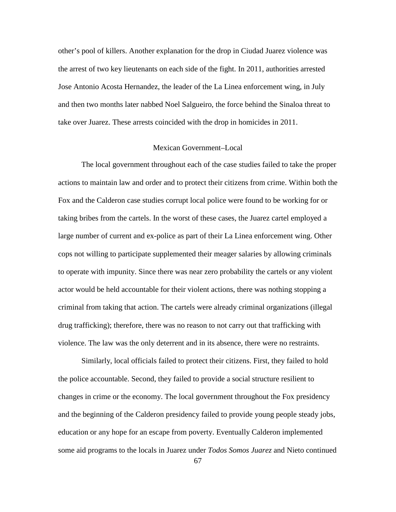other's pool of killers. Another explanation for the drop in Ciudad Juarez violence was the arrest of two key lieutenants on each side of the fight. In 2011, authorities arrested Jose Antonio Acosta Hernandez, the leader of the La Linea enforcement wing, in July and then two months later nabbed Noel Salgueiro, the force behind the Sinaloa threat to take over Juarez. These arrests coincided with the drop in homicides in 2011.

# Mexican Government–Local

The local government throughout each of the case studies failed to take the proper actions to maintain law and order and to protect their citizens from crime. Within both the Fox and the Calderon case studies corrupt local police were found to be working for or taking bribes from the cartels. In the worst of these cases, the Juarez cartel employed a large number of current and ex-police as part of their La Linea enforcement wing. Other cops not willing to participate supplemented their meager salaries by allowing criminals to operate with impunity. Since there was near zero probability the cartels or any violent actor would be held accountable for their violent actions, there was nothing stopping a criminal from taking that action. The cartels were already criminal organizations (illegal drug trafficking); therefore, there was no reason to not carry out that trafficking with violence. The law was the only deterrent and in its absence, there were no restraints.

Similarly, local officials failed to protect their citizens. First, they failed to hold the police accountable. Second, they failed to provide a social structure resilient to changes in crime or the economy. The local government throughout the Fox presidency and the beginning of the Calderon presidency failed to provide young people steady jobs, education or any hope for an escape from poverty. Eventually Calderon implemented some aid programs to the locals in Juarez under *Todos Somos Juarez* and Nieto continued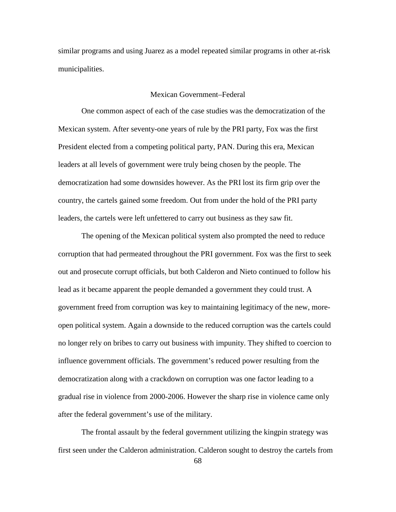similar programs and using Juarez as a model repeated similar programs in other at-risk municipalities.

# Mexican Government–Federal

One common aspect of each of the case studies was the democratization of the Mexican system. After seventy-one years of rule by the PRI party, Fox was the first President elected from a competing political party, PAN. During this era, Mexican leaders at all levels of government were truly being chosen by the people. The democratization had some downsides however. As the PRI lost its firm grip over the country, the cartels gained some freedom. Out from under the hold of the PRI party leaders, the cartels were left unfettered to carry out business as they saw fit.

The opening of the Mexican political system also prompted the need to reduce corruption that had permeated throughout the PRI government. Fox was the first to seek out and prosecute corrupt officials, but both Calderon and Nieto continued to follow his lead as it became apparent the people demanded a government they could trust. A government freed from corruption was key to maintaining legitimacy of the new, moreopen political system. Again a downside to the reduced corruption was the cartels could no longer rely on bribes to carry out business with impunity. They shifted to coercion to influence government officials. The government's reduced power resulting from the democratization along with a crackdown on corruption was one factor leading to a gradual rise in violence from 2000-2006. However the sharp rise in violence came only after the federal government's use of the military.

The frontal assault by the federal government utilizing the kingpin strategy was first seen under the Calderon administration. Calderon sought to destroy the cartels from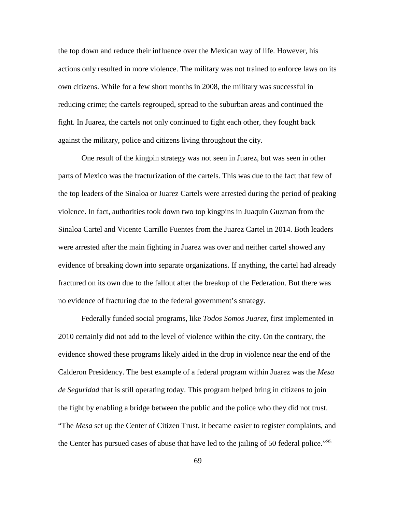the top down and reduce their influence over the Mexican way of life. However, his actions only resulted in more violence. The military was not trained to enforce laws on its own citizens. While for a few short months in 2008, the military was successful in reducing crime; the cartels regrouped, spread to the suburban areas and continued the fight. In Juarez, the cartels not only continued to fight each other, they fought back against the military, police and citizens living throughout the city.

One result of the kingpin strategy was not seen in Juarez, but was seen in other parts of Mexico was the fracturization of the cartels. This was due to the fact that few of the top leaders of the Sinaloa or Juarez Cartels were arrested during the period of peaking violence. In fact, authorities took down two top kingpins in Juaquin Guzman from the Sinaloa Cartel and Vicente Carrillo Fuentes from the Juarez Cartel in 2014. Both leaders were arrested after the main fighting in Juarez was over and neither cartel showed any evidence of breaking down into separate organizations. If anything, the cartel had already fractured on its own due to the fallout after the breakup of the Federation. But there was no evidence of fracturing due to the federal government's strategy.

Federally funded social programs, like *Todos Somos Juarez*, first implemented in 2010 certainly did not add to the level of violence within the city. On the contrary, the evidence showed these programs likely aided in the drop in violence near the end of the Calderon Presidency. The best example of a federal program within Juarez was the *Mesa de Seguridad* that is still operating today. This program helped bring in citizens to join the fight by enabling a bridge between the public and the police who they did not trust. "The *Mesa* set up the Center of Citizen Trust, it became easier to register complaints, and the Center has pursued cases of abuse that have led to the jailing of 50 federal police."<sup>[95](#page-102-5)</sup>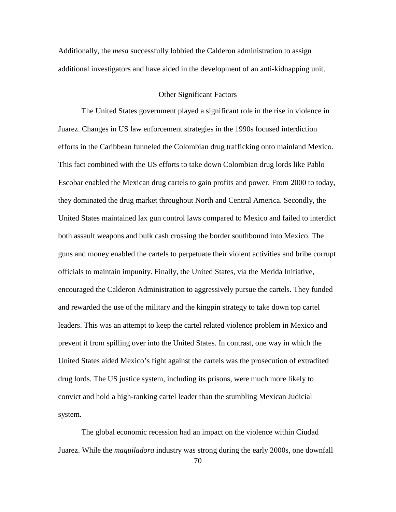Additionally, the *mesa* successfully lobbied the Calderon administration to assign additional investigators and have aided in the development of an anti-kidnapping unit.

# Other Significant Factors

The United States government played a significant role in the rise in violence in Juarez. Changes in US law enforcement strategies in the 1990s focused interdiction efforts in the Caribbean funneled the Colombian drug trafficking onto mainland Mexico. This fact combined with the US efforts to take down Colombian drug lords like Pablo Escobar enabled the Mexican drug cartels to gain profits and power. From 2000 to today, they dominated the drug market throughout North and Central America. Secondly, the United States maintained lax gun control laws compared to Mexico and failed to interdict both assault weapons and bulk cash crossing the border southbound into Mexico. The guns and money enabled the cartels to perpetuate their violent activities and bribe corrupt officials to maintain impunity. Finally, the United States, via the Merida Initiative, encouraged the Calderon Administration to aggressively pursue the cartels. They funded and rewarded the use of the military and the kingpin strategy to take down top cartel leaders. This was an attempt to keep the cartel related violence problem in Mexico and prevent it from spilling over into the United States. In contrast, one way in which the United States aided Mexico's fight against the cartels was the prosecution of extradited drug lords. The US justice system, including its prisons, were much more likely to convict and hold a high-ranking cartel leader than the stumbling Mexican Judicial system.

The global economic recession had an impact on the violence within Ciudad Juarez. While the *maquiladora* industry was strong during the early 2000s, one downfall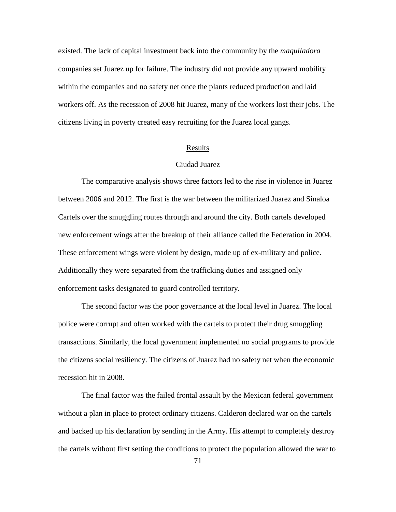existed. The lack of capital investment back into the community by the *maquiladora*  companies set Juarez up for failure. The industry did not provide any upward mobility within the companies and no safety net once the plants reduced production and laid workers off. As the recession of 2008 hit Juarez, many of the workers lost their jobs. The citizens living in poverty created easy recruiting for the Juarez local gangs.

### Results

# Ciudad Juarez

The comparative analysis shows three factors led to the rise in violence in Juarez between 2006 and 2012. The first is the war between the militarized Juarez and Sinaloa Cartels over the smuggling routes through and around the city. Both cartels developed new enforcement wings after the breakup of their alliance called the Federation in 2004. These enforcement wings were violent by design, made up of ex-military and police. Additionally they were separated from the trafficking duties and assigned only enforcement tasks designated to guard controlled territory.

The second factor was the poor governance at the local level in Juarez. The local police were corrupt and often worked with the cartels to protect their drug smuggling transactions. Similarly, the local government implemented no social programs to provide the citizens social resiliency. The citizens of Juarez had no safety net when the economic recession hit in 2008.

The final factor was the failed frontal assault by the Mexican federal government without a plan in place to protect ordinary citizens. Calderon declared war on the cartels and backed up his declaration by sending in the Army. His attempt to completely destroy the cartels without first setting the conditions to protect the population allowed the war to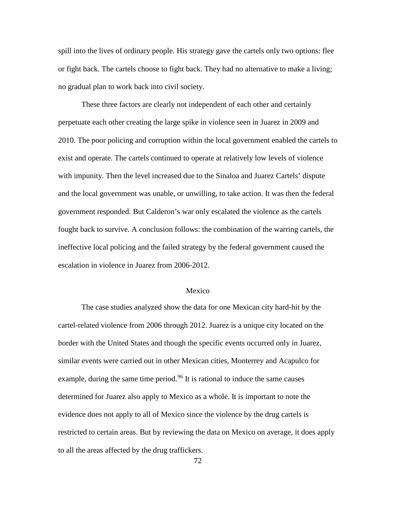spill into the lives of ordinary people. His strategy gave the cartels only two options: flee or fight back. The cartels choose to fight back. They had no alternative to make a living; no gradual plan to work back into civil society.

These three factors are clearly not independent of each other and certainly perpetuate each other creating the large spike in violence seen in Juarez in 2009 and 2010. The poor policing and corruption within the local government enabled the cartels to exist and operate. The cartels continued to operate at relatively low levels of violence with impunity. Then the level increased due to the Sinaloa and Juarez Cartels' dispute and the local government was unable, or unwilling, to take action. It was then the federal government responded. But Calderon's war only escalated the violence as the cartels fought back to survive. A conclusion follows: the combination of the warring cartels, the ineffective local policing and the failed strategy by the federal government caused the escalation in violence in Juarez from 2006-2012.

# Mexico

The case studies analyzed show the data for one Mexican city hard-hit by the cartel-related violence from 2006 through 2012. Juarez is a unique city located on the border with the United States and though the specific events occurred only in Juarez, similar events were carried out in other Mexican cities, Monterrey and Acapulco for example, during the same time period.<sup>[96](#page-102-6)</sup> It is rational to induce the same causes determined for Juarez also apply to Mexico as a whole. It is important to note the evidence does not apply to all of Mexico since the violence by the drug cartels is restricted to certain areas. But by reviewing the data on Mexico on average, it does apply to all the areas affected by the drug traffickers.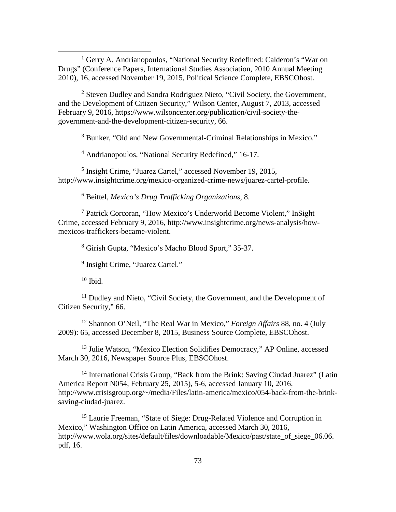<sup>1</sup> Gerry A. Andrianopoulos, "National Security Redefined: Calderon's "War on Drugs" (Conference Papers, International Studies Association, 2010 Annual Meeting 2010), 16, accessed November 19, 2015, Political Science Complete, EBSCOhost.

<sup>2</sup> Steven Dudley and Sandra Rodriguez Nieto, "Civil Society, the Government, and the Development of Citizen Security," Wilson Center, August 7, 2013, accessed February 9, 2016, https://www.wilsoncenter.org/publication/civil-society-thegovernment-and-the-development-citizen-security, 66.

<sup>3</sup> Bunker, "Old and New Governmental-Criminal Relationships in Mexico."

<sup>4</sup> Andrianopoulos, "National Security Redefined," 16-17.

<sup>5</sup> Insight Crime, "Juarez Cartel," accessed November 19, 2015, http://www.insightcrime.org/mexico-organized-crime-news/juarez-cartel-profile.

<sup>6</sup> Beittel, *Mexico's Drug Trafficking Organizations*, 8.

<sup>7</sup> Patrick Corcoran, "How Mexico's Underworld Become Violent," InSight Crime, accessed February 9, 2016, http://www.insightcrime.org/news-analysis/howmexicos-traffickers-became-violent.

<sup>8</sup> Girish Gupta, "Mexico's Macho Blood Sport," 35-37.

<sup>9</sup> Insight Crime, "Juarez Cartel."

 $10$  Ibid.

 $\overline{a}$ 

<sup>11</sup> Dudley and Nieto, "Civil Society, the Government, and the Development of Citizen Security," 66.

<sup>12</sup> Shannon O'Neil, "The Real War in Mexico," *Foreign Affairs* 88, no. 4 (July 2009): 65, accessed December 8, 2015, Business Source Complete, EBSCOhost.

<sup>13</sup> Julie Watson, "Mexico Election Solidifies Democracy," AP Online, accessed March 30, 2016, Newspaper Source Plus, EBSCOhost.

<sup>14</sup> International Crisis Group, "Back from the Brink: Saving Ciudad Juarez" (Latin America Report N054, February 25, 2015), 5-6, accessed January 10, 2016, http://www.crisisgroup.org/~/media/Files/latin-america/mexico/054-back-from-the-brinksaving-ciudad-juarez.

<sup>15</sup> Laurie Freeman, "State of Siege: Drug-Related Violence and Corruption in Mexico," Washington Office on Latin America, accessed March 30, 2016, http://www.wola.org/sites/default/files/downloadable/Mexico/past/state\_of\_siege\_06.06. pdf, 16.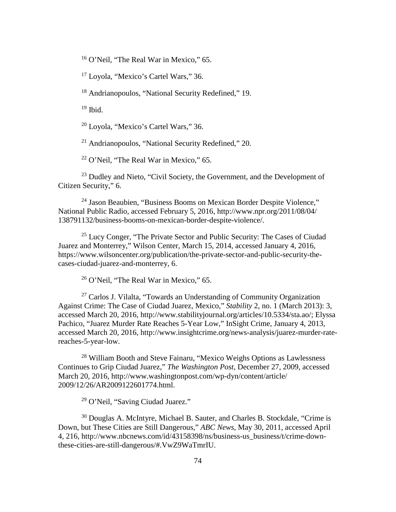<sup>16</sup> O'Neil, "The Real War in Mexico," 65.

<sup>17</sup> Loyola, "Mexico's Cartel Wars," 36.

<sup>18</sup> Andrianopoulos, "National Security Redefined," 19.

 $19$  Ibid.

<sup>20</sup> Loyola, "Mexico's Cartel Wars," 36.

 $21$  Andrianopoulos, "National Security Redefined," 20.

 $22$  O'Neil, "The Real War in Mexico," 65.

 $^{23}$  Dudley and Nieto, "Civil Society, the Government, and the Development of Citizen Security," 6.

<sup>24</sup> Jason Beaubien, "Business Booms on Mexican Border Despite Violence," National Public Radio, accessed February 5, 2016, http://www.npr.org/2011/08/04/ 138791132/business-booms-on-mexican-border-despite-violence/.

 $25$  Lucy Conger, "The Private Sector and Public Security: The Cases of Ciudad Juarez and Monterrey," Wilson Center, March 15, 2014, accessed January 4, 2016, https://www.wilsoncenter.org/publication/the-private-sector-and-public-security-thecases-ciudad-juarez-and-monterrey, 6.

<sup>26</sup> O'Neil, "The Real War in Mexico," 65.

<sup>27</sup> Carlos J. Vilalta, "Towards an Understanding of Community Organization Against Crime: The Case of Ciudad Juarez, Mexico," *Stability* 2, no. 1 (March 2013): 3, accessed March 20, 2016, http://www.stabilityjournal.org/articles/10.5334/sta.ao/; Elyssa Pachico, "Juarez Murder Rate Reaches 5-Year Low," InSight Crime, January 4, 2013, accessed March 20, 2016, http://www.insightcrime.org/news-analysis/juarez-murder-ratereaches-5-year-low.

<sup>28</sup> William Booth and Steve Fainaru, "Mexico Weighs Options as Lawlessness Continues to Grip Ciudad Juarez," *The Washington Post*, December 27, 2009, accessed March 20, 2016, http://www.washingtonpost.com/wp-dyn/content/article/ 2009/12/26/AR2009122601774.html.

<sup>29</sup> O'Neil, "Saving Ciudad Juarez."

<sup>30</sup> Douglas A. McIntyre, Michael B. Sauter, and Charles B. Stockdale, "Crime is Down, but These Cities are Still Dangerous," *ABC News*, May 30, 2011, accessed April 4, 216, http://www.nbcnews.com/id/43158398/ns/business-us\_business/t/crime-downthese-cities-are-still-dangerous/#.VwZ9WaTmrIU.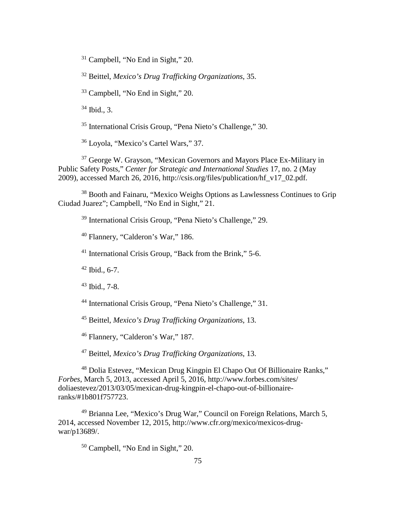Campbell, "No End in Sight," 20.

Beittel, *Mexico's Drug Trafficking Organizations*, 35.

Campbell, "No End in Sight," 20.

Ibid., 3.

International Crisis Group, "Pena Nieto's Challenge," 30.

Loyola, "Mexico's Cartel Wars," 37.

 George W. Grayson, "Mexican Governors and Mayors Place Ex-Military in Public Safety Posts," *Center for Strategic and International Studies* 17, no. 2 (May 2009), accessed March 26, 2016, http://csis.org/files/publication/hf\_v17\_02.pdf.

 Booth and Fainaru, "Mexico Weighs Options as Lawlessness Continues to Grip Ciudad Juarez"; Campbell, "No End in Sight," 21.

International Crisis Group, "Pena Nieto's Challenge," 29.

Flannery, "Calderon's War," 186.

International Crisis Group, "Back from the Brink," 5-6.

Ibid., 6-7.

Ibid., 7-8.

International Crisis Group, "Pena Nieto's Challenge," 31.

Beittel, *Mexico's Drug Trafficking Organizations*, 13.

Flannery, "Calderon's War," 187.

Beittel, *Mexico's Drug Trafficking Organizations*, 13.

 Dolia Estevez, "Mexican Drug Kingpin El Chapo Out Of Billionaire Ranks," *Forbes*, March 5, 2013, accessed April 5, 2016, http://www.forbes.com/sites/ doliaestevez/2013/03/05/mexican-drug-kingpin-el-chapo-out-of-billionaireranks/#1b801f757723.

 Brianna Lee, "Mexico's Drug War," Council on Foreign Relations, March 5, 2014, accessed November 12, 2015, http://www.cfr.org/mexico/mexicos-drugwar/p13689/.

Campbell, "No End in Sight," 20.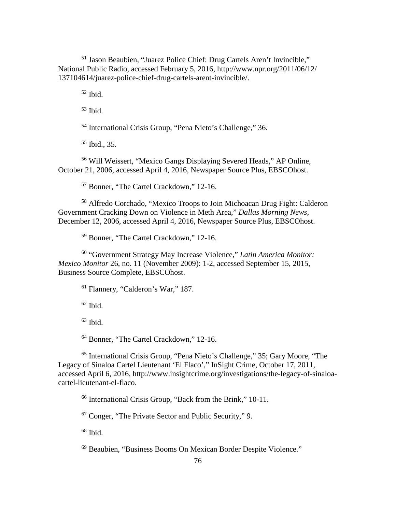Jason Beaubien, "Juarez Police Chief: Drug Cartels Aren't Invincible," National Public Radio, accessed February 5, 2016, http://www.npr.org/2011/06/12/ 137104614/juarez-police-chief-drug-cartels-arent-invincible/.

Ibid.

Ibid.

International Crisis Group, "Pena Nieto's Challenge," 36.

Ibid., 35.

 Will Weissert, "Mexico Gangs Displaying Severed Heads," AP Online, October 21, 2006, accessed April 4, 2016, Newspaper Source Plus, EBSCOhost.

Bonner, "The Cartel Crackdown," 12-16.

 Alfredo Corchado, "Mexico Troops to Join Michoacan Drug Fight: Calderon Government Cracking Down on Violence in Meth Area," *Dallas Morning News*, December 12, 2006, accessed April 4, 2016, Newspaper Source Plus, EBSCOhost.

Bonner, "The Cartel Crackdown," 12-16.

 "Government Strategy May Increase Violence," *Latin America Monitor: Mexico Monitor* 26, no. 11 (November 2009): 1-2, accessed September 15, 2015, Business Source Complete, EBSCOhost.

Flannery, "Calderon's War," 187.

Ibid.

Ibid.

<sup>64</sup> Bonner, "The Cartel Crackdown," 12-16.

 International Crisis Group, "Pena Nieto's Challenge," 35; Gary Moore, "The Legacy of Sinaloa Cartel Lieutenant 'El Flaco'," InSight Crime, October 17, 2011, accessed April 6, 2016, http://www.insightcrime.org/investigations/the-legacy-of-sinaloacartel-lieutenant-el-flaco.

International Crisis Group, "Back from the Brink," 10-11.

Conger, "The Private Sector and Public Security," 9.

Ibid.

Beaubien, "Business Booms On Mexican Border Despite Violence."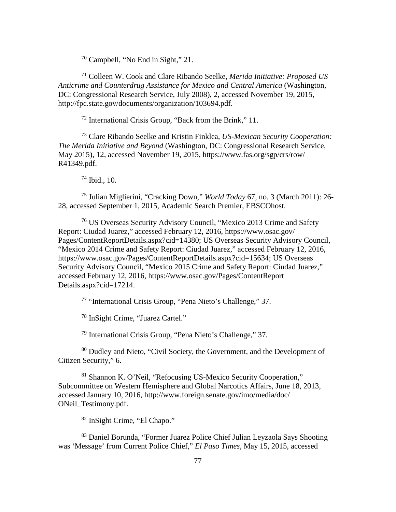<sup>70</sup> Campbell, "No End in Sight," 21.

<sup>71</sup> Colleen W. Cook and Clare Ribando Seelke, *Merida Initiative: Proposed US Anticrime and Counterdrug Assistance for Mexico and Central America* (Washington, DC: Congressional Research Service, July 2008), 2, accessed November 19, 2015, http://fpc.state.gov/documents/organization/103694.pdf.

<sup>72</sup> International Crisis Group, "Back from the Brink," 11.

<sup>73</sup> Clare Ribando Seelke and Kristin Finklea, *US-Mexican Security Cooperation: The Merida Initiative and Beyond* (Washington, DC: Congressional Research Service, May 2015), 12, accessed November 19, 2015, https://www.fas.org/sgp/crs/row/ R41349.pdf.

 $74$  Ibid., 10.

<sup>75</sup> Julian Miglierini, "Cracking Down," *World Today* 67, no. 3 (March 2011): 26- 28, accessed September 1, 2015, Academic Search Premier, EBSCOhost.

<sup>76</sup> US Overseas Security Advisory Council, "Mexico 2013 Crime and Safety Report: Ciudad Juarez," accessed February 12, 2016, https://www.osac.gov/ Pages/ContentReportDetails.aspx?cid=14380; US Overseas Security Advisory Council, "Mexico 2014 Crime and Safety Report: Ciudad Juarez," accessed February 12, 2016, https://www.osac.gov/Pages/ContentReportDetails.aspx?cid=15634; US Overseas Security Advisory Council, "Mexico 2015 Crime and Safety Report: Ciudad Juarez," accessed February 12, 2016, https://www.osac.gov/Pages/ContentReport Details.aspx?cid=17214.

<sup>77</sup> "International Crisis Group, "Pena Nieto's Challenge," 37.

<sup>78</sup> InSight Crime, "Juarez Cartel."

<sup>79</sup> International Crisis Group, "Pena Nieto's Challenge," 37.

<sup>80</sup> Dudley and Nieto, "Civil Society, the Government, and the Development of Citizen Security," 6.

<sup>81</sup> Shannon K. O'Neil, "Refocusing US-Mexico Security Cooperation," Subcommittee on Western Hemisphere and Global Narcotics Affairs, June 18, 2013, accessed January 10, 2016, http://www.foreign.senate.gov/imo/media/doc/ ONeil\_Testimony.pdf.

<sup>82</sup> InSight Crime, "El Chapo."

<sup>83</sup> Daniel Borunda, "Former Juarez Police Chief Julian Leyzaola Says Shooting was 'Message' from Current Police Chief," *El Paso Times*, May 15, 2015, accessed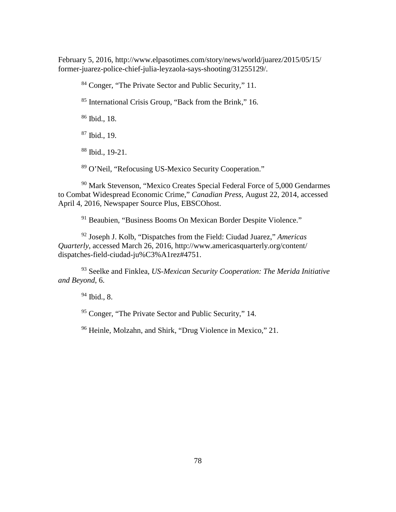February 5, 2016, http://www.elpasotimes.com/story/news/world/juarez/2015/05/15/ former-juarez-police-chief-julia-leyzaola-says-shooting/31255129/.

Conger, "The Private Sector and Public Security," 11.

International Crisis Group, "Back from the Brink," 16.

Ibid., 18.

Ibid., 19.

Ibid., 19-21.

O'Neil, "Refocusing US-Mexico Security Cooperation."

 Mark Stevenson, "Mexico Creates Special Federal Force of 5,000 Gendarmes to Combat Widespread Economic Crime," *Canadian Press*, August 22, 2014, accessed April 4, 2016*,* Newspaper Source Plus, EBSCOhost.

Beaubien, "Business Booms On Mexican Border Despite Violence."

 Joseph J. Kolb, "Dispatches from the Field: Ciudad Juarez," *Americas Quarterly*, accessed March 26, 2016, http://www.americasquarterly.org/content/ dispatches-field-ciudad-ju%C3%A1rez#4751.

 Seelke and Finklea, *US-Mexican Security Cooperation: The Merida Initiative and Beyond*, 6.

Ibid., 8.

Conger, "The Private Sector and Public Security," 14.

Heinle, Molzahn, and Shirk, "Drug Violence in Mexico," 21.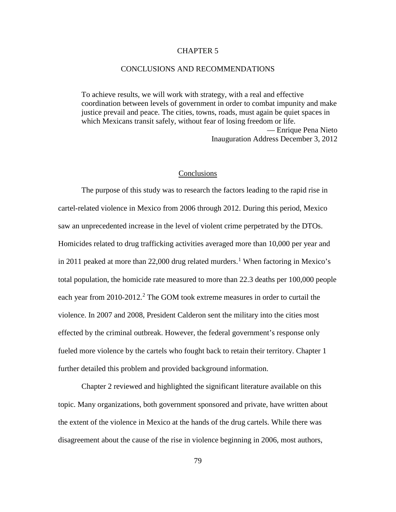# CHAPTER 5

# CONCLUSIONS AND RECOMMENDATIONS

To achieve results, we will work with strategy, with a real and effective coordination between levels of government in order to combat impunity and make justice prevail and peace. The cities, towns, roads, must again be quiet spaces in which Mexicans transit safely, without fear of losing freedom or life. — Enrique Pena Nieto Inauguration Address December 3, 2012

#### **Conclusions**

The purpose of this study was to research the factors leading to the rapid rise in cartel-related violence in Mexico from 2006 through 2012. During this period, Mexico saw an unprecedented increase in the level of violent crime perpetrated by the DTOs. Homicides related to drug trafficking activities averaged more than 10,000 per year and in 20[1](#page-102-7)1 peaked at more than 22,000 drug related murders.<sup>1</sup> When factoring in Mexico's total population, the homicide rate measured to more than 22.3 deaths per 100,000 people each year from [2](#page-102-8)010-2012.<sup>2</sup> The GOM took extreme measures in order to curtail the violence. In 2007 and 2008, President Calderon sent the military into the cities most effected by the criminal outbreak. However, the federal government's response only fueled more violence by the cartels who fought back to retain their territory. Chapter 1 further detailed this problem and provided background information.

Chapter 2 reviewed and highlighted the significant literature available on this topic. Many organizations, both government sponsored and private, have written about the extent of the violence in Mexico at the hands of the drug cartels. While there was disagreement about the cause of the rise in violence beginning in 2006, most authors,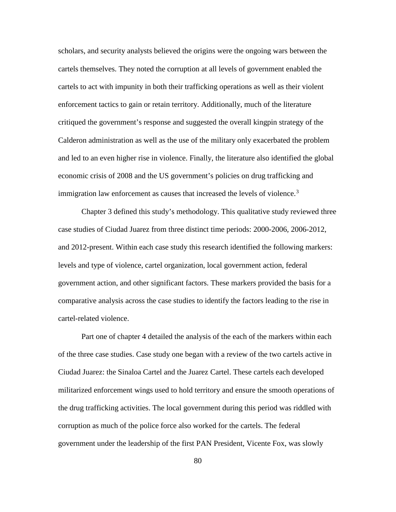scholars, and security analysts believed the origins were the ongoing wars between the cartels themselves. They noted the corruption at all levels of government enabled the cartels to act with impunity in both their trafficking operations as well as their violent enforcement tactics to gain or retain territory. Additionally, much of the literature critiqued the government's response and suggested the overall kingpin strategy of the Calderon administration as well as the use of the military only exacerbated the problem and led to an even higher rise in violence. Finally, the literature also identified the global economic crisis of 2008 and the US government's policies on drug trafficking and immigration law enforcement as causes that increased the levels of violence.<sup>[3](#page-102-9)</sup>

Chapter 3 defined this study's methodology. This qualitative study reviewed three case studies of Ciudad Juarez from three distinct time periods: 2000-2006, 2006-2012, and 2012-present. Within each case study this research identified the following markers: levels and type of violence, cartel organization, local government action, federal government action, and other significant factors. These markers provided the basis for a comparative analysis across the case studies to identify the factors leading to the rise in cartel-related violence.

Part one of chapter 4 detailed the analysis of the each of the markers within each of the three case studies. Case study one began with a review of the two cartels active in Ciudad Juarez: the Sinaloa Cartel and the Juarez Cartel. These cartels each developed militarized enforcement wings used to hold territory and ensure the smooth operations of the drug trafficking activities. The local government during this period was riddled with corruption as much of the police force also worked for the cartels. The federal government under the leadership of the first PAN President, Vicente Fox, was slowly

80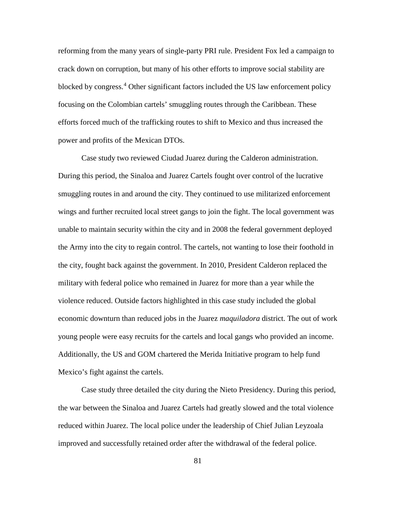reforming from the many years of single-party PRI rule. President Fox led a campaign to crack down on corruption, but many of his other efforts to improve social stability are blocked by congress.<sup>[4](#page-102-10)</sup> Other significant factors included the US law enforcement policy focusing on the Colombian cartels' smuggling routes through the Caribbean. These efforts forced much of the trafficking routes to shift to Mexico and thus increased the power and profits of the Mexican DTOs.

Case study two reviewed Ciudad Juarez during the Calderon administration. During this period, the Sinaloa and Juarez Cartels fought over control of the lucrative smuggling routes in and around the city. They continued to use militarized enforcement wings and further recruited local street gangs to join the fight. The local government was unable to maintain security within the city and in 2008 the federal government deployed the Army into the city to regain control. The cartels, not wanting to lose their foothold in the city, fought back against the government. In 2010, President Calderon replaced the military with federal police who remained in Juarez for more than a year while the violence reduced. Outside factors highlighted in this case study included the global economic downturn than reduced jobs in the Juarez *maquiladora* district. The out of work young people were easy recruits for the cartels and local gangs who provided an income. Additionally, the US and GOM chartered the Merida Initiative program to help fund Mexico's fight against the cartels.

Case study three detailed the city during the Nieto Presidency. During this period, the war between the Sinaloa and Juarez Cartels had greatly slowed and the total violence reduced within Juarez. The local police under the leadership of Chief Julian Leyzoala improved and successfully retained order after the withdrawal of the federal police.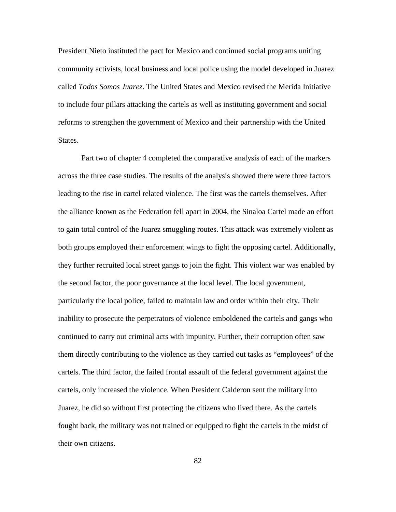President Nieto instituted the pact for Mexico and continued social programs uniting community activists, local business and local police using the model developed in Juarez called *Todos Somos Juarez*. The United States and Mexico revised the Merida Initiative to include four pillars attacking the cartels as well as instituting government and social reforms to strengthen the government of Mexico and their partnership with the United States.

Part two of chapter 4 completed the comparative analysis of each of the markers across the three case studies. The results of the analysis showed there were three factors leading to the rise in cartel related violence. The first was the cartels themselves. After the alliance known as the Federation fell apart in 2004, the Sinaloa Cartel made an effort to gain total control of the Juarez smuggling routes. This attack was extremely violent as both groups employed their enforcement wings to fight the opposing cartel. Additionally, they further recruited local street gangs to join the fight. This violent war was enabled by the second factor, the poor governance at the local level. The local government, particularly the local police, failed to maintain law and order within their city. Their inability to prosecute the perpetrators of violence emboldened the cartels and gangs who continued to carry out criminal acts with impunity. Further, their corruption often saw them directly contributing to the violence as they carried out tasks as "employees" of the cartels. The third factor, the failed frontal assault of the federal government against the cartels, only increased the violence. When President Calderon sent the military into Juarez, he did so without first protecting the citizens who lived there. As the cartels fought back, the military was not trained or equipped to fight the cartels in the midst of their own citizens.

82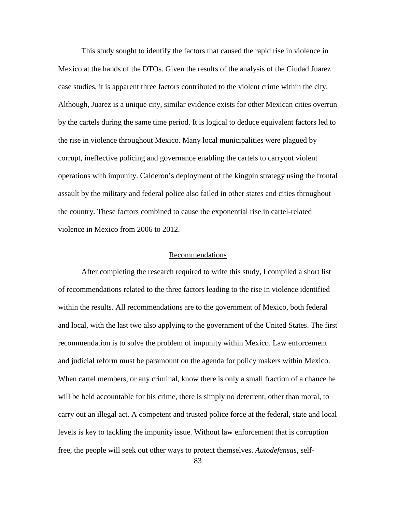This study sought to identify the factors that caused the rapid rise in violence in Mexico at the hands of the DTOs. Given the results of the analysis of the Ciudad Juarez case studies, it is apparent three factors contributed to the violent crime within the city. Although, Juarez is a unique city, similar evidence exists for other Mexican cities overrun by the cartels during the same time period. It is logical to deduce equivalent factors led to the rise in violence throughout Mexico. Many local municipalities were plagued by corrupt, ineffective policing and governance enabling the cartels to carryout violent operations with impunity. Calderon's deployment of the kingpin strategy using the frontal assault by the military and federal police also failed in other states and cities throughout the country. These factors combined to cause the exponential rise in cartel-related violence in Mexico from 2006 to 2012.

# Recommendations

After completing the research required to write this study, I compiled a short list of recommendations related to the three factors leading to the rise in violence identified within the results. All recommendations are to the government of Mexico, both federal and local, with the last two also applying to the government of the United States. The first recommendation is to solve the problem of impunity within Mexico. Law enforcement and judicial reform must be paramount on the agenda for policy makers within Mexico. When cartel members, or any criminal, know there is only a small fraction of a chance he will be held accountable for his crime, there is simply no deterrent, other than moral, to carry out an illegal act. A competent and trusted police force at the federal, state and local levels is key to tackling the impunity issue. Without law enforcement that is corruption free, the people will seek out other ways to protect themselves. *Autodefensas*, self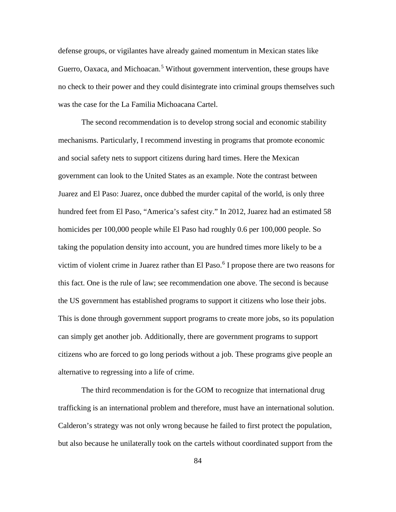defense groups, or vigilantes have already gained momentum in Mexican states like Guerro, Oaxaca, and Michoacan.<sup>[5](#page-102-11)</sup> Without government intervention, these groups have no check to their power and they could disintegrate into criminal groups themselves such was the case for the La Familia Michoacana Cartel.

The second recommendation is to develop strong social and economic stability mechanisms. Particularly, I recommend investing in programs that promote economic and social safety nets to support citizens during hard times. Here the Mexican government can look to the United States as an example. Note the contrast between Juarez and El Paso: Juarez, once dubbed the murder capital of the world, is only three hundred feet from El Paso, "America's safest city." In 2012, Juarez had an estimated 58 homicides per 100,000 people while El Paso had roughly 0.6 per 100,000 people. So taking the population density into account, you are hundred times more likely to be a victim of violent crime in Juarez rather than El Paso.<sup>[6](#page-102-12)</sup> I propose there are two reasons for this fact. One is the rule of law; see recommendation one above. The second is because the US government has established programs to support it citizens who lose their jobs. This is done through government support programs to create more jobs, so its population can simply get another job. Additionally, there are government programs to support citizens who are forced to go long periods without a job. These programs give people an alternative to regressing into a life of crime.

The third recommendation is for the GOM to recognize that international drug trafficking is an international problem and therefore, must have an international solution. Calderon's strategy was not only wrong because he failed to first protect the population, but also because he unilaterally took on the cartels without coordinated support from the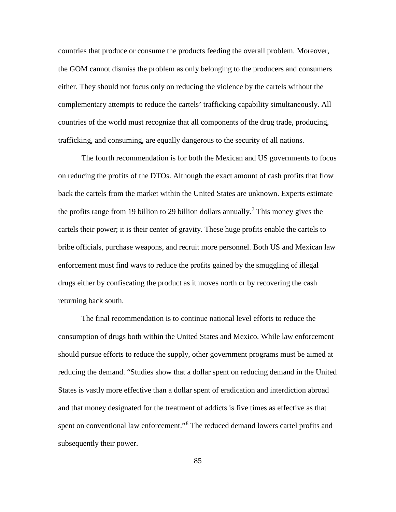countries that produce or consume the products feeding the overall problem. Moreover, the GOM cannot dismiss the problem as only belonging to the producers and consumers either. They should not focus only on reducing the violence by the cartels without the complementary attempts to reduce the cartels' trafficking capability simultaneously. All countries of the world must recognize that all components of the drug trade, producing, trafficking, and consuming, are equally dangerous to the security of all nations.

The fourth recommendation is for both the Mexican and US governments to focus on reducing the profits of the DTOs. Although the exact amount of cash profits that flow back the cartels from the market within the United States are unknown. Experts estimate the profits range from 19 billion to 29 billion dollars annually.<sup>[7](#page-102-13)</sup> This money gives the cartels their power; it is their center of gravity. These huge profits enable the cartels to bribe officials, purchase weapons, and recruit more personnel. Both US and Mexican law enforcement must find ways to reduce the profits gained by the smuggling of illegal drugs either by confiscating the product as it moves north or by recovering the cash returning back south.

The final recommendation is to continue national level efforts to reduce the consumption of drugs both within the United States and Mexico. While law enforcement should pursue efforts to reduce the supply, other government programs must be aimed at reducing the demand. "Studies show that a dollar spent on reducing demand in the United States is vastly more effective than a dollar spent of eradication and interdiction abroad and that money designated for the treatment of addicts is five times as effective as that spent on conventional law enforcement."[8](#page-102-14) The reduced demand lowers cartel profits and subsequently their power.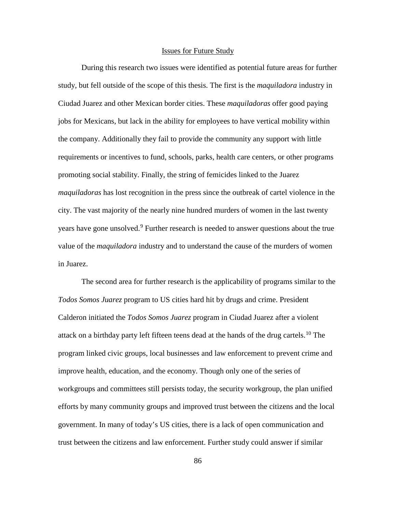# Issues for Future Study

During this research two issues were identified as potential future areas for further study, but fell outside of the scope of this thesis. The first is the *maquiladora* industry in Ciudad Juarez and other Mexican border cities. These *maquiladoras* offer good paying jobs for Mexicans, but lack in the ability for employees to have vertical mobility within the company. Additionally they fail to provide the community any support with little requirements or incentives to fund, schools, parks, health care centers, or other programs promoting social stability. Finally, the string of femicides linked to the Juarez *maquiladoras* has lost recognition in the press since the outbreak of cartel violence in the city. The vast majority of the nearly nine hundred murders of women in the last twenty years have gone unsolved.<sup>[9](#page-102-15)</sup> Further research is needed to answer questions about the true value of the *maquiladora* industry and to understand the cause of the murders of women in Juarez.

The second area for further research is the applicability of programs similar to the *Todos Somos Juarez* program to US cities hard hit by drugs and crime. President Calderon initiated the *Todos Somos Juarez* program in Ciudad Juarez after a violent attack on a birthday party left fifteen teens dead at the hands of the drug cartels.<sup>[10](#page-102-16)</sup> The program linked civic groups, local businesses and law enforcement to prevent crime and improve health, education, and the economy. Though only one of the series of workgroups and committees still persists today, the security workgroup, the plan unified efforts by many community groups and improved trust between the citizens and the local government. In many of today's US cities, there is a lack of open communication and trust between the citizens and law enforcement. Further study could answer if similar

86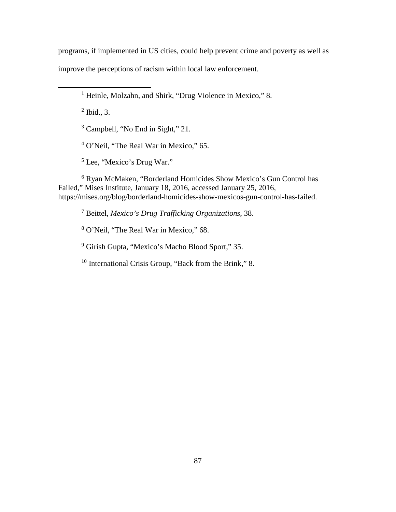programs, if implemented in US cities, could help prevent crime and poverty as well as

improve the perceptions of racism within local law enforcement.

<sup>1</sup> Heinle, Molzahn, and Shirk, "Drug Violence in Mexico," 8.

 $<sup>2</sup>$  Ibid., 3.</sup>

 $\overline{a}$ 

<sup>3</sup> Campbell, "No End in Sight," 21.

<sup>4</sup> O'Neil, "The Real War in Mexico," 65.

<sup>5</sup> Lee, "Mexico's Drug War."

<sup>6</sup> Ryan McMaken, "Borderland Homicides Show Mexico's Gun Control has Failed," Mises Institute, January 18, 2016, accessed January 25, 2016, https://mises.org/blog/borderland-homicides-show-mexicos-gun-control-has-failed.

<sup>7</sup> Beittel, *Mexico's Drug Trafficking Organizations*, 38.

<sup>8</sup> O'Neil, "The Real War in Mexico," 68.

<sup>9</sup> Girish Gupta, "Mexico's Macho Blood Sport," 35.

<sup>10</sup> International Crisis Group, "Back from the Brink," 8.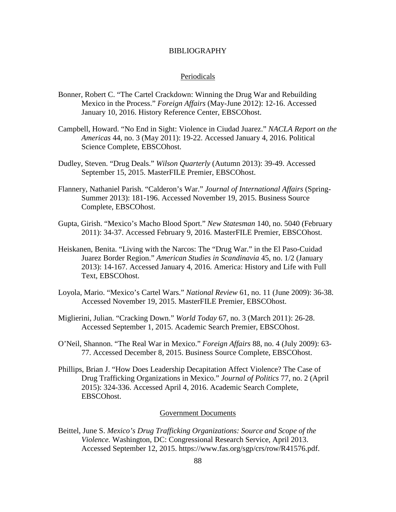# BIBLIOGRAPHY

#### Periodicals

- Bonner, Robert C. "The Cartel Crackdown: Winning the Drug War and Rebuilding Mexico in the Process." *Foreign Affairs* (May-June 2012): 12-16. Accessed January 10, 2016. History Reference Center, EBSCOhost.
- Campbell, Howard. "No End in Sight: Violence in Ciudad Juarez." *NACLA Report on the Americas* 44, no. 3 (May 2011): 19-22. Accessed January 4, 2016. Political Science Complete, EBSCOhost.
- Dudley, Steven. "Drug Deals." *Wilson Quarterly* (Autumn 2013): 39-49. Accessed September 15, 2015. MasterFILE Premier, EBSCOhost.
- Flannery, Nathaniel Parish. "Calderon's War." *Journal of International Affairs* (Spring-Summer 2013): 181-196. Accessed November 19, 2015. Business Source Complete, EBSCOhost.
- Gupta, Girish. "Mexico's Macho Blood Sport." *New Statesman* 140, no. 5040 (February 2011): 34-37. Accessed February 9, 2016. MasterFILE Premier, EBSCOhost.
- Heiskanen, Benita. "Living with the Narcos: The "Drug War." in the El Paso-Cuidad Juarez Border Region." *American Studies in Scandinavia* 45, no. 1/2 (January 2013): 14-167. Accessed January 4, 2016. America: History and Life with Full Text, EBSCOhost.
- Loyola, Mario. "Mexico's Cartel Wars." *National Review* 61, no. 11 (June 2009): 36-38. Accessed November 19, 2015. MasterFILE Premier, EBSCOhost.
- Miglierini, Julian. "Cracking Down." *World Today* 67, no. 3 (March 2011): 26-28. Accessed September 1, 2015. Academic Search Premier, EBSCOhost.
- O'Neil, Shannon. "The Real War in Mexico." *Foreign Affairs* 88, no. 4 (July 2009): 63- 77. Accessed December 8, 2015. Business Source Complete, EBSCOhost.
- Phillips, Brian J. "How Does Leadership Decapitation Affect Violence? The Case of Drug Trafficking Organizations in Mexico." *Journal of Politics* 77, no. 2 (April 2015): 324-336. Accessed April 4, 2016. Academic Search Complete, EBSCOhost.

#### Government Documents

Beittel, June S. *Mexico's Drug Trafficking Organizations: Source and Scope of the Violence.* Washington, DC: Congressional Research Service, April 2013. Accessed September 12, 2015. https://www.fas.org/sgp/crs/row/R41576.pdf.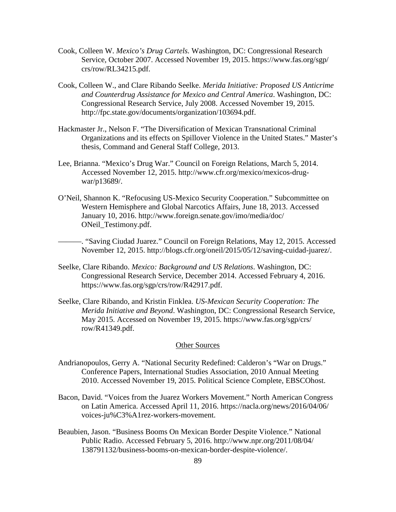- Cook, Colleen W. *Mexico's Drug Cartels.* Washington, DC: Congressional Research Service, October 2007. Accessed November 19, 2015. https://www.fas.org/sgp/ crs/row/RL34215.pdf.
- Cook, Colleen W., and Clare Ribando Seelke. *Merida Initiative: Proposed US Anticrime and Counterdrug Assistance for Mexico and Central America*. Washington, DC: Congressional Research Service, July 2008. Accessed November 19, 2015. http://fpc.state.gov/documents/organization/103694.pdf.
- Hackmaster Jr., Nelson F. "The Diversification of Mexican Transnational Criminal Organizations and its effects on Spillover Violence in the United States." Master's thesis, Command and General Staff College, 2013.
- Lee, Brianna. "Mexico's Drug War." Council on Foreign Relations, March 5, 2014. Accessed November 12, 2015. http://www.cfr.org/mexico/mexicos-drugwar/p13689/.
- O'Neil, Shannon K. "Refocusing US-Mexico Security Cooperation." Subcommittee on Western Hemisphere and Global Narcotics Affairs, June 18, 2013. Accessed January 10, 2016. http://www.foreign.senate.gov/imo/media/doc/ ONeil\_Testimony.pdf.

———. "Saving Ciudad Juarez." Council on Foreign Relations, May 12, 2015. Accessed November 12, 2015. http://blogs.cfr.org/oneil/2015/05/12/saving-cuidad-juarez/.

- Seelke, Clare Ribando. *Mexico: Background and US Relations*. Washington, DC: Congressional Research Service, December 2014. Accessed February 4, 2016. https://www.fas.org/sgp/crs/row/R42917.pdf.
- Seelke, Clare Ribando, and Kristin Finklea. *US-Mexican Security Cooperation: The Merida Initiative and Beyond*. Washington, DC: Congressional Research Service, May 2015. Accessed on November 19, 2015. https://www.fas.org/sgp/crs/ row/R41349.pdf.

## Other Sources

- Andrianopoulos, Gerry A. "National Security Redefined: Calderon's "War on Drugs." Conference Papers, International Studies Association, 2010 Annual Meeting 2010. Accessed November 19, 2015. Political Science Complete, EBSCOhost.
- Bacon, David. "Voices from the Juarez Workers Movement." North American Congress on Latin America. Accessed April 11, 2016. https://nacla.org/news/2016/04/06/ voices-ju%C3%A1rez-workers-movement.
- Beaubien, Jason. "Business Booms On Mexican Border Despite Violence." National Public Radio. Accessed February 5, 2016. http://www.npr.org/2011/08/04/ 138791132/business-booms-on-mexican-border-despite-violence/.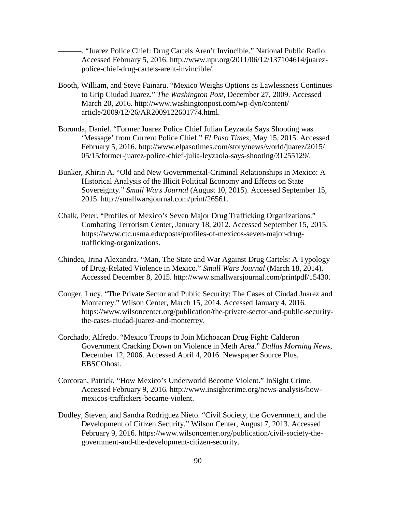———. "Juarez Police Chief: Drug Cartels Aren't Invincible." National Public Radio. Accessed February 5, 2016. http://www.npr.org/2011/06/12/137104614/juarezpolice-chief-drug-cartels-arent-invincible/.

- Booth, William, and Steve Fainaru. "Mexico Weighs Options as Lawlessness Continues to Grip Ciudad Juarez." *The Washington Post*, December 27, 2009. Accessed March 20, 2016. http://www.washingtonpost.com/wp-dyn/content/ article/2009/12/26/AR2009122601774.html.
- Borunda, Daniel. "Former Juarez Police Chief Julian Leyzaola Says Shooting was 'Message' from Current Police Chief." *El Paso Times*, May 15, 2015. Accessed February 5, 2016. http://www.elpasotimes.com/story/news/world/juarez/2015/ 05/15/former-juarez-police-chief-julia-leyzaola-says-shooting/31255129/.
- Bunker, Khirin A. "Old and New Governmental-Criminal Relationships in Mexico: A Historical Analysis of the Illicit Political Economy and Effects on State Sovereignty." *Small Wars Journal* (August 10, 2015). Accessed September 15, 2015. http://smallwarsjournal.com/print/26561.
- Chalk, Peter. "Profiles of Mexico's Seven Major Drug Trafficking Organizations." Combating Terrorism Center, January 18, 2012. Accessed September 15, 2015. https://www.ctc.usma.edu/posts/profiles-of-mexicos-seven-major-drugtrafficking-organizations.
- Chindea, Irina Alexandra. "Man, The State and War Against Drug Cartels: A Typology of Drug-Related Violence in Mexico." *Small Wars Journal* (March 18, 2014). Accessed December 8, 2015. http://www.smallwarsjournal.com/printpdf/15430.
- Conger, Lucy. "The Private Sector and Public Security: The Cases of Ciudad Juarez and Monterrey." Wilson Center, March 15, 2014. Accessed January 4, 2016. https://www.wilsoncenter.org/publication/the-private-sector-and-public-securitythe-cases-ciudad-juarez-and-monterrey.
- Corchado, Alfredo. "Mexico Troops to Join Michoacan Drug Fight: Calderon Government Cracking Down on Violence in Meth Area." *Dallas Morning News*, December 12, 2006. Accessed April 4, 2016. Newspaper Source Plus, EBSCOhost.
- Corcoran, Patrick. "How Mexico's Underworld Become Violent." InSight Crime. Accessed February 9, 2016. http://www.insightcrime.org/news-analysis/howmexicos-traffickers-became-violent.
- Dudley, Steven, and Sandra Rodriguez Nieto. "Civil Society, the Government, and the Development of Citizen Security." Wilson Center, August 7, 2013. Accessed February 9, 2016. https://www.wilsoncenter.org/publication/civil-society-thegovernment-and-the-development-citizen-security.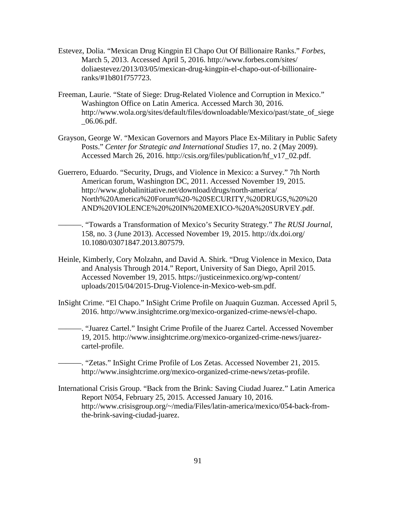- Estevez, Dolia. "Mexican Drug Kingpin El Chapo Out Of Billionaire Ranks." *Forbes*, March 5, 2013. Accessed April 5, 2016. http://www.forbes.com/sites/ doliaestevez/2013/03/05/mexican-drug-kingpin-el-chapo-out-of-billionaireranks/#1b801f757723.
- Freeman, Laurie. "State of Siege: Drug-Related Violence and Corruption in Mexico." Washington Office on Latin America. Accessed March 30, 2016. http://www.wola.org/sites/default/files/downloadable/Mexico/past/state\_of\_siege \_06.06.pdf.
- Grayson, George W. "Mexican Governors and Mayors Place Ex-Military in Public Safety Posts." *Center for Strategic and International Studies* 17, no. 2 (May 2009). Accessed March 26, 2016. http://csis.org/files/publication/hf\_v17\_02.pdf.
- Guerrero, Eduardo. "Security, Drugs, and Violence in Mexico: a Survey." 7th North American forum, Washington DC, 2011. Accessed November 19, 2015. http://www.globalinitiative.net/download/drugs/north-america/ North%20America%20Forum%20-%20SECURITY,%20DRUGS,%20%20 AND%20VIOLENCE%20%20IN%20MEXICO-%20A%20SURVEY.pdf.
- ———. "Towards a Transformation of Mexico's Security Strategy." *The RUSI Journal*, 158, no. 3 (June 2013). Accessed November 19, 2015. http://dx.doi.org/ 10.1080/03071847.2013.807579.
- Heinle, Kimberly, Cory Molzahn, and David A. Shirk. "Drug Violence in Mexico, Data and Analysis Through 2014." Report, University of San Diego, April 2015. Accessed November 19, 2015. https://justiceinmexico.org/wp-content/ uploads/2015/04/2015-Drug-Violence-in-Mexico-web-sm.pdf.
- InSight Crime. "El Chapo." InSight Crime Profile on Juaquin Guzman. Accessed April 5, 2016. http://www.insightcrime.org/mexico-organized-crime-news/el-chapo.
- ———. "Juarez Cartel." Insight Crime Profile of the Juarez Cartel. Accessed November 19, 2015. http://www.insightcrime.org/mexico-organized-crime-news/juarezcartel-profile.

———. "Zetas." InSight Crime Profile of Los Zetas. Accessed November 21, 2015. http://www.insightcrime.org/mexico-organized-crime-news/zetas-profile.

International Crisis Group. "Back from the Brink: Saving Ciudad Juarez." Latin America Report N054, February 25, 2015. Accessed January 10, 2016. http://www.crisisgroup.org/~/media/Files/latin-america/mexico/054-back-fromthe-brink-saving-ciudad-juarez.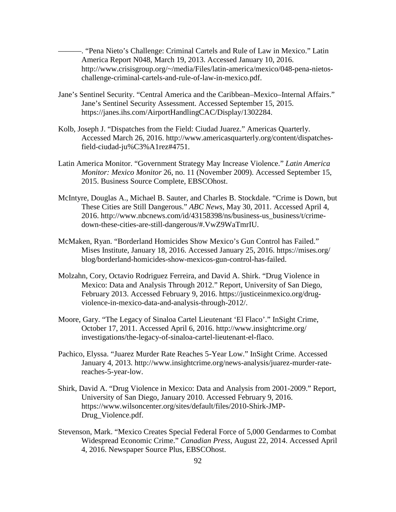———. "Pena Nieto's Challenge: Criminal Cartels and Rule of Law in Mexico." Latin America Report N048, March 19, 2013. Accessed January 10, 2016. http://www.crisisgroup.org/~/media/Files/latin-america/mexico/048-pena-nietoschallenge-criminal-cartels-and-rule-of-law-in-mexico.pdf.

- Jane's Sentinel Security. "Central America and the Caribbean–Mexico–Internal Affairs." Jane's Sentinel Security Assessment. Accessed September 15, 2015. https://janes.ihs.com/AirportHandlingCAC/Display/1302284.
- Kolb, Joseph J. "Dispatches from the Field: Ciudad Juarez." Americas Quarterly. Accessed March 26, 2016. http://www.americasquarterly.org/content/dispatchesfield-ciudad-ju%C3%A1rez#4751.
- Latin America Monitor. "Government Strategy May Increase Violence." *Latin America Monitor: Mexico Monitor* 26, no. 11 (November 2009). Accessed September 15, 2015. Business Source Complete, EBSCOhost.
- McIntyre, Douglas A., Michael B. Sauter, and Charles B. Stockdale. "Crime is Down, but These Cities are Still Dangerous." *ABC News*, May 30, 2011. Accessed April 4, 2016. http://www.nbcnews.com/id/43158398/ns/business-us\_business/t/crimedown-these-cities-are-still-dangerous/#.VwZ9WaTmrIU.
- McMaken, Ryan. "Borderland Homicides Show Mexico's Gun Control has Failed." Mises Institute, January 18, 2016. Accessed January 25, 2016. https://mises.org/ blog/borderland-homicides-show-mexicos-gun-control-has-failed.
- Molzahn, Cory, Octavio Rodriguez Ferreira, and David A. Shirk. "Drug Violence in Mexico: Data and Analysis Through 2012." Report, University of San Diego, February 2013. Accessed February 9, 2016. https://justiceinmexico.org/drugviolence-in-mexico-data-and-analysis-through-2012/.
- Moore, Gary. "The Legacy of Sinaloa Cartel Lieutenant 'El Flaco'." InSight Crime, October 17, 2011. Accessed April 6, 2016. http://www.insightcrime.org/ investigations/the-legacy-of-sinaloa-cartel-lieutenant-el-flaco.
- Pachico, Elyssa. "Juarez Murder Rate Reaches 5-Year Low." InSight Crime. Accessed January 4, 2013. http://www.insightcrime.org/news-analysis/juarez-murder-ratereaches-5-year-low.
- Shirk, David A. "Drug Violence in Mexico: Data and Analysis from 2001-2009." Report, University of San Diego, January 2010. Accessed February 9, 2016. https://www.wilsoncenter.org/sites/default/files/2010-Shirk-JMP-Drug\_Violence.pdf.
- Stevenson, Mark. "Mexico Creates Special Federal Force of 5,000 Gendarmes to Combat Widespread Economic Crime." *Canadian Press*, August 22, 2014. Accessed April 4, 2016. Newspaper Source Plus, EBSCOhost.